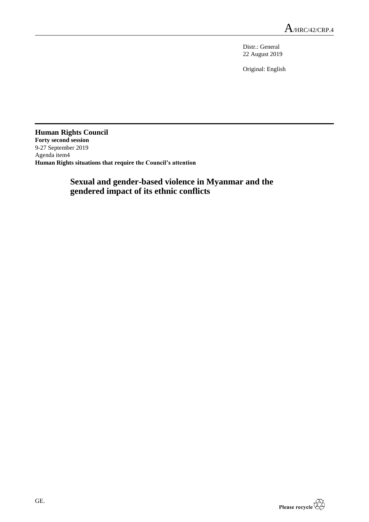Distr.: General 22 August 2019

Original: English

**Human Rights Council Forty second session** 9-27 September 2019 Agenda item4 **Human Rights situations that require the Council's attention**

# **Sexual and gender-based violence in Myanmar and the gendered impact of its ethnic conflicts**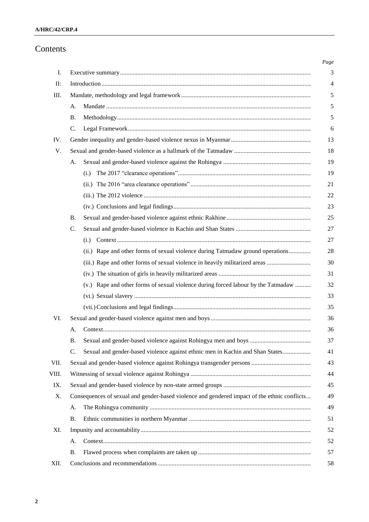# Contents

|       |                                                                                              |                                                                                   | $Page$         |
|-------|----------------------------------------------------------------------------------------------|-----------------------------------------------------------------------------------|----------------|
| I.    |                                                                                              |                                                                                   | 3              |
| II:   |                                                                                              |                                                                                   | $\overline{4}$ |
| III.  |                                                                                              |                                                                                   | 5              |
|       | A.                                                                                           |                                                                                   | 5              |
|       | <b>B.</b>                                                                                    |                                                                                   | 5              |
|       | $\mathcal{C}$ .                                                                              |                                                                                   | 6              |
| IV.   |                                                                                              |                                                                                   | 13             |
| V.    |                                                                                              |                                                                                   |                |
|       | A.                                                                                           |                                                                                   | 19             |
|       |                                                                                              | (i.)                                                                              | 19             |
|       |                                                                                              |                                                                                   | 21             |
|       |                                                                                              |                                                                                   | 22             |
|       |                                                                                              |                                                                                   | 23             |
|       | <b>B.</b>                                                                                    |                                                                                   | 25             |
|       | $\mathcal{C}$ .                                                                              |                                                                                   | 27             |
|       |                                                                                              | (i.)                                                                              | 27             |
|       |                                                                                              | (ii.) Rape and other forms of sexual violence during Tatmadaw ground operations   | 28             |
|       |                                                                                              |                                                                                   | 30             |
|       |                                                                                              |                                                                                   | 31             |
|       |                                                                                              | (v.) Rape and other forms of sexual violence during forced labour by the Tatmadaw | 32             |
|       |                                                                                              |                                                                                   | 33             |
|       |                                                                                              |                                                                                   | 35             |
| VI.   |                                                                                              |                                                                                   | 36             |
|       | A.                                                                                           |                                                                                   | 36             |
|       | В.                                                                                           |                                                                                   | 37             |
|       | C.                                                                                           | Sexual and gender-based violence against ethnic men in Kachin and Shan States     | 41             |
| VII.  |                                                                                              |                                                                                   | 43             |
| VIII. |                                                                                              |                                                                                   |                |
| IX.   |                                                                                              |                                                                                   |                |
| Χ.    | Consequences of sexual and gender-based violence and gendered impact of the ethnic conflicts |                                                                                   | 49             |
|       | A.                                                                                           |                                                                                   | 49             |
|       | Β.                                                                                           |                                                                                   | 51             |
| XI.   |                                                                                              |                                                                                   | 52             |
|       | А.                                                                                           |                                                                                   | 52             |
|       | Β.                                                                                           |                                                                                   | 57             |
| XII.  |                                                                                              |                                                                                   | 58             |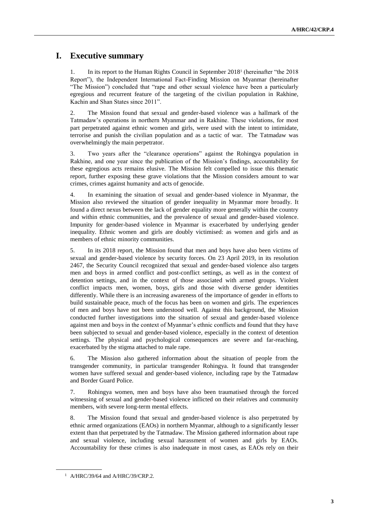# **I. Executive summary**

1. In its report to the Human Rights Council in September 2018<sup>1</sup> (hereinafter "the 2018 Report"), the Independent International Fact-Finding Mission on Myanmar (hereinafter "The Mission") concluded that "rape and other sexual violence have been a particularly egregious and recurrent feature of the targeting of the civilian population in Rakhine, Kachin and Shan States since 2011".

2. The Mission found that sexual and gender-based violence was a hallmark of the Tatmadaw's operations in northern Myanmar and in Rakhine. These violations, for most part perpetrated against ethnic women and girls, were used with the intent to intimidate, terrorise and punish the civilian population and as a tactic of war. The Tatmadaw was overwhelmingly the main perpetrator.

3. Two years after the "clearance operations" against the Rohingya population in Rakhine, and one year since the publication of the Mission's findings, accountability for these egregious acts remains elusive. The Mission felt compelled to issue this thematic report, further exposing these grave violations that the Mission considers amount to war crimes, crimes against humanity and acts of genocide.

4. In examining the situation of sexual and gender-based violence in Myanmar, the Mission also reviewed the situation of gender inequality in Myanmar more broadly. It found a direct nexus between the lack of gender equality more generally within the country and within ethnic communities, and the prevalence of sexual and gender-based violence. Impunity for gender-based violence in Myanmar is exacerbated by underlying gender inequality. Ethnic women and girls are doubly victimised: as women and girls and as members of ethnic minority communities.

5. In its 2018 report, the Mission found that men and boys have also been victims of sexual and gender-based violence by security forces. On 23 April 2019, in its resolution 2467, the Security Council recognized that sexual and gender-based violence also targets men and boys in armed conflict and post-conflict settings, as well as in the context of detention settings, and in the context of those associated with armed groups. Violent conflict impacts men, women, boys, girls and those with diverse gender identities differently. While there is an increasing awareness of the importance of gender in efforts to build sustainable peace, much of the focus has been on women and girls. The experiences of men and boys have not been understood well. Against this background, the Mission conducted further investigations into the situation of sexual and gender-based violence against men and boys in the context of Myanmar's ethnic conflicts and found that they have been subjected to sexual and gender-based violence, especially in the context of detention settings. The physical and psychological consequences are severe and far-reaching, exacerbated by the stigma attached to male rape.

6. The Mission also gathered information about the situation of people from the transgender community, in particular transgender Rohingya. It found that transgender women have suffered sexual and gender-based violence, including rape by the Tatmadaw and Border Guard Police.

7. Rohingya women, men and boys have also been traumatised through the forced witnessing of sexual and gender-based violence inflicted on their relatives and community members, with severe long-term mental effects.

8. The Mission found that sexual and gender-based violence is also perpetrated by ethnic armed organizations (EAOs) in northern Myanmar, although to a significantly lesser extent than that perpetrated by the Tatmadaw. The Mission gathered information about rape and sexual violence, including sexual harassment of women and girls by EAOs. Accountability for these crimes is also inadequate in most cases, as EAOs rely on their

<sup>1</sup> A/HRC/39/64 and A/HRC/39/CRP.2.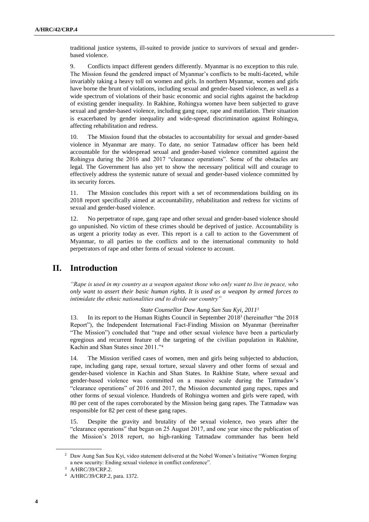traditional justice systems, ill-suited to provide justice to survivors of sexual and genderbased violence.

9. Conflicts impact different genders differently. Myanmar is no exception to this rule. The Mission found the gendered impact of Myanmar's conflicts to be multi-faceted, while invariably taking a heavy toll on women and girls. In northern Myanmar, women and girls have borne the brunt of violations, including sexual and gender-based violence, as well as a wide spectrum of violations of their basic economic and social rights against the backdrop of existing gender inequality. In Rakhine, Rohingya women have been subjected to grave sexual and gender-based violence, including gang rape, rape and mutilation. Their situation is exacerbated by gender inequality and wide-spread discrimination against Rohingya, affecting rehabilitation and redress.

10. The Mission found that the obstacles to accountability for sexual and gender-based violence in Myanmar are many. To date, no senior Tatmadaw officer has been held accountable for the widespread sexual and gender-based violence committed against the Rohingya during the 2016 and 2017 "clearance operations". Some of the obstacles are legal. The Government has also yet to show the necessary political will and courage to effectively address the systemic nature of sexual and gender-based violence committed by its security forces.

11. The Mission concludes this report with a set of recommendations building on its 2018 report specifically aimed at accountability, rehabilitation and redress for victims of sexual and gender-based violence.

12. No perpetrator of rape, gang rape and other sexual and gender-based violence should go unpunished. No victim of these crimes should be deprived of justice. Accountability is as urgent a priority today as ever. This report is a call to action to the Government of Myanmar, to all parties to the conflicts and to the international community to hold perpetrators of rape and other forms of sexual violence to account.

# **II. Introduction**

*"Rape is used in my country as a weapon against those who only want to live in peace, who only want to assert their basic human rights. It is used as a weapon by armed forces to intimidate the ethnic nationalities and to divide our country"*

### *State Counsellor Daw Aung San Suu Kyi, 2011*<sup>2</sup>

13. In its report to the Human Rights Council in September 2018<sup>3</sup> (hereinafter "the 2018 Report"), the Independent International Fact-Finding Mission on Myanmar (hereinafter "The Mission") concluded that "rape and other sexual violence have been a particularly egregious and recurrent feature of the targeting of the civilian population in Rakhine, Kachin and Shan States since 2011."<sup>4</sup>

14. The Mission verified cases of women, men and girls being subjected to abduction, rape, including gang rape, sexual torture, sexual slavery and other forms of sexual and gender-based violence in Kachin and Shan States. In Rakhine State, where sexual and gender-based violence was committed on a massive scale during the Tatmadaw's "clearance operations" of 2016 and 2017, the Mission documented gang rapes, rapes and other forms of sexual violence. Hundreds of Rohingya women and girls were raped, with 80 per cent of the rapes corroborated by the Mission being gang rapes. The Tatmadaw was responsible for 82 per cent of these gang rapes.

15. Despite the gravity and brutality of the sexual violence, two years after the "clearance operations" that began on 25 August 2017, and one year since the publication of the Mission's 2018 report, no high-ranking Tatmadaw commander has been held

<sup>2</sup> Daw Aung San Suu Kyi, video statement delivered at the Nobel Women's Initiative "Women forging a new security: Ending sexual violence in conflict conference".

<sup>3</sup> A/HRC/39/CRP.2.

<sup>4</sup> A/HRC/39/CRP.2, para. 1372.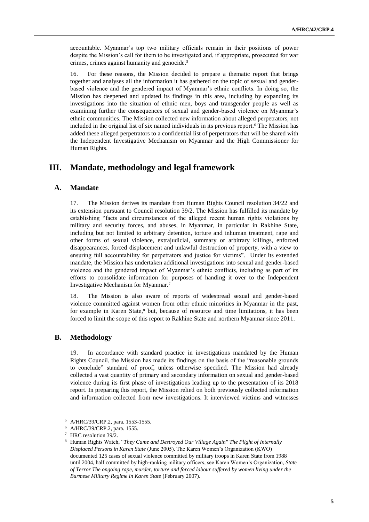accountable. Myanmar's top two military officials remain in their positions of power despite the Mission's call for them to be investigated and, if appropriate, prosecuted for war crimes, crimes against humanity and genocide.<sup>5</sup>

16. For these reasons, the Mission decided to prepare a thematic report that brings together and analyses all the information it has gathered on the topic of sexual and genderbased violence and the gendered impact of Myanmar's ethnic conflicts. In doing so, the Mission has deepened and updated its findings in this area, including by expanding its investigations into the situation of ethnic men, boys and transgender people as well as examining further the consequences of sexual and gender-based violence on Myanmar's ethnic communities. The Mission collected new information about alleged perpetrators, not included in the original list of six named individuals in its previous report.<sup>6</sup> The Mission has added these alleged perpetrators to a confidential list of perpetrators that will be shared with the Independent Investigative Mechanism on Myanmar and the High Commissioner for Human Rights.

# **III. Mandate, methodology and legal framework**

### **A. Mandate**

17. The Mission derives its mandate from Human Rights Council resolution 34/22 and its extension pursuant to Council resolution 39/2. The Mission has fulfilled its mandate by establishing "facts and circumstances of the alleged recent human rights violations by military and security forces, and abuses, in Myanmar, in particular in Rakhine State, including but not limited to arbitrary detention, torture and inhuman treatment, rape and other forms of sexual violence, extrajudicial, summary or arbitrary killings, enforced disappearances, forced displacement and unlawful destruction of property, with a view to ensuring full accountability for perpetrators and justice for victims". Under its extended mandate, the Mission has undertaken additional investigations into sexual and gender-based violence and the gendered impact of Myanmar's ethnic conflicts, including as part of its efforts to consolidate information for purposes of handing it over to the Independent Investigative Mechanism for Myanmar.<sup>7</sup>

18. The Mission is also aware of reports of widespread sexual and gender-based violence committed against women from other ethnic minorities in Myanmar in the past, for example in Karen State, <sup>8</sup> but, because of resource and time limitations, it has been forced to limit the scope of this report to Rakhine State and northern Myanmar since 2011.

### **B. Methodology**

19. In accordance with standard practice in investigations mandated by the Human Rights Council, the Mission has made its findings on the basis of the "reasonable grounds to conclude" standard of proof, unless otherwise specified. The Mission had already collected a vast quantity of primary and secondary information on sexual and gender-based violence during its first phase of investigations leading up to the presentation of its 2018 report. In preparing this report, the Mission relied on both previously collected information and information collected from new investigations. It interviewed victims and witnesses

<sup>5</sup> A/HRC/39/CRP.2, para. 1553-1555.

<sup>6</sup> A/HRC/39/CRP.2, para. 1555.

HRC resolution 39/2.

<sup>8</sup> Human Rights Watch, "*They Came and Destroyed Our Village Again" The Plight of Internally Displaced Persons in Karen State* (June 2005). The Karen Women's Organization (KWO) documented 125 cases of sexual violence committed by military troops in Karen State from 1988 until 2004, half committed by high-ranking military officers, see Karen Women's Organization, *State of Terror The ongoing rape, murder, torture and forced labour suffered by women living under the Burmese Military Regime in Karen State* (February 2007).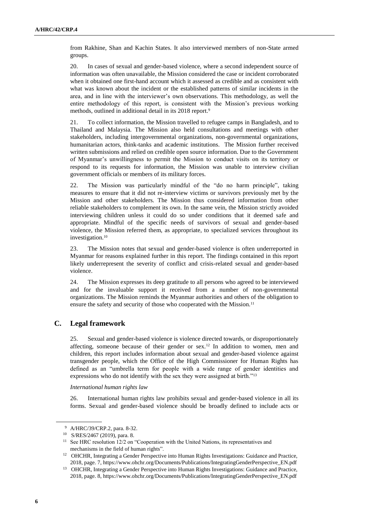from Rakhine, Shan and Kachin States. It also interviewed members of non-State armed groups.

20. In cases of sexual and gender-based violence, where a second independent source of information was often unavailable, the Mission considered the case or incident corroborated when it obtained one first-hand account which it assessed as credible and as consistent with what was known about the incident or the established patterns of similar incidents in the area, and in line with the interviewer's own observations. This methodology, as well the entire methodology of this report, is consistent with the Mission's previous working methods, outlined in additional detail in its 2018 report.<sup>9</sup>

21. To collect information, the Mission travelled to refugee camps in Bangladesh, and to Thailand and Malaysia. The Mission also held consultations and meetings with other stakeholders, including intergovernmental organizations, non-governmental organizations, humanitarian actors, think-tanks and academic institutions. The Mission further received written submissions and relied on credible open source information. Due to the Government of Myanmar's unwillingness to permit the Mission to conduct visits on its territory or respond to its requests for information, the Mission was unable to interview civilian government officials or members of its military forces.

22. The Mission was particularly mindful of the "do no harm principle", taking measures to ensure that it did not re-interview victims or survivors previously met by the Mission and other stakeholders. The Mission thus considered information from other reliable stakeholders to complement its own. In the same vein, the Mission strictly avoided interviewing children unless it could do so under conditions that it deemed safe and appropriate. Mindful of the specific needs of survivors of sexual and gender-based violence, the Mission referred them, as appropriate, to specialized services throughout its investigation.<sup>10</sup>

23. The Mission notes that sexual and gender-based violence is often underreported in Myanmar for reasons explained further in this report. The findings contained in this report likely underrepresent the severity of conflict and crisis-related sexual and gender-based violence.

24. The Mission expresses its deep gratitude to all persons who agreed to be interviewed and for the invaluable support it received from a number of non-governmental organizations. The Mission reminds the Myanmar authorities and others of the obligation to ensure the safety and security of those who cooperated with the Mission.<sup>11</sup>

## **C. Legal framework**

25. Sexual and gender-based violence is violence directed towards, or disproportionately affecting, someone because of their gender or sex.<sup>12</sup> In addition to women, men and children, this report includes information about sexual and gender-based violence against transgender people, which the Office of the High Commissioner for Human Rights has defined as an "umbrella term for people with a wide range of gender identities and expressions who do not identify with the sex they were assigned at birth."<sup>13</sup>

*International human rights law*

26. International human rights law prohibits sexual and gender-based violence in all its forms. Sexual and gender-based violence should be broadly defined to include acts or

<sup>9</sup> A/HRC/39/CRP.2, para. 8-32.

<sup>10</sup> S/RES/2467 (2019), para. 8.

<sup>&</sup>lt;sup>11</sup> See HRC resolution 12/2 on "Cooperation with the United Nations, its representatives and mechanisms in the field of human rights".

<sup>&</sup>lt;sup>12</sup> OHCHR, Integrating a Gender Perspective into Human Rights Investigations: Guidance and Practice, 2018, page. 7[, https://www.ohchr.org/Documents/Publications/IntegratingGenderPerspective\\_EN.pdf](https://www.ohchr.org/Documents/Publications/IntegratingGenderPerspective_EN.pdf)

<sup>&</sup>lt;sup>13</sup> OHCHR, Integrating a Gender Perspective into Human Rights Investigations: Guidance and Practice, 2018, page. 8[, https://www.ohchr.org/Documents/Publications/IntegratingGenderPerspective\\_EN.pdf](https://www.ohchr.org/Documents/Publications/IntegratingGenderPerspective_EN.pdf)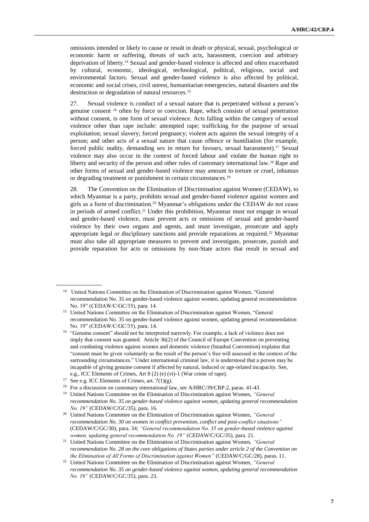omissions intended or likely to cause or result in death or physical, sexual, psychological or economic harm or suffering, threats of such acts, harassment, coercion and arbitrary deprivation of liberty.<sup>14</sup> Sexual and gender-based violence is affected and often exacerbated by cultural, economic, ideological, technological, political, religious, social and environmental factors. Sexual and gender-based violence is also affected by political, economic and social crises, civil unrest, humanitarian emergencies, natural disasters and the destruction or degradation of natural resources.<sup>15</sup>

27. Sexual violence is conduct of a sexual nature that is perpetrated without a person's genuine consent <sup>16</sup> often by force or coercion. Rape, which consists of sexual penetration without consent, is one form of sexual violence. Acts falling within the category of sexual violence other than rape include: attempted rape; trafficking for the purpose of sexual exploitation; sexual slavery; forced pregnancy; violent acts against the sexual integrity of a person; and other acts of a sexual nature that cause offence or humiliation (for example, forced public nudity, demanding sex in return for favours, sexual harassment).<sup>17</sup> Sexual violence may also occur in the context of forced labour and violate the human right to liberty and security of the person and other rules of customary international law.<sup>18</sup> Rape and other forms of sexual and gender-based violence may amount to torture or cruel, inhuman or degrading treatment or punishment in certain circumstances.<sup>19</sup>

28. The Convention on the Elimination of Discrimination against Women (CEDAW), to which Myanmar is a party, prohibits sexual and gender-based violence against women and girls as a form of discrimination.<sup>20</sup> Myanmar's obligations under the CEDAW do not cease in periods of armed conflict.<sup>21</sup> Under this prohibition, Myanmar must not engage in sexual and gender-based violence, must prevent acts or omissions of sexual and gender-based violence by their own organs and agents, and must investigate, prosecute and apply appropriate legal or disciplinary sanctions and provide reparations as required.<sup>22</sup> Myanmar must also take all appropriate measures to prevent and investigate, prosecute, punish and provide reparation for acts or omissions by non-State actors that result in sexual and

<sup>&</sup>lt;sup>14</sup> United Nations Committee on the Elimination of Discrimination against Women, "General recommendation No. 35 on gender-based violence against women, updating general recommendation No. 19" (CEDAW/C/GC/35), para. 14.

<sup>&</sup>lt;sup>15</sup> United Nations Committee on the Elimination of Discrimination against Women, "General recommendation No. 35 on gender-based violence against women, updating general recommendation No. 19" (CEDAW/C/GC/35), para. 14.

<sup>&</sup>lt;sup>16</sup> "Genuine consent" should not be interpreted narrowly. For example, a lack of violence does not imply that consent was granted. Article 36(2) of the Council of Europe Convention on preventing and combating violence against women and domestic violence (Istanbul Convention) explains that "consent must be given voluntarily as the result of the person's free will assessed in the context of the surrounding circumstances." Under international criminal law, it is understood that a person may be incapable of giving genuine consent if affected by natural, induced or age-related incapacity. See, e.g., ICC Elements of Crimes, Art 8 (2) (e) (vi)-1 (War crime of rape).

<sup>&</sup>lt;sup>17</sup> See e.g. ICC Elements of Crimes, art.  $7(1)(g)$ .

<sup>&</sup>lt;sup>18</sup> For a discussion on customary international law, see A/HRC/39/CRP.2, paras. 41-43.

<sup>19</sup> United Nations Committee on the Elimination of Discrimination against Women, *"General recommendation No. 35 on gender-based violence against women, updating general recommendation No. 19"* (CEDAW/C/GC/35), para. 16.

<sup>20</sup> United Nations Committee on the Elimination of Discrimination against Women, *"General recommendation No. 30 on women in conflict prevention, conflict and post-conflict situations"* (CEDAW/C/GC/30), para. 34; *"General recommendation No. 35 on gender-based violence against women, updating general recommendation No. 19"* (CEDAW/C/GC/35), para. 21.

<sup>21</sup> United Nations Committee on the Elimination of Discrimination against Women, *"General recommendation No. 28 on the core obligations of States parties under article 2 of the Convention on the Elimination of All Forms of Discrimination against Women"* (CEDAW/C/GC/28), paras. 11.

<sup>22</sup> United Nations Committee on the Elimination of Discrimination against Women, *"General recommendation No. 35 on gender-based violence against women, updating general recommendation No. 19"* (CEDAW/C/GC/35), para. 23.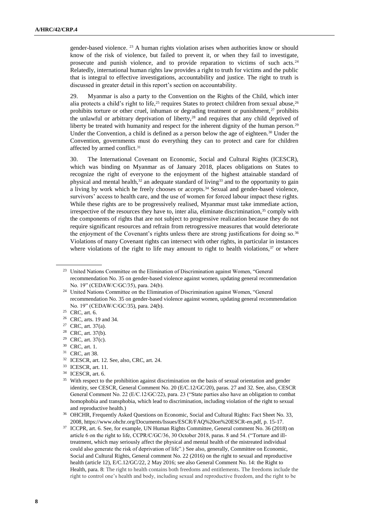gender-based violence. <sup>23</sup> A human rights violation arises when authorities know or should know of the risk of violence, but failed to prevent it, or when they fail to investigate, prosecute and punish violence, and to provide reparation to victims of such acts.<sup>24</sup> Relatedly, international human rights law provides a right to truth for victims and the public that is integral to effective investigations, accountability and justice. The right to truth is discussed in greater detail in this report's section on accountability.

29. Myanmar is also a party to the Convention on the Rights of the Child, which inter alia protects a child's right to life,<sup>25</sup> requires States to protect children from sexual abuse,<sup>26</sup> prohibits torture or other cruel, inhuman or degrading treatment or punishment, $27$  prohibits the unlawful or arbitrary deprivation of liberty,<sup>28</sup> and requires that any child deprived of liberty be treated with humanity and respect for the inherent dignity of the human person.<sup>29</sup> Under the Convention, a child is defined as a person below the age of eighteen.<sup>30</sup> Under the Convention, governments must do everything they can to protect and care for children affected by armed conflict.<sup>31</sup>

30. The International Covenant on Economic, Social and Cultural Rights (ICESCR), which was binding on Myanmar as of January 2018, places obligations on States to recognize the right of everyone to the enjoyment of the highest attainable standard of physical and mental health, $32$  an adequate standard of living<sup>33</sup> and to the opportunity to gain a living by work which he freely chooses or accepts.<sup>34</sup> Sexual and gender-based violence, survivors' access to health care, and the use of women for forced labour impact these rights. While these rights are to be progressively realised, Myanmar must take immediate action, irrespective of the resources they have to, inter alia, eliminate discrimination, $35$  comply with the components of rights that are not subject to progressive realization because they do not require significant resources and refrain from retrogressive measures that would deteriorate the enjoyment of the Covenant's rights unless there are strong justifications for doing so.<sup>36</sup> Violations of many Covenant rights can intersect with other rights, in particular in instances where violations of the right to life may amount to right to health violations,  $37$  or where

<sup>&</sup>lt;sup>23</sup> United Nations Committee on the Elimination of Discrimination against Women, "General recommendation No. 35 on gender-based violence against women, updating general recommendation No. 19" (CEDAW/C/GC/35), para. 24(b).

<sup>&</sup>lt;sup>24</sup> United Nations Committee on the Elimination of Discrimination against Women, "General recommendation No. 35 on gender-based violence against women, updating general recommendation No. 19" (CEDAW/C/GC/35), para. 24(b).

<sup>&</sup>lt;sup>25</sup> CRC, art. 6.

<sup>26</sup> CRC, arts. 19 and 34.

<sup>27</sup> CRC, art. 37(a).

<sup>28</sup> CRC, art. 37(b).

<sup>29</sup> CRC, art. 37(c).

<sup>30</sup> CRC, art. 1.

<sup>31</sup> CRC, art 38.

<sup>32</sup> ICESCR, art. 12. See, also, CRC, art. 24.

<sup>33</sup> ICESCR, art. 11.

<sup>34</sup> ICESCR, art. 6.

<sup>&</sup>lt;sup>35</sup> With respect to the prohibition against discrimination on the basis of sexual orientation and gender identity, see CESCR, General Comment No. 20 (E/C.12/GC/20), paras. 27 and 32. See, also, CESCR General Comment No. 22 (E/C.12/GC/22), para. 23 ("State parties also have an obligation to combat homophobia and transphobia, which lead to discrimination, including violation of the right to sexual and reproductive health.)

<sup>36</sup> OHCHR, Frequently Asked Questions on Economic, Social and Cultural Rights: Fact Sheet No. 33, 2008, https://www.ohchr.org/Documents/Issues/ESCR/FAQ%20on%20ESCR-en.pdf, p. 15-17.

<sup>&</sup>lt;sup>37</sup> ICCPR, art. 6. See, for example, UN Human Rights Committee, General comment No. 36 (2018) on article 6 on the right to life, CCPR/C/GC/36, 30 October 2018, paras. 8 and 54. ("Torture and illtreatment, which may seriously affect the physical and mental health of the mistreated individual could also generate the risk of deprivation of life".) See also, generally, Committee on Economic, Social and Cultural Rights, General comment No. 22 (2016) on the right to sexual and reproductive health (article 12), E/C.12/GC/22, 2 May 2016; see also General Comment No. 14: the Right to Health, para. 8: The right to health contains both freedoms and entitlements. The freedoms include the right to control one's health and body, including sexual and reproductive freedom, and the right to be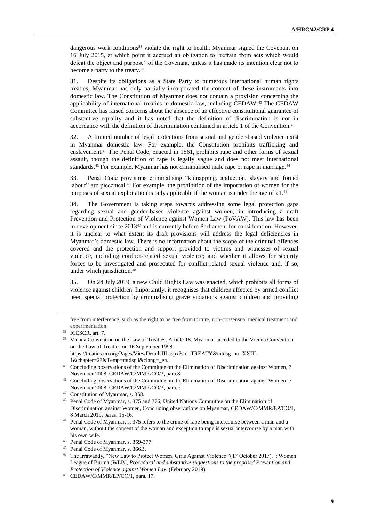dangerous work conditions<sup>38</sup> violate the right to health. Myanmar signed the Covenant on 16 July 2015, at which point it accrued an obligation to "refrain from acts which would defeat the object and purpose" of the Covenant, unless it has made its intention clear not to become a party to the treaty.<sup>39</sup>

31. Despite its obligations as a State Party to numerous international human rights treaties, Myanmar has only partially incorporated the content of these instruments into domestic law. The Constitution of Myanmar does not contain a provision concerning the applicability of international treaties in domestic law, including CEDAW. <sup>40</sup> The CEDAW Committee has raised concerns about the absence of an effective constitutional guarantee of substantive equality and it has noted that the definition of discrimination is not in accordance with the definition of discrimination contained in article 1 of the Convention.<sup>41</sup>

32. A limited number of legal protections from sexual and gender-based violence exist in Myanmar domestic law. For example, the Constitution prohibits trafficking and enslavement.<sup>42</sup> The Penal Code, enacted in 1861, prohibits rape and other forms of sexual assault, though the definition of rape is legally vague and does not meet international standards.<sup>43</sup> For example, Myanmar has not criminalised male rape or rape in marriage.<sup>44</sup>

33. Penal Code provisions criminalising "kidnapping, abduction, slavery and forced labour" are piecemeal.<sup>45</sup> For example, the prohibition of the importation of women for the purposes of sexual exploitation is only applicable if the woman is under the age of 21.<sup>46</sup>

34. The Government is taking steps towards addressing some legal protection gaps regarding sexual and gender-based violence against women, in introducing a draft Prevention and Protection of Violence against Women Law (PoVAW). This law has been in development since 2013<sup>47</sup> and is currently before Parliament for consideration. However, it is unclear to what extent its draft provisions will address the legal deficiencies in Myanmar's domestic law. There is no information about the scope of the criminal offences covered and the protection and support provided to victims and witnesses of sexual violence, including conflict-related sexual violence; and whether it allows for security forces to be investigated and prosecuted for conflict-related sexual violence and, if so, under which jurisdiction.<sup>48</sup>

35. On 24 July 2019, a new Child Rights Law was enacted, which prohibits all forms of violence against children. Importantly, it recognises that children affected by armed conflict need special protection by criminalising grave violations against children and providing

free from interference, such as the right to be free from torture, non-consensual medical treatment and experimentation.

<sup>&</sup>lt;sup>38</sup> ICESCR, art. 7.

<sup>&</sup>lt;sup>39</sup> Vienna Convention on the Law of Treaties, Article 18. Myanmar acceded to the Vienna Convention on the Law of Treaties on 16 September 1998. [https://treaties.un.org/Pages/ViewDetailsIII.aspx?src=TREATY&mtdsg\\_no=XXIII-](https://treaties.un.org/Pages/ViewDetailsIII.aspx?src=TREATY&mtdsg_no=XXIII-1&chapter=23&Temp=mtdsg3&clang=_en)[1&chapter=23&Temp=mtdsg3&clang=\\_en.](https://treaties.un.org/Pages/ViewDetailsIII.aspx?src=TREATY&mtdsg_no=XXIII-1&chapter=23&Temp=mtdsg3&clang=_en)

<sup>&</sup>lt;sup>40</sup> Concluding observations of the Committee on the Elimination of Discrimination against Women, 7 November 2008, CEDAW/C/MMR/CO/3, para.8

<sup>&</sup>lt;sup>41</sup> Concluding observations of the Committee on the Elimination of Discrimination against Women, 7 November 2008, CEDAW/C/MMR/CO/3, para. 9

<sup>42</sup> Constitution of Myanmar, s. 358.

<sup>43</sup> Penal Code of Myanmar, s. 375 and 376; United Nations Committee on the Elimination of Discrimination against Women, Concluding observations on Myanmar, CEDAW/C/MMR/EP/CO/1, 8 March 2019, paras. 15-16.

<sup>44</sup> Penal Code of Myanmar, s. 375 refers to the crime of rape being intercourse between a man and a woman, without the consent of the woman and exception to rape is sexual intercourse by a man with his own wife.

<sup>45</sup> Penal Code of Myanmar, s. 359-377.

<sup>46</sup> Penal Code of Myanmar, s. 366B.

<sup>47</sup> The Irrawaddy, "New Law to Protect Women, Girls Against Violence "(17 October 2017). ; Women League of Burma (WLB), *Procedural and substantive suggestions to the proposed Prevention and Protection of Violence against Women Law* (February 2019).

<sup>48</sup> CEDAW/C/MMR/EP/CO/1, para. 17.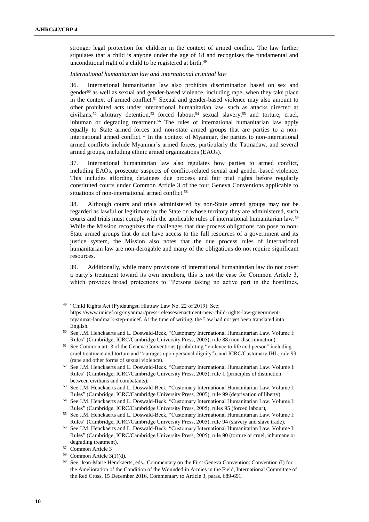stronger legal protection for children in the context of armed conflict. The law further stipulates that a child is anyone under the age of 18 and recognises the fundamental and unconditional right of a child to be registered at birth.<sup>49</sup>

*International humanitarian law and international criminal law*

36. International humanitarian law also prohibits discrimination based on sex and gender<sup>50</sup> as well as sexual and gender-based violence, including rape, when they take place in the context of armed conflict.<sup>51</sup> Sexual and gender-based violence may also amount to other prohibited acts under international humanitarian law, such as attacks directed at civilians,<sup>52</sup> arbitrary detention,<sup>53</sup> forced labour,<sup>54</sup> sexual slavery,<sup>55</sup> and torture, cruel, inhuman or degrading treatment.<sup>56</sup> The rules of international humanitarian law apply equally to State armed forces and non-state armed groups that are parties to a noninternational armed conflict.<sup>57</sup> In the context of Myanmar, the parties to non-international armed conflicts include Myanmar's armed forces, particularly the Tatmadaw, and several armed groups, including ethnic armed organizations (EAOs).

37. International humanitarian law also regulates how parties to armed conflict, including EAOs, prosecute suspects of conflict-related sexual and gender-based violence. This includes affording detainees due process and fair trial rights before regularly constituted courts under Common Article 3 of the four Geneva Conventions applicable to situations of non-international armed conflict.<sup>58</sup>

38. Although courts and trials administered by non-State armed groups may not be regarded as lawful or legitimate by the State on whose territory they are administered, such courts and trials must comply with the applicable rules of international humanitarian law.<sup>59</sup> While the Mission recognizes the challenges that due process obligations can pose to non-State armed groups that do not have access to the full resources of a government and its justice system, the Mission also notes that the due process rules of international humanitarian law are non-derogable and many of the obligations do not require significant resources.

39. Additionally, while many provisions of international humanitarian law do not cover a party's treatment toward its own members, this is not the case for Common Article 3, which provides broad protections to "Persons taking no active part in the hostilities,

<sup>49</sup> "Child Rights Act (Pyidaungsu Hluttaw Law No. 22 of 2019). See: https://www.unicef.org/myanmar/press-releases/enactment-new-child-rights-law-governmentmyanmar-landmark-step-unicef. At the time of writing, the Law had not yet been translated into English.

<sup>50</sup> See J.M. Henckaerts and L. Doswald-Beck, "Customary International Humanitarian Law. Volume I: Rules" (Cambridge, ICRC/Cambridge University Press, 2005), rule 88 (non-discrimination).

<sup>&</sup>lt;sup>51</sup> See Common art. 3 of the Geneva Conventions (prohibiting "violence to life and person" including cruel treatment and torture and "outrages upon personal dignity"), and ICRC/Customary IHL, rule 93 (rape and other forms of sexual violence).

<sup>52</sup> See J.M. Henckaerts and L. Doswald-Beck, "Customary International Humanitarian Law. Volume I: Rules" (Cambridge, ICRC/Cambridge University Press, 2005), rule 1 (principles of distinction between civilians and combatants).

<sup>53</sup> See J.M. Henckaerts and L. Doswald-Beck, "Customary International Humanitarian Law. Volume I: Rules" (Cambridge, ICRC/Cambridge University Press, 2005), rule 99 (deprivation of liberty).

<sup>54</sup> See J.M. Henckaerts and L. Doswald-Beck, "Customary International Humanitarian Law. Volume I: Rules" (Cambridge, ICRC/Cambridge University Press, 2005), rules 95 (forced labour),

<sup>55</sup> See J.M. Henckaerts and L. Doswald-Beck, "Customary International Humanitarian Law. Volume I: Rules" (Cambridge, ICRC/Cambridge University Press, 2005), rule 94 (slavery and slave trade).

<sup>56</sup> See J.M. Henckaerts and L. Doswald-Beck, "Customary International Humanitarian Law. Volume I: Rules" (Cambridge, ICRC/Cambridge University Press, 2005), rule 90 (torture or cruel, inhumane or degrading treatment).

<sup>57</sup> Common Article 3

<sup>58</sup> Common Article 3(1)(d).

<sup>59</sup> See, Jean-Marie Henckaerts, eds., Commentary on the First Geneva Convention: Convention (I) for the Amelioration of the Condition of the Wounded in Armies in the Field, International Committee of the Red Cross, 15 December 2016, Commentary to Article 3, paras. 689-691.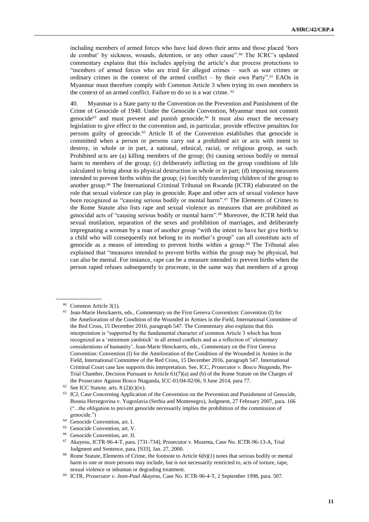including members of armed forces who have laid down their arms and those placed 'hors de combat' by sickness, wounds, detention, or any other cause".<sup>60</sup> The ICRC's updated commentary explains that this includes applying the article's due process protections to "members of armed forces who are tried for alleged crimes – such as war crimes or ordinary crimes in the context of the armed conflict – by their own Party".<sup>61</sup> EAOs in Myanmar must therefore comply with Common Article 3 when trying its own members in the context of an armed conflict. Failure to do so is a war crime. <sup>62</sup>

40. Myanmar is a State party to the Convention on the Prevention and Punishment of the Crime of Genocide of 1948. Under the Genocide Convention, Myanmar must not commit genocide<sup>63</sup> and must prevent and punish genocide.<sup>64</sup> It must also enact the necessary legislation to give effect to the convention and, in particular, provide effective penalties for persons guilty of genocide.<sup>65</sup> Article II of the Convention establishes that genocide is committed when a person or persons carry out a prohibited act or acts with intent to destroy, in whole or in part, a national, ethnical, racial, or religious group, as such. Prohibited acts are (a) killing members of the group; (b) causing serious bodily or mental harm to members of the group; (c) deliberately inflicting on the group conditions of life calculated to bring about its physical destruction in whole or in part; (d) imposing measures intended to prevent births within the group; (e) forcibly transferring children of the group to another group.<sup>66</sup> The International Criminal Tribunal on Rwanda (ICTR) elaborated on the role that sexual violence can play in genocide. Rape and other acts of sexual violence have been recognized as "causing serious bodily or mental harm".<sup>67</sup> The Elements of Crimes to the Rome Statute also lists rape and sexual violence as measures that are prohibited as genocidal acts of "causing serious bodily or mental harm".<sup>68</sup> Moreover, the ICTR held that sexual mutilation, separation of the sexes and prohibition of marriages, and deliberately impregnating a woman by a man of another group "with the intent to have her give birth to a child who will consequently not belong to its mother's group" can all constitute acts of genocide as a means of intending to prevent births within a group.<sup> $69$ </sup> The Tribunal also explained that "measures intended to prevent births within the group may be physical, but can also be mental. For instance, rape can be a measure intended to prevent births when the person raped refuses subsequently to procreate, in the same way that members of a group

<sup>60</sup> Common Article 3(1).

<sup>61</sup> Jean-Marie Henckaerts, eds., Commentary on the First Geneva Convention: Convention (I) for the Amelioration of the Condition of the Wounded in Armies in the Field, International Committee of the Red Cross, 15 December 2016, paragraph 547. The Commentary also explains that this interpretation is "supported by the fundamental character of common Article 3 which has been recognized as a 'minimum yardstick' in all armed conflicts and as a reflection of 'elementary considerations of humanity'. Jean-Marie Henckaerts, eds., Commentary on the First Geneva Convention: Convention (I) for the Amelioration of the Condition of the Wounded in Armies in the Field, International Committee of the Red Cross, 15 December 2016, paragraph 547. International Criminal Court case law supports this interpretation. See, ICC, *Prosecutor v. Bosco Ntaganda*, Pre-Trial Chamber, Decision Pursuant to Article 61(7)(a) and (b) of the Rome Statute on the Charges of the Prosecutor Against Bosco Ntaganda, ICC-01/04-02/06, 9 June 2014, para 77.

 $62$  See ICC Statute, arts. 8 (2)(c)(iv).

<sup>&</sup>lt;sup>63</sup> ICJ, Case Concerning Application of the Convention on the Prevention and Punishment of Genocide, Bosnia Herzegovina v. Yugoslavia (Serbia and Montenegro), Judgment, 27 February 2007, para. 166 ("...the obligation to prevent genocide necessarily implies the prohibition of the commission of genocide.")

<sup>64</sup> Genocide Convention, art. I.

<sup>65</sup> Genocide Convention, art. V.

Genocide Convention, art. II.

<sup>67</sup> Akayesu, ICTR-96-4-T, para. [731-734]; Prosecutor v. Musema, Case No. ICTR-96-13-A, Trial Judgment and Sentence, para. [933], Jan. 27, 2000.

 $68$  Rome Statute, Elements of Crime, the footnote to Article  $6(b)(1)$  notes that serious bodily or mental harm to one or more persons may include, but is not necessarily restricted to, acts of torture, rape, sexual violence or inhuman or degrading treatment.

<sup>69</sup> ICTR, *Prosecutor v. Jean-Paul Akayesu*, Case No. ICTR-96-4-T, 2 September 1998, para. 507.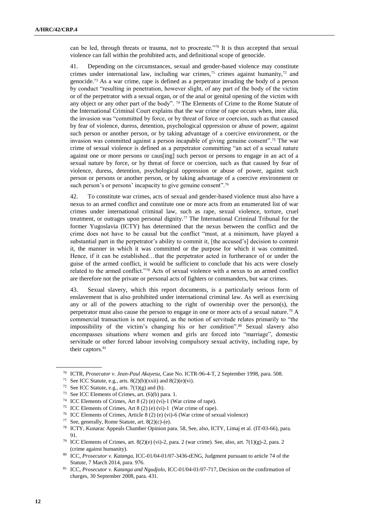can be led, through threats or trauma, not to procreate."<sup>70</sup> It is thus accepted that sexual violence can fall within the prohibited acts, and definitional scope of genocide.

41. Depending on the circumstances, sexual and gender-based violence may constitute crimes under international law, including war crimes,<sup>71</sup> crimes against humanity,<sup>72</sup> and genocide.<sup>73</sup> As a war crime, rape is defined as a perpetrator invading the body of a person by conduct "resulting in penetration, however slight, of any part of the body of the victim or of the perpetrator with a sexual organ, or of the anal or genital opening of the victim with any object or any other part of the body". <sup>74</sup> The Elements of Crime to the Rome Statute of the International Criminal Court explains that the war crime of rape occurs when, inter alia, the invasion was "committed by force, or by threat of force or coercion, such as that caused by fear of violence, duress, detention, psychological oppression or abuse of power, against such person or another person, or by taking advantage of a coercive environment, or the invasion was committed against a person incapable of giving genuine consent". <sup>75</sup> The war crime of sexual violence is defined as a perpetrator committing "an act of a sexual nature against one or more persons or caus[ing] such person or persons to engage in an act of a sexual nature by force, or by threat of force or coercion, such as that caused by fear of violence, duress, detention, psychological oppression or abuse of power, against such person or persons or another person, or by taking advantage of a coercive environment or such person's or persons' incapacity to give genuine consent".<sup>76</sup>

42. To constitute war crimes, acts of sexual and gender-based violence must also have a nexus to an armed conflict and constitute one or more acts from an enumerated list of war crimes under international criminal law, such as rape, sexual violence, torture, cruel treatment, or outrages upon personal dignity.<sup>77</sup> The International Criminal Tribunal for the former Yugoslavia (ICTY) has determined that the nexus between the conflict and the crime does not have to be causal but the conflict "must, at a minimum, have played a substantial part in the perpetrator's ability to commit it, [the accused's] decision to commit it, the manner in which it was committed or the purpose for which it was committed. Hence, if it can be established...that the perpetrator acted in furtherance of or under the guise of the armed conflict, it would be sufficient to conclude that his acts were closely related to the armed conflict."<sup>78</sup> Acts of sexual violence with a nexus to an armed conflict are therefore not the private or personal acts of fighters or commanders, but war crimes.

43. Sexual slavery, which this report documents, is a particularly serious form of enslavement that is also prohibited under international criminal law. As well as exercising any or all of the powers attaching to the right of ownership over the person(s), the perpetrator must also cause the person to engage in one or more acts of a sexual nature.<sup>79</sup> A commercial transaction is not required, as the notion of servitude relates primarily to "the impossibility of the victim's changing his or her condition".<sup>80</sup> Sexual slavery also encompasses situations where women and girls are forced into "marriage", domestic servitude or other forced labour involving compulsory sexual activity, including rape, by their captors.<sup>81</sup>

<sup>70</sup> ICTR, *Prosecutor v. Jean-Paul Akayesu*, Case No. ICTR-96-4-T, 2 September 1998, para. 508.

<sup>&</sup>lt;sup>71</sup> See ICC Statute, e.g., arts.  $8(2)(b)(xxii)$  and  $8(2)(e)(vi)$ .

 $72$  See ICC Statute, e.g., arts.  $7(1)(g)$  and (h).

<sup>73</sup> See ICC Elements of Crimes, art. (6)(b) para. 1.

<sup>74</sup> ICC Elements of Crimes, Art 8 (2) (e) (vi)-1 (War crime of rape).

<sup>75</sup> ICC Elements of Crimes, Art 8 (2) (e) (vi)-1 (War crime of rape).

<sup>76</sup> ICC Elements of Crimes, Article 8 (2) (e) (vi)-6 (War crime of sexual violence)

<sup>77</sup> See, generally, Rome Statute, art.  $8(2)(c)$ -(e).

<sup>78</sup> ICTY, Kunarac Appeals Chamber Opinion para. 58, See, also, ICTY, Limaj et al. (IT-03-66), para. 91.

<sup>&</sup>lt;sup>79</sup> ICC Elements of Crimes, art.  $8(2)(e)$  (vi)-2, para. 2 (war crime). See, also, art.  $7(1)(g)$ -2, para. 2 (crime against humanity).

<sup>80</sup> ICC, *Prosecutor v. Katanga,* ICC-01/04-01/07-3436-tENG, Judgment pursuant to article 74 of the Statute, 7 March 2014, para. 976.

<sup>81</sup> ICC, *Prosecutor v. Katanga and Ngudjolo*, ICC-01/04-01/07-717, Decision on the confirmation of charges, 30 September 2008, para. 431.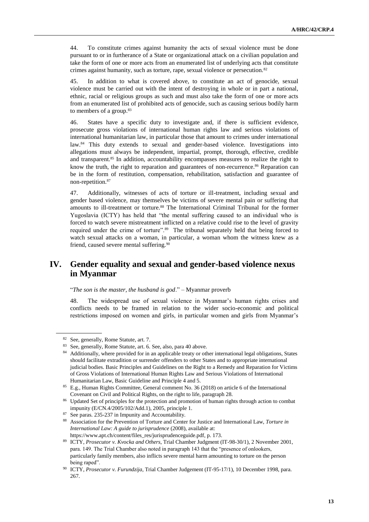44. To constitute crimes against humanity the acts of sexual violence must be done pursuant to or in furtherance of a State or organizational attack on a civilian population and take the form of one or more acts from an enumerated list of underlying acts that constitute crimes against humanity, such as torture, rape, sexual violence or persecution.<sup>82</sup>

45. In addition to what is covered above, to constitute an act of genocide, sexual violence must be carried out with the intent of destroying in whole or in part a national, ethnic, racial or religious groups as such and must also take the form of one or more acts from an enumerated list of prohibited acts of genocide, such as causing serious bodily harm to members of a group.<sup>83</sup>

46. States have a specific duty to investigate and, if there is sufficient evidence, prosecute gross violations of international human rights law and serious violations of international humanitarian law, in particular those that amount to crimes under international law.<sup>84</sup> This duty extends to sexual and gender-based violence. Investigations into allegations must always be independent, impartial, prompt, thorough, effective, credible and transparent.<sup>85</sup> In addition, accountability encompasses measures to realize the right to know the truth, the right to reparation and guarantees of non-recurrence.<sup>86</sup> Reparation can be in the form of restitution, compensation, rehabilitation, satisfaction and guarantee of non-repetition.<sup>87</sup>

47. Additionally, witnesses of acts of torture or ill-treatment, including sexual and gender based violence, may themselves be victims of severe mental pain or suffering that amounts to ill-treatment or torture.<sup>88</sup> The International Criminal Tribunal for the former Yugoslavia (ICTY) has held that "the mental suffering caused to an individual who is forced to watch severe mistreatment inflicted on a relative could rise to the level of gravity required under the crime of torture".<sup>89</sup> The tribunal separately held that being forced to watch sexual attacks on a woman, in particular, a woman whom the witness knew as a friend, caused severe mental suffering.<sup>90</sup>

# **IV. Gender equality and sexual and gender-based violence nexus in Myanmar**

### "*The son is the master, the husband is god*." – Myanmar proverb

48. The widespread use of sexual violence in Myanmar's human rights crises and conflicts needs to be framed in relation to the wider socio-economic and political restrictions imposed on women and girls, in particular women and girls from Myanmar's

<sup>82</sup> See, generally, Rome Statute, art. 7.

<sup>83</sup> See, generally, Rome Statute, art. 6. See, also, para 40 above.

<sup>84</sup> Additionally, where provided for in an applicable treaty or other international legal obligations, States should facilitate extradition or surrender offenders to other States and to appropriate international judicial bodies. Basic Principles and Guidelines on the Right to a Remedy and Reparation for Victims of Gross Violations of International Human Rights Law and Serious Violations of International Humanitarian Law, Basic Guideline and Principle 4 and 5.

<sup>85</sup> E.g., Human Rights Committee, General comment No. 36 (2018) on article 6 of the International Covenant on Civil and Political Rights, on the right to life, paragraph 28.

<sup>&</sup>lt;sup>86</sup> Updated Set of principles for the protection and promotion of human rights through action to combat impunity (E/CN.4/2005/102/Add.1), 2005, principle 1.

<sup>87</sup> See paras. 235-237 in Impunity and Accountability.

<sup>88</sup> Association for the Prevention of Torture and Center for Justice and International Law, *Torture in International Law: A guide to jurisprudence* (2008), available at: [https://www.apt.ch/content/files\\_res/jurisprudenceguide.pdf,](https://www.apt.ch/content/files_res/jurisprudenceguide.pdf) p. 173.

<sup>89</sup> ICTY, *Prosecutor v. Kvocka and Others*, Trial Chamber Judgment (IT-98-30/1), 2 November 2001, para. 149. The Trial Chamber also noted in paragraph 143 that the "presence of onlookers, particularly family members, also inflicts severe mental harm amounting to torture on the person being raped".

<sup>90</sup> ICTY, *Prosecutor v. Furundzija*, Trial Chamber Judgement (IT-95-17/1), 10 December 1998, para. 267.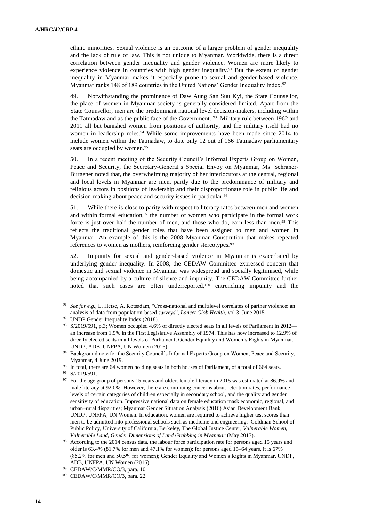ethnic minorities. Sexual violence is an outcome of a larger problem of gender inequality and the lack of rule of law. This is not unique to Myanmar. Worldwide, there is a direct correlation between gender inequality and gender violence. Women are more likely to experience violence in countries with high gender inequality.<sup>91</sup> But the extent of gender inequality in Myanmar makes it especially prone to sexual and gender-based violence. Myanmar ranks 148 of 189 countries in the United Nations' Gender Inequality Index.<sup>92</sup>

49. Notwithstanding the prominence of Daw Aung San Suu Kyi, the State Counsellor, the place of women in Myanmar society is generally considered limited. Apart from the State Counsellor, men are the predominant national level decision-makers, including within the Tatmadaw and as the public face of the Government.  $93$  Military rule between 1962 and 2011 all but banished women from positions of authority, and the military itself had no women in leadership roles.<sup>94</sup> While some improvements have been made since 2014 to include women within the Tatmadaw, to date only 12 out of 166 Tatmadaw parliamentary seats are occupied by women.<sup>95</sup>

50. In a recent meeting of the Security Council's Informal Experts Group on Women, Peace and Security, the Secretary-General's Special Envoy on Myanmar, Ms. Schraner-Burgener noted that, the overwhelming majority of her interlocutors at the central, regional and local levels in Myanmar are men, partly due to the predominance of military and religious actors in positions of leadership and their disproportionate role in public life and decision-making about peace and security issues in particular.<sup>96</sup>

51. While there is close to parity with respect to literacy rates between men and women and within formal education, $97$  the number of women who participate in the formal work force is just over half the number of men, and those who do, earn less than men.<sup>98</sup> This reflects the traditional gender roles that have been assigned to men and women in Myanmar. An example of this is the 2008 Myanmar Constitution that makes repeated references to women as mothers, reinforcing gender stereotypes.<sup>99</sup>

52. Impunity for sexual and gender-based violence in Myanmar is exacerbated by underlying gender inequality. In 2008, the CEDAW Committee expressed concern that domestic and sexual violence in Myanmar was widespread and socially legitimised, while being accompanied by a culture of silence and impunity. The CEDAW Committee further noted that such cases are often underreported,<sup>100</sup> entrenching impunity and the

<sup>95</sup> In total, there are 64 women holding seats in both houses of Parliament, of a total of 664 seats.

<sup>97</sup> For the age group of persons 15 years and older, female literacy in 2015 was estimated at 86.9% and male literacy at 92.0%: However, there are continuing concerns about retention rates, performance levels of certain categories of children especially in secondary school, and the quality and gender sensitivity of education. Impressive national data on female education mask economic, regional, and urban–rural disparities; Myanmar Gender Situation Analysis (2016) Asian Development Bank, UNDP, UNFPA, UN Women. In education, women are required to achieve higher test scores than men to be admitted into professional schools such as medicine and engineering; Goldman School of Public Policy, University of California, Berkeley, The Global Justice Center, *Vulnerable Women, Vulnerable Land, Gender Dimensions of Land Grabbing in Myanmar* (May 2017).

<sup>91</sup> *See for e.g.,* L. Heise, A. Kotsadam, "Cross-national and multilevel correlates of partner violence: an analysis of data from population-based surveys", *Lancet Glob Health*, vol 3, June 2015.

<sup>92</sup> UNDP Gender Inequality Index (2018).

<sup>93</sup> S/2019/591, p.3; Women occupied 4.6% of directly elected seats in all levels of Parliament in 2012an increase from 1.9% in the First Legislative Assembly of 1974. This has now increased to 12.9% of directly elected seats in all levels of Parliament; Gender Equality and Women's Rights in Myanmar, UNDP, ADB, UNFPA, UN Women (2016).

<sup>&</sup>lt;sup>94</sup> Background note for the Security Council's Informal Experts Group on Women, Peace and Security, Myanmar, 4 June 2019.

<sup>96</sup> S/2019/591.

<sup>&</sup>lt;sup>98</sup> According to the 2014 census data, the labour force participation rate for persons aged 15 years and older is 63.4% (81.7% for men and 47.1% for women); for persons aged 15–64 years, it is 67% (85.2% for men and 50.5% for women); Gender Equality and Women's Rights in Myanmar, UNDP, ADB, UNFPA, UN Women (2016).

<sup>99</sup> CEDAW/C/MMR/CO/3, para. 10.

<sup>100</sup> CEDAW/C/MMR/CO/3, para. 22.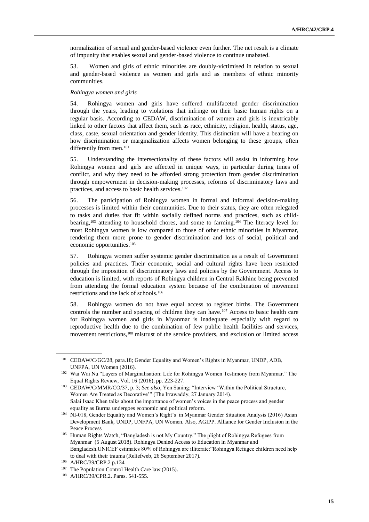normalization of sexual and gender-based violence even further. The net result is a climate of impunity that enables sexual and gender-based violence to continue unabated.

53. Women and girls of ethnic minorities are doubly-victimised in relation to sexual and gender-based violence as women and girls and as members of ethnic minority communities.

#### *Rohingya women and girls*

54. Rohingya women and girls have suffered multifaceted gender discrimination through the years, leading to violations that infringe on their basic human rights on a regular basis. According to CEDAW, discrimination of women and girls is inextricably linked to other factors that affect them, such as race, ethnicity, religion, health, status, age, class, caste, sexual orientation and gender identity. This distinction will have a bearing on how discrimination or marginalization affects women belonging to these groups, often differently from men.<sup>101</sup>

55. Understanding the intersectionality of these factors will assist in informing how Rohingya women and girls are affected in unique ways, in particular during times of conflict, and why they need to be afforded strong protection from gender discrimination through empowerment in decision-making processes, reforms of discriminatory laws and practices, and access to basic health services.<sup>102</sup>

56. The participation of Rohingya women in formal and informal decision-making processes is limited within their communities. Due to their status, they are often relegated to tasks and duties that fit within socially defined norms and practices, such as childbearing,<sup>103</sup> attending to household chores, and some to farming.<sup>104</sup> The literacy level for most Rohingya women is low compared to those of other ethnic minorities in Myanmar, rendering them more prone to gender discrimination and loss of social, political and economic opportunities.<sup>105</sup>

57. Rohingya women suffer systemic gender discrimination as a result of Government policies and practices. Their economic, social and cultural rights have been restricted through the imposition of discriminatory laws and policies by the Government. Access to education is limited, with reports of Rohingya children in Central Rakhine being prevented from attending the formal education system because of the combination of movement restrictions and the lack of schools.<sup>106</sup>

58. Rohingya women do not have equal access to register births. The Government controls the number and spacing of children they can have.<sup>107</sup> Access to basic health care for Rohingya women and girls in Myanmar is inadequate especially with regard to reproductive health due to the combination of few public health facilities and services, movement restrictions,<sup>108</sup> mistrust of the service providers, and exclusion or limited access

<sup>101</sup> CEDAW/C/GC/28, para.18; Gender Equality and Women's Rights in Myanmar, UNDP, ADB, UNFPA, UN Women (2016).

<sup>102</sup> Wai Wai Nu "Layers of Marginalisation: Life for Rohingya Women Testimony from Myanmar." The Equal Rights Review, Vol. 16 (2016), pp. 223-227.

<sup>103</sup> CEDAW/C/MMR/CO/37, p. 3; *See also*, Yen Saning; "Interview 'Within the Political Structure, Women Are Treated as Decorative'" (The Irrawaddy, 27 January 2014). Salai Isaac Khen talks about the importance of women's voices in the peace process and gender equality as Burma undergoes economic and political reform.

<sup>104</sup> NI-018, Gender Equality and Women's Right's in Myanmar Gender Situation Analysis (2016) Asian Development Bank, UNDP, UNFPA, UN Women. Also, AGIPP. Alliance for Gender Inclusion in the Peace Process

<sup>105</sup> Human Rights Watch, "Bangladesh is not My Country." The plight of Rohingya Refugees from Myanmar (5 August 2018). Rohingya Denied Access to Education in Myanmar and Bangladesh.UNICEF estimates 80% of Rohingya are illiterate:"Rohingya Refugee children need help to deal with their trauma (Reliefweb, 26 September 2017).

<sup>106</sup> A/HRC/39/CRP.2 p.134

<sup>&</sup>lt;sup>107</sup> The Population Control Health Care law (2015).

<sup>108</sup> A/HRC/39/CPR.2. Paras. 541-555.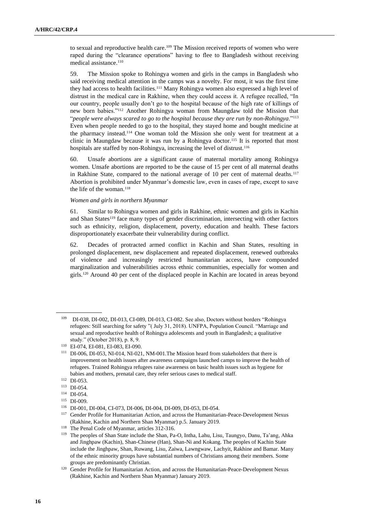to sexual and reproductive health care.<sup>109</sup> The Mission received reports of women who were raped during the "clearance operations" having to flee to Bangladesh without receiving medical assistance.<sup>110</sup>

59. The Mission spoke to Rohingya women and girls in the camps in Bangladesh who said receiving medical attention in the camps was a novelty. For most, it was the first time they had access to health facilities.<sup>111</sup> Many Rohingya women also expressed a high level of distrust in the medical care in Rakhine, when they could access it. A refugee recalled, "In our country, people usually don't go to the hospital because of the high rate of killings of new born babies."<sup>112</sup> Another Rohingya woman from Maungdaw told the Mission that "*people were always scared to go to the hospital because they are run by non-Rohingya*."<sup>113</sup> Even when people needed to go to the hospital, they stayed home and bought medicine at the pharmacy instead.<sup>114</sup> One woman told the Mission she only went for treatment at a clinic in Maungdaw because it was run by a Rohingya doctor.<sup>115</sup> It is reported that most hospitals are staffed by non-Rohingya, increasing the level of distrust.<sup>116</sup>

60. Unsafe abortions are a significant cause of maternal mortality among Rohingya women. Unsafe abortions are reported to be the cause of 15 per cent of all maternal deaths in Rakhine State, compared to the national average of 10 per cent of maternal deaths.<sup>117</sup> Abortion is prohibited under Myanmar's domestic law, even in cases of rape, except to save the life of the woman.<sup>118</sup>

### *Women and girls in northern Myanmar*

61. Similar to Rohingya women and girls in Rakhine, ethnic women and girls in Kachin and Shan States<sup>119</sup> face many types of gender discrimination, intersecting with other factors such as ethnicity, religion, displacement, poverty, education and health. These factors disproportionately exacerbate their vulnerability during conflict.

62. Decades of protracted armed conflict in Kachin and Shan States, resulting in prolonged displacement, new displacement and repeated displacement, renewed outbreaks of violence and increasingly restricted humanitarian access, have compounded marginalization and vulnerabilities across ethnic communities, especially for women and girls.<sup>120</sup> Around 40 per cent of the displaced people in Kachin are located in areas beyond

<sup>109</sup> DI-038, DI-002, DI-013, CI-089, DI-013, CI-082. See also, Doctors without borders "Rohingya refugees: Still searching for safety "( July 31, 2018). UNFPA, Population Council. "Marriage and sexual and reproductive health of Rohingya adolescents and youth in Bangladesh; a qualitative study." (October 2018), p. 8, 9.

<sup>110</sup> EI-074, EI-081, EI-083, EI-090.

<sup>111</sup> DI-006, DI-053, NI-014, NI-021, NM-001.The Mission heard from stakeholders that there is improvement on health issues after awareness campaigns launched camps to improve the health of refugees. Trained Rohingya refugees raise awareness on basic health issues such as hygiene for babies and mothers, prenatal care, they refer serious cases to medical staff.

<sup>112</sup> DI-053.

<sup>113</sup> DI-054.

<sup>114</sup> DI-054.

<sup>115</sup> DI-009.

<sup>116</sup> DI-001, DI-004, CI-073, DI-006, DI-004, DI-009, DI-053, DI-054.

<sup>117</sup> Gender Profile for Humanitarian Action, and across the Humanitarian-Peace-Development Nexus (Rakhine, Kachin and Northern Shan Myanmar) p.5. January 2019.

<sup>118</sup> The Penal Code of Myanmar, articles 312-316.

<sup>&</sup>lt;sup>119</sup> The peoples of Shan State include the Shan, Pa-O, Intha, Lahu, Lisu, Taungyo, Danu, Ta'ang, Ahka and Jinghpaw (Kachin), Shan-Chinese (Han), Shan-Ni and Kokang. The peoples of Kachin State include the Jinghpaw, Shan, Ruwang, Lisu, Zaiwa, Lawngwaw, Lachyit, Rakhine and Bamar. Many of the ethnic minority groups have substantial numbers of Christians among their members. Some groups are predominantly Christian.

<sup>&</sup>lt;sup>120</sup> Gender Profile for Humanitarian Action, and across the Humanitarian-Peace-Development Nexus (Rakhine, Kachin and Northern Shan Myanmar) January 2019.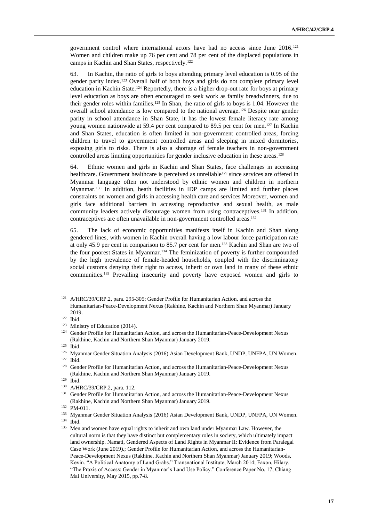government control where international actors have had no access since June 2016.<sup>121</sup> Women and children make up 76 per cent and 78 per cent of the displaced populations in camps in Kachin and Shan States, respectively.<sup>122</sup>

63. In Kachin, the ratio of girls to boys attending primary level education is 0.95 of the gender parity index.<sup>123</sup> Overall half of both boys and girls do not complete primary level education in Kachin State.<sup>124</sup> Reportedly, there is a higher drop-out rate for boys at primary level education as boys are often encouraged to seek work as family breadwinners, due to their gender roles within families.<sup>125</sup> In Shan, the ratio of girls to boys is 1.04. However the overall school attendance is low compared to the national average.<sup>126</sup> Despite near gender parity in school attendance in Shan State, it has the lowest female literacy rate among young women nationwide at 59.4 per cent compared to 89.5 per cent for men.<sup>127</sup> In Kachin and Shan States, education is often limited in non-government controlled areas, forcing children to travel to government controlled areas and sleeping in mixed dormitories, exposing girls to risks. There is also a shortage of female teachers in non-government controlled areas limiting opportunities for gender inclusive education in these areas.<sup>128</sup>

64. Ethnic women and girls in Kachin and Shan States, face challenges in accessing healthcare. Government healthcare is perceived as unreliable<sup>129</sup> since services are offered in Myanmar language often not understood by ethnic women and children in northern Myanmar.<sup>130</sup> In addition, heath facilities in IDP camps are limited and further places constraints on women and girls in accessing health care and services Moreover, women and girls face additional barriers in accessing reproductive and sexual health, as male community leaders actively discourage women from using contraceptives.<sup>131</sup> In addition, contraceptives are often unavailable in non-government controlled areas.<sup>132</sup>

65. The lack of economic opportunities manifests itself in Kachin and Shan along gendered lines, with women in Kachin overall having a low labour force participation rate at only 45.9 per cent in comparison to 85.7 per cent for men.<sup>133</sup> Kachin and Shan are two of the four poorest States in Myanmar.<sup>134</sup> The feminization of poverty is further compounded by the high prevalence of female-headed households, coupled with the discriminatory social customs denying their right to access, inherit or own land in many of these ethnic communities.<sup>135</sup> Prevailing insecurity and poverty have exposed women and girls to

<sup>134</sup> Ibid.

<sup>121</sup> A/HRC/39/CRP.2, para. 295-305; Gender Profile for Humanitarian Action, and across the Humanitarian-Peace-Development Nexus (Rakhine, Kachin and Northern Shan Myanmar) January 2019.

<sup>122</sup> Ibid.

<sup>&</sup>lt;sup>123</sup> Ministry of Education (2014).

<sup>&</sup>lt;sup>124</sup> Gender Profile for Humanitarian Action, and across the Humanitarian-Peace-Development Nexus (Rakhine, Kachin and Northern Shan Myanmar) January 2019. <sup>125</sup> Ibid.

<sup>126</sup> Myanmar Gender Situation Analysis (2016) Asian Development Bank, UNDP, UNFPA, UN Women. <sup>127</sup> Ibid.

<sup>128</sup> Gender Profile for Humanitarian Action, and across the Humanitarian-Peace-Development Nexus (Rakhine, Kachin and Northern Shan Myanmar) January 2019.

<sup>129</sup> Ibid.

<sup>130</sup> A/HRC/39/CRP.2, para. 112.

<sup>&</sup>lt;sup>131</sup> Gender Profile for Humanitarian Action, and across the Humanitarian-Peace-Development Nexus (Rakhine, Kachin and Northern Shan Myanmar) January 2019.

<sup>132</sup> PM-011.

<sup>133</sup> Myanmar Gender Situation Analysis (2016) Asian Development Bank, UNDP, UNFPA, UN Women.

<sup>&</sup>lt;sup>135</sup> Men and women have equal rights to inherit and own land under Myanmar Law. However, the cultural norm is that they have distinct but complementary roles in society, which ultimately impact land ownership. Namati, Gendered Aspects of Land Rights in Myanmar II: Evidence from Paralegal Case Work (June 2019).; Gender Profile for Humanitarian Action, and across the Humanitarian-Peace-Development Nexus (Rakhine, Kachin and Northern Shan Myanmar) January 2019; Woods, Kevin. "A Political Anatomy of Land Grabs." Transnational Institute, March 2014; Faxon, Hilary. "The Praxis of Access: Gender in Myanmar's Land Use Policy." Conference Paper No. 17, Chiang Mai University, May 2015, pp.7-8.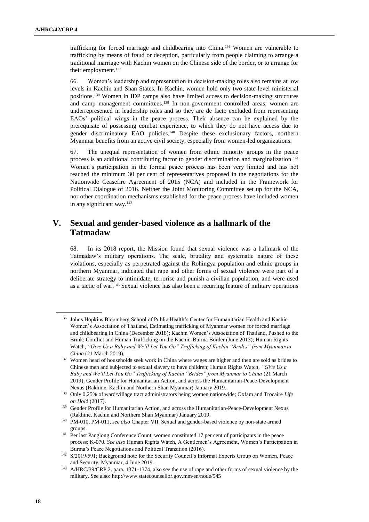trafficking for forced marriage and childbearing into China.<sup>136</sup> Women are vulnerable to trafficking by means of fraud or deception, particularly from people claiming to arrange a traditional marriage with Kachin women on the Chinese side of the border, or to arrange for their employment.<sup>137</sup>

66. Women's leadership and representation in decision-making roles also remains at low levels in Kachin and Shan States. In Kachin, women hold only two state-level ministerial positions.<sup>138</sup> Women in IDP camps also have limited access to decision-making structures and camp management committees.<sup>139</sup> In non-government controlled areas, women are underrepresented in leadership roles and so they are de facto excluded from representing EAOs' political wings in the peace process. Their absence can be explained by the prerequisite of possessing combat experience, to which they do not have access due to gender discriminatory EAO policies.<sup>140</sup> Despite these exclusionary factors, northern Myanmar benefits from an active civil society, especially from women-led organizations.

67. The unequal representation of women from ethnic minority groups in the peace process is an additional contributing factor to gender discrimination and marginalization.<sup>141</sup> Women's participation in the formal peace process has been very limited and has not reached the minimum 30 per cent of representatives proposed in the negotiations for the Nationwide Ceasefire Agreement of 2015 (NCA) and included in the Framework for Political Dialogue of 2016. Neither the Joint Monitoring Committee set up for the NCA, nor other coordination mechanisms established for the peace process have included women in any significant way.<sup>142</sup>

# **V. Sexual and gender-based violence as a hallmark of the Tatmadaw**

68. In its 2018 report, the Mission found that sexual violence was a hallmark of the Tatmadaw's military operations. The scale, brutality and systematic nature of these violations, especially as perpetrated against the Rohingya population and ethnic groups in northern Myanmar, indicated that rape and other forms of sexual violence were part of a deliberate strategy to intimidate, terrorise and punish a civilian population, and were used as a tactic of war.<sup>143</sup> Sexual violence has also been a recurring feature of military operations

<sup>136</sup> Johns Hopkins Bloomberg School of Public Health's Center for Humanitarian Health and Kachin Women's Association of Thailand, Estimating trafficking of Myanmar women for forced marriage and childbearing in China (December 2018); Kachin Women's Association of Thailand, Pushed to the Brink: Conflict and Human Trafficking on the Kachin-Burma Border (June 2013); Human Rights Watch, *"Give Us a Baby and We'll Let You Go" Trafficking of Kachin "Brides" from Myanmar to China* (21 March 2019).

<sup>&</sup>lt;sup>137</sup> Women head of households seek work in China where wages are higher and then are sold as brides to Chinese men and subjected to sexual slavery to have children; Human Rights Watch, *"Give Us a Baby and We'll Let You Go" Trafficking of Kachin "Brides" from Myanmar to China* (21 March 2019); Gender Profile for Humanitarian Action, and across the Humanitarian-Peace-Development Nexus (Rakhine, Kachin and Northern Shan Myanmar) January 2019.

<sup>138</sup> Only 0,25% of ward/village tract administrators being women nationwide; Oxfam and Trocaire *Life on Hol*d (2017).

<sup>139</sup> Gender Profile for Humanitarian Action, and across the Humanitarian-Peace-Development Nexus (Rakhine, Kachin and Northern Shan Myanmar) January 2019.

<sup>140</sup> PM-010, PM-011, *see also* Chapter VII. Sexual and gender-based violence by non-state armed groups.

<sup>&</sup>lt;sup>141</sup> Per last Panglong Conference Count, women constituted 17 per cent of participants in the peace process; K-070. *See also* Human Rights Watch, A Gentlemen's Agreement, Women's Participation in Burma's Peace Negotiations and Political Transition (2016).

<sup>142</sup> S/2019/591; Background note for the Security Council's Informal Experts Group on Women, Peace and Security, Myanmar, 4 June 2019.

<sup>143</sup> A/HRC/39/CRP.2. para. 1371-1374, also see the use of rape and other forms of sexual violence by the military. See also: http://www.statecounsellor.gov.mm/en/node/545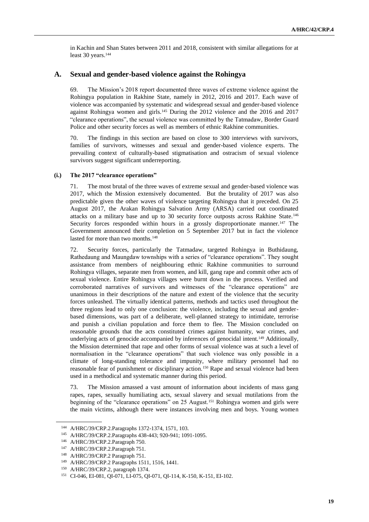in Kachin and Shan States between 2011 and 2018, consistent with similar allegations for at least 30 years.<sup>144</sup>

### **A. Sexual and gender-based violence against the Rohingya**

69. The Mission's 2018 report documented three waves of extreme violence against the Rohingya population in Rakhine State, namely in 2012, 2016 and 2017. Each wave of violence was accompanied by systematic and widespread sexual and gender-based violence against Rohingya women and girls.<sup>145</sup> During the 2012 violence and the 2016 and 2017 "clearance operations", the sexual violence was committed by the Tatmadaw, Border Guard Police and other security forces as well as members of ethnic Rakhine communities.

70. The findings in this section are based on close to 300 interviews with survivors, families of survivors, witnesses and sexual and gender-based violence experts. The prevailing context of culturally-based stigmatisation and ostracism of sexual violence survivors suggest significant underreporting.

#### **(i.) The 2017 "clearance operations"**

71. The most brutal of the three waves of extreme sexual and gender-based violence was 2017, which the Mission extensively documented. But the brutality of 2017 was also predictable given the other waves of violence targeting Rohingya that it preceded. On 25 August 2017, the Arakan Rohingya Salvation Army (ARSA) carried out coordinated attacks on a military base and up to 30 security force outposts across Rakhine State.<sup>146</sup> Security forces responded within hours in a grossly disproportionate manner.<sup>147</sup> The Government announced their completion on 5 September 2017 but in fact the violence lasted for more than two months.<sup>148</sup>

72. Security forces, particularly the Tatmadaw, targeted Rohingya in Buthidaung, Rathedaung and Maungdaw townships with a series of "clearance operations". They sought assistance from members of neighbouring ethnic Rakhine communities to surround Rohingya villages, separate men from women, and kill, gang rape and commit other acts of sexual violence. Entire Rohingya villages were burnt down in the process. Verified and corroborated narratives of survivors and witnesses of the "clearance operations" are unanimous in their descriptions of the nature and extent of the violence that the security forces unleashed. The virtually identical patterns, methods and tactics used throughout the three regions lead to only one conclusion: the violence, including the sexual and genderbased dimensions, was part of a deliberate, well-planned strategy to intimidate, terrorise and punish a civilian population and force them to flee. The Mission concluded on reasonable grounds that the acts constituted crimes against humanity, war crimes, and underlying acts of genocide accompanied by inferences of genocidal intent.<sup>149</sup> Additionally, the Mission determined that rape and other forms of sexual violence was at such a level of normalisation in the "clearance operations" that such violence was only possible in a climate of long-standing tolerance and impunity, where military personnel had no reasonable fear of punishment or disciplinary action.<sup>150</sup> Rape and sexual violence had been used in a methodical and systematic manner during this period.

73. The Mission amassed a vast amount of information about incidents of mass gang rapes, rapes, sexually humiliating acts, sexual slavery and sexual mutilations from the beginning of the "clearance operations" on 25 August.<sup>151</sup> Rohingya women and girls were the main victims, although there were instances involving men and boys. Young women

<sup>144</sup> A/HRC/39/CRP.2.Paragraphs 1372-1374, 1571, 103.

<sup>145</sup> A/HRC/39/CRP.2.Paragraphs 438-443; 920-941; 1091-1095.

<sup>146</sup> A/HRC/39/CRP.2.Paragraph 750.

<sup>147</sup> A/HRC/39/CRP.2.Paragraph 751.

<sup>148</sup> A/HRC/39/CRP.2 Paragraph 751.

<sup>149</sup> A/HRC/39/CRP.2 Paragraphs 1511, 1516, 1441.

<sup>150</sup> A/HRC/39/CRP.2, paragraph 1374.

<sup>151</sup> CI-046, EI-081, QI-071, LI-075, QI-071, QI-114, K-150, K-151, EI-102.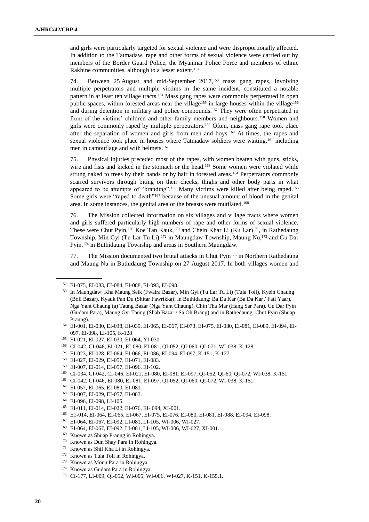and girls were particularly targeted for sexual violence and were disproportionally affected. In addition to the Tatmadaw, rape and other forms of sexual violence were carried out by members of the Border Guard Police, the Myanmar Police Force and members of ethnic Rakhine communities, although to a lesser extent.<sup>152</sup>

74. Between 25 August and mid-September 2017,<sup>153</sup> mass gang rapes, involving multiple perpetrators and multiple victims in the same incident, constituted a notable pattern in at least ten village tracts.<sup>154</sup> Mass gang rapes were commonly perpetrated in open public spaces, within forested areas near the village<sup>155</sup> in large houses within the village<sup>156</sup> and during detention in military and police compounds.<sup>157</sup> They were often perpetrated in front of the victims' children and other family members and neighbours.<sup>158</sup> Women and girls were commonly raped by multiple perpetrators.<sup>159</sup> Often, mass gang rape took place after the separation of women and girls from men and boys.<sup>160</sup> At times, the rapes and sexual violence took place in houses where Tatmadaw soldiers were waiting,<sup>161</sup> including men in camouflage and with helmets.<sup>162</sup>

75. Physical injuries preceded most of the rapes, with women beaten with guns, sticks, wire and fists and kicked in the stomach or the head.<sup>163</sup> Some women were violated while strung naked to trees by their hands or by hair in forested areas.<sup>164</sup> Perpetrators commonly scarred survivors through biting on their cheeks, thighs and other body parts in what appeared to be attempts of "branding".<sup>165</sup> Many victims were killed after being raped.<sup>166</sup> Some girls were "raped to death"<sup>167</sup> because of the unusual amount of blood in the genital area. In some instances, the genital area or the breasts were mutilated.<sup>168</sup>

76. The Mission collected information on six villages and village tracts where women and girls suffered particularly high numbers of rape and other forms of sexual violence. These were Chut Pyin,<sup>169</sup> Koe Tan Kauk,<sup>170</sup> and Chein Khar Li (Ku Lar)<sup>171</sup>, in Rathedaung Township, Min Gyi (Tu Lar Tu Li),<sup>172</sup> in Maungdaw Township, Maung Nu,<sup>173</sup> and Gu Dar Pyin,<sup>174</sup> in Buthidaung Township and areas in Southern Maungdaw.

77. The Mission documented two brutal attacks in Chut Pyin<sup>175</sup> in Northern Rathedaung and Maung Nu in Buthidaung Township on 27 August 2017. In both villages women and

- <sup>156</sup> CI-042, CI-046, EI-021, EI-080, EI-081, QI-052, QI-060, QI-071, WI-038, K-128.
- <sup>157</sup> EI-023, EI-028, EI-064, EI-066, EI-086, EI-094, EI-097, K-151, K-127.
- <sup>158</sup> EI-027, EI-029, EI-057, EI-071, EI-083.
- <sup>159</sup> EI-007, EI-014, EI-057, EI-096, EI-102.
- <sup>160</sup> CI-034, CI-042, CI-046, EI-021, EI-080, EI-081, EI-097, QI-052, QI-60, QI-072, WI-038, K-151.
- <sup>161</sup> CI-042, CI-046, EI-080, EI-081, EI-097, QI-052, QI-060, QI-072, WI-038, K-151.
- <sup>162</sup> EI-057, EI-065, EI-080, EI-081.
- <sup>163</sup> EI-007, EI-029, EI-057, EI-083.
- <sup>164</sup> EI-096, EI-098, LI-105.
- <sup>165</sup> EI-011, EI-014, EI-022, EI-076, EI- 094, XI-001.
- <sup>166</sup> E1-014, EI-064, EI-065, EI-067, EI-075, EI-076, EI-080, EI-081, EI-088, EI-094, EI-098.
- <sup>167</sup> EI-064, EI-067, EI-092, LI-081, LI-105, WI-006, WI-027.
- <sup>168</sup> EI-064, EI-067, EI-092, LI-081, LI-105, WI-006, WI-027, XI-001.
- <sup>169</sup> Known as Shuap Praung in Rohingya.
- <sup>170</sup> Known as Dun Shay Para in Rohingya.
- <sup>171</sup> Known as Shil Kha Li in Rohingya.
- <sup>172</sup> Known as Tula Toli in Rohingya.
- <sup>173</sup> Known as Monu Para in Rohingya.
- <sup>174</sup> Known as Gudam Para in Rohingya.
- <sup>175</sup> CI-177, LI-009, QI-052, WI-005, WI-006, WI-027, K-151, K-155.1.

<sup>152</sup> EI-075, EI-083, EI-084, EI-088, EI-093, EI-098.

<sup>153</sup> In Maungdaw: Kha Maung Seik (Fwaira Bazar), Min Gyi (Tu Lar Tu Li) (Tula Toli), Kyein Chaung (Boli Bazar), Kyauk Pan Du (Shitar Fawrikka); in Buthidaung: Ba Da Kar (Ba Da Kar / Fati Yaar), Nga Yant Chaung (a) Taung Bazar (Nga Yant Chaung), Chin Tha Mar (Hang Sar Para), Gu Dar Pyin (Gudam Para), Maung Gyi Taung (Shab Bazar / Sa Oh Brang) and in Rathedaung: Chut Pyin (Shuap Praung).

<sup>154</sup> EI-001, EI-030, EI-038, EI-039, EI-065, EI-067, EI-073, EI-075, EI-080, EI-081, EI-089, EI-094, EI-097, EI-098, LI-105, K-128

<sup>155</sup> EI-021, EI-027, EI-030, EI-064, YI-030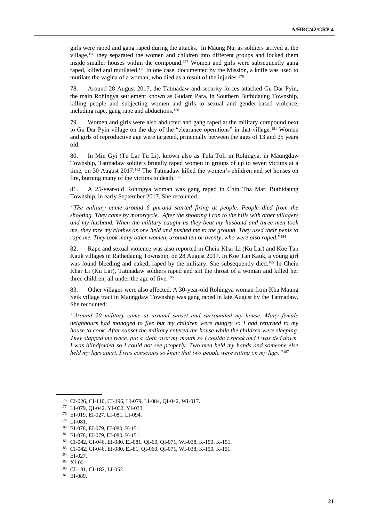girls were raped and gang raped during the attacks. In Maung Nu, as soldiers arrived at the village,<sup>176</sup> they separated the women and children into different groups and locked them inside smaller houses within the compound.<sup>177</sup> Women and girls were subsequently gang raped, killed and mutilated.<sup>178</sup> In one case, documented by the Mission, a knife was used to mutilate the vagina of a woman, who died as a result of the injuries.<sup>179</sup>

78. Around 28 August 2017, the Tatmadaw and security forces attacked Gu Dar Pyin, the main Rohingya settlement known as Gudam Para, in Southern Buthidaung Township, killing people and subjecting women and girls to sexual and gender-based violence, including rape, gang rape and abductions.<sup>180</sup>

79. Women and girls were also abducted and gang raped at the military compound next to Gu Dar Pyin village on the day of the "clearance operations" in that village.<sup>181</sup> Women and girls of reproductive age were targeted, principally between the ages of 13 and 25 years old.

80. In Min Gyi (Tu Lar Tu Li), known also as Tula Toli in Rohingya, in Maungdaw Township, Tatmadaw soldiers brutally raped women in groups of up to seven victims at a time, on 30 August 2017.<sup>182</sup> The Tatmadaw killed the women's children and set houses on fire, burning many of the victims to death.<sup>183</sup>

81. A 25-year-old Rohingya woman was gang raped in Chin Tha Mar, Buthidaung Township, in early September 2017. She recounted:

*"The military came around 6 pm and started firing at people. People died from the shooting. They came by motorcycle. After the shooting I ran to the hills with other villagers and my husband. When the military caught us they beat my husband and three men took me, they tore my clothes as one held and pushed me to the ground. They used their penis to rape me. They took many other women, around ten or twenty, who were also raped.*" 184

82. Rape and sexual violence was also reported in Chein Khar Li (Ku Lar) and Koe Tan Kauk villages in Rathedaung Township, on 28 August 2017. In Koe Tan Kauk, a young girl was found bleeding and naked, raped by the military. She subsequently died.<sup>185</sup> In Chein Khar Li (Ku Lar), Tatmadaw soldiers raped and slit the throat of a woman and killed her three children, all under the age of five.<sup>186</sup>

83. Other villages were also affected. A 30-year-old Rohingya woman from Kha Maung Seik village tract in Maungdaw Township was gang raped in late August by the Tatmadaw. She recounted:

*"Around 20 military came at around sunset and surrounded my house. Many female neighbours had managed to flee but my children were hungry so I had returned to my house to cook. After sunset the military entered the house while the children were sleeping. They slapped me twice, put a cloth over my mouth so I couldn't speak and I was tied down. I was blindfolded so I could not see properly. Two men held my hands and someone else held my legs apart. I was conscious so knew that two people were sitting on my legs."*<sup>187</sup>

<sup>176</sup> CI-026, CI-110, CI-196, LI-079, LI-084, QI-042, WI-017.

<sup>177</sup> LI-079, QI-042, YI-032, YI-033.

<sup>178</sup> EI-019, EI-027, LI-081, LI-094.

<sup>179</sup> LI-081.

<sup>180</sup> EI-078, EI-079, EI-080, K-151.

<sup>181</sup> EI-078, EI-079, EI-080, K-151.

<sup>182</sup> CI-042, CI-046, EI-080, EI-081, QI-60, QI-071, WI-038, K-150, K-151.

<sup>183</sup> CI-042, CI-046, EI-080, EI-81, QI-060, QI-071, WI-038, K-150, K-151.

<sup>184</sup> EI-027.

<sup>185</sup> XI-001.

<sup>186</sup> CI-181, CI-182, LI-052.

<sup>187</sup> EI-089.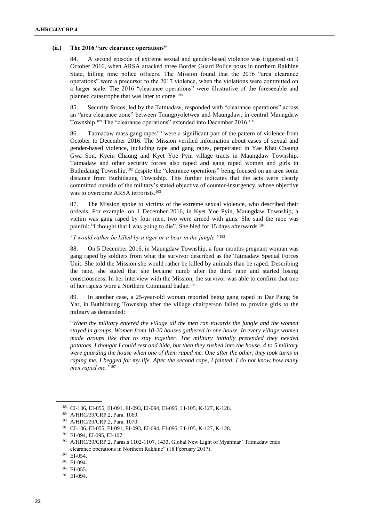#### **(ii.) The 2016 "are clearance operations"**

84. A second episode of extreme sexual and gender-based violence was triggered on 9 October 2016, when ARSA attacked three Border Guard Police posts in northern Rakhine State, killing nine police officers. The Mission found that the 2016 "area clearance operations" were a precursor to the 2017 violence, when the violations were committed on a larger scale. The 2016 "clearance operations" were illustrative of the foreseeable and planned catastrophe that was later to come.<sup>188</sup>

85. Security forces, led by the Tatmadaw, responded with "clearance operations" across an "area clearance zone" between Taungpyoletwea and Maungdaw, in central Maungdaw Township.<sup>189</sup> The "clearance operations" extended into December 2016.<sup>190</sup>

86. Tatmadaw mass gang rapes<sup>191</sup> were a significant part of the pattern of violence from October to December 2016. The Mission verified information about cases of sexual and gender-based violence, including rape and gang rapes, perpetrated in Yae Khat Chaung Gwa Son, Kyein Chaung and Kyet Yoe Pyin village tracts in Maungdaw Township. Tatmadaw and other security forces also raped and gang raped women and girls in Buthidaung Township,<sup>192</sup> despite the "clearance operations" being focused on an area some distance from Buthidaung Township. This further indicates that the acts were clearly committed outside of the military's stated objective of counter-insurgency, whose objective was to overcome ARSA terrorists.<sup>193</sup>

87. The Mission spoke to victims of the extreme sexual violence, who described their ordeals. For example, on 1 December 2016, in Kyet Yoe Pyin, Maungdaw Township, a victim was gang raped by four men, two were armed with guns. She said the rape was painful: "I thought that I was going to die". She bled for 15 days afterwards.<sup>194</sup>

*"I would rather be killed by a tiger or a bear in the jungle."*<sup>195</sup>

88. On 5 December 2016, in Maungdaw Township, a four months pregnant woman was gang raped by soldiers from what the survivor described as the Tatmadaw Special Forces Unit. She told the Mission she would rather be killed by animals than be raped. Describing the rape, she stated that she became numb after the third rape and started losing consciousness. In her interview with the Mission, the survivor was able to confirm that one of her rapists wore a Northern Command badge.<sup>196</sup>

89. In another case, a 25-year-old woman reported being gang raped in Dar Paing Sa Yar, in Buthidaung Township after the village chairperson failed to provide girls to the military as demanded:

"*When the military entered the village all the men ran towards the jungle and the women stayed in groups. Women from 10-20 houses gathered in one house. In every village women made groups like that to stay together. The military initially pretended they needed potatoes. I thought I could rest and hide, but then they rushed into the house. 4 to 5 military were guarding the house when one of them raped me. One after the other, they took turns in raping me. I begged for my life. After the second rape, I fainted. I do not know how many men raped me."*<sup>197</sup>

<sup>188</sup> CI-106, EI-055, EI-091, EI-093, EI-094, EI-095, LI-105, K-127, K-128.

<sup>189</sup> A/HRC/39/CRP.2, Para. 1069.

<sup>190</sup> A/HRC/39/CRP.2, Para. 1070.

<sup>191</sup> CI-106, EI-055, EI-091, EI-093, EI-094, EI-095, LI-105, K-127, K-128.

<sup>192</sup> EI-094, EI-095, EI-107.

<sup>193</sup> A/HRC/39/CRP.2, Paras.s 1102-1107, 1433, Global New Light of Myanmar "Tatmadaw ends clearance operations in Northern Rakhine" (18 February 2017).

<sup>194</sup> EI-054.

<sup>195</sup> EI-094.

<sup>196</sup> EI-055.

<sup>197</sup> EI-094.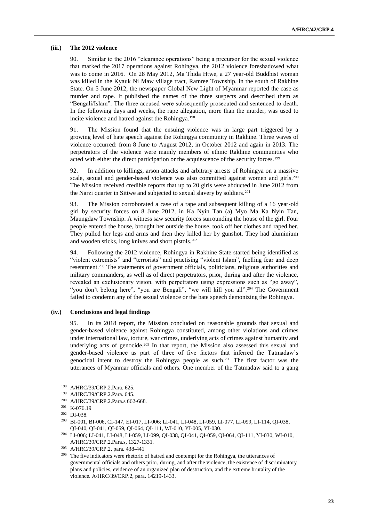#### **(iii.) The 2012 violence**

90. Similar to the 2016 "clearance operations" being a precursor for the sexual violence that marked the 2017 operations against Rohingya, the 2012 violence foreshadowed what was to come in 2016. On 28 May 2012, Ma Thida Htwe, a 27 year-old Buddhist woman was killed in the Kyauk Ni Maw village tract, Ramree Township, in the south of Rakhine State. On 5 June 2012, the newspaper Global New Light of Myanmar reported the case as murder and rape. It published the names of the three suspects and described them as "Bengali/Islam". The three accused were subsequently prosecuted and sentenced to death. In the following days and weeks, the rape allegation, more than the murder, was used to incite violence and hatred against the Rohingya.<sup>198</sup>

91. The Mission found that the ensuing violence was in large part triggered by a growing level of hate speech against the Rohingya community in Rakhine. Three waves of violence occurred: from 8 June to August 2012, in October 2012 and again in 2013. The perpetrators of the violence were mainly members of ethnic Rakhine communities who acted with either the direct participation or the acquiescence of the security forces.<sup>199</sup>

92. In addition to killings, arson attacks and arbitrary arrests of Rohingya on a massive scale, sexual and gender-based violence was also committed against women and girls.<sup>200</sup> The Mission received credible reports that up to 20 girls were abducted in June 2012 from the Narzi quarter in Sittwe and subjected to sexual slavery by soldiers.<sup>201</sup>

93. The Mission corroborated a case of a rape and subsequent killing of a 16 year-old girl by security forces on 8 June 2012, in Ka Nyin Tan (a) Myo Ma Ka Nyin Tan, Maungdaw Township. A witness saw security forces surrounding the house of the girl. Four people entered the house, brought her outside the house, took off her clothes and raped her. They pulled her legs and arms and then they killed her by gunshot. They had aluminium and wooden sticks, long knives and short pistols.<sup>202</sup>

94. Following the 2012 violence, Rohingya in Rakhine State started being identified as "violent extremists" and "terrorists" and practising "violent Islam", fuelling fear and deep resentment.<sup>203</sup> The statements of government officials, politicians, religious authorities and military commanders, as well as of direct perpetrators, prior, during and after the violence, revealed an exclusionary vision, with perpetrators using expressions such as "go away", "you don't belong here", "you are Bengali", "we will kill you all".<sup>204</sup> The Government failed to condemn any of the sexual violence or the hate speech demonizing the Rohingya.

### **(iv.) Conclusions and legal findings**

95. In its 2018 report, the Mission concluded on reasonable grounds that sexual and gender-based violence against Rohingya constituted, among other violations and crimes under international law, torture, war crimes, underlying acts of crimes against humanity and underlying acts of genocide.<sup>205</sup> In that report, the Mission also assessed this sexual and gender-based violence as part of three of five factors that inferred the Tatmadaw's genocidal intent to destroy the Rohingya people as such.<sup>206</sup> The first factor was the utterances of Myanmar officials and others. One member of the Tatmadaw said to a gang

<sup>198</sup> A/HRC/39/CRP.2.Para. 625.

<sup>199</sup> A/HRC/39/CRP.2.Para. 645.

<sup>200</sup> A/HRC/39/CRP.2.Para.s 662-668.

<sup>&</sup>lt;sup>201</sup> K-076.19

<sup>202</sup> DI-038.

<sup>203</sup> BI-001, BI-006, CI-147, EI-017, LI-006; LI-041, LI-048, LI-059, LI-077, LI-099, LI-114, QI-038, QI-040, QI-041, QI-059, QI-064, QI-111, WI-010, YI-005, YI-030.

<sup>204</sup> LI-006; LI-041, LI-048, LI-059, LI-099, QI-038, QI-041, QI-059, QI-064, QI-111, YI-030, WI-010, A/HRC/39/CRP.2.Para.s, 1327-1331.

<sup>205</sup> A/HRC/39/CRP.2, para. 438-441

<sup>&</sup>lt;sup>206</sup> The five indicators were rhetoric of hatred and contempt for the Rohingya, the utterances of governmental officials and others prior, during, and after the violence, the existence of discriminatory plans and policies, evidence of an organized plan of destruction, and the extreme brutality of the violence. A/HRC/39/CRP.2, para. 14219-1433.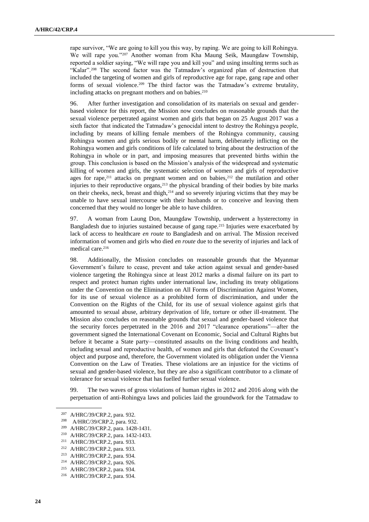rape survivor, "We are going to kill you this way, by raping. We are going to kill Rohingya. We will rape you."<sup>207</sup> Another woman from Kha Maung Seik, Maungdaw Township, reported a soldier saying, "We will rape you and kill you" and using insulting terms such as "Kalar".<sup>208</sup> The second factor was the Tatmadaw's organized plan of destruction that included the targeting of women and girls of reproductive age for rape, gang rape and other forms of sexual violence.<sup>209</sup> The third factor was the Tatmadaw's extreme brutality, including attacks on pregnant mothers and on babies.<sup>210</sup>

96. After further investigation and consolidation of its materials on sexual and genderbased violence for this report, the Mission now concludes on reasonable grounds that the sexual violence perpetrated against women and girls that began on 25 August 2017 was a sixth factor that indicated the Tatmadaw's genocidal intent to destroy the Rohingya people, including by means of killing female members of the Rohingya community, causing Rohingya women and girls serious bodily or mental harm, deliberately inflicting on the Rohingya women and girls conditions of life calculated to bring about the destruction of the Rohingya in whole or in part, and imposing measures that prevented births within the group. This conclusion is based on the Mission's analysis of the widespread and systematic killing of women and girls, the systematic selection of women and girls of reproductive ages for rape, $211$  attacks on pregnant women and on babies, $212$  the mutilation and other injuries to their reproductive organs,<sup>213</sup> the physical branding of their bodies by bite marks on their cheeks, neck, breast and thigh, <sup>214</sup> and so severely injuring victims that they may be unable to have sexual intercourse with their husbands or to conceive and leaving them concerned that they would no longer be able to have children.

97. A woman from Laung Don, Maungdaw Township, underwent a hysterectomy in Bangladesh due to injuries sustained because of gang rape.<sup>215</sup> Injuries were exacerbated by lack of access to healthcare *en route* to Bangladesh and on arrival. The Mission received information of women and girls who died *en route* due to the severity of injuries and lack of medical care.<sup>216</sup>

98. Additionally, the Mission concludes on reasonable grounds that the Myanmar Government's failure to cease, prevent and take action against sexual and gender-based violence targeting the Rohingya since at least 2012 marks a dismal failure on its part to respect and protect human rights under international law, including its treaty obligations under the Convention on the Elimination on All Forms of Discrimination Against Women, for its use of sexual violence as a prohibited form of discrimination, and under the Convention on the Rights of the Child, for its use of sexual violence against girls that amounted to sexual abuse, arbitrary deprivation of life, torture or other ill-treatment. The Mission also concludes on reasonable grounds that sexual and gender-based violence that the security forces perpetrated in the 2016 and 2017 "clearance operations"—after the government signed the International Covenant on Economic, Social and Cultural Rights but before it became a State party—constituted assaults on the living conditions and health, including sexual and reproductive health, of women and girls that defeated the Covenant's object and purpose and, therefore, the Government violated its obligation under the Vienna Convention on the Law of Treaties. These violations are an injustice for the victims of sexual and gender-based violence, but they are also a significant contributor to a climate of tolerance for sexual violence that has fuelled further sexual violence.

99. The two waves of gross violations of human rights in 2012 and 2016 along with the perpetuation of anti-Rohingya laws and policies laid the groundwork for the Tatmadaw to

<sup>&</sup>lt;sup>207</sup> A/HRC/39/CRP.2, para. 932.<br><sup>208</sup> A/HBC/20/CPP.2, para. 932.

A/HRC/39/CRP.2, para. 932.

<sup>209</sup> A/HRC/39/CRP.2, para. 1428-1431.

<sup>&</sup>lt;sup>210</sup> A/HRC/39/CRP.2, para. 1432-1433.<br><sup>211</sup> A/HDC/20/CDD 2, para. 933

A/HRC/39/CRP.2, para. 933.

<sup>212</sup> A/HRC/39/CRP.2, para. 933.

<sup>213</sup> A/HRC/39/CRP.2, para. 934.

<sup>214</sup> A/HRC/39/CRP.2, para. 926.

<sup>215</sup> A/HRC/39/CRP.2, para. 934.

<sup>216</sup> A/HRC/39/CRP.2, para. 934.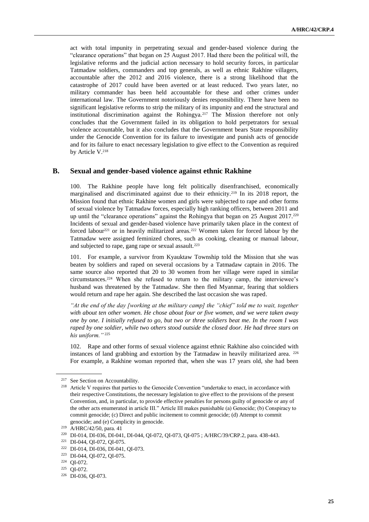act with total impunity in perpetrating sexual and gender-based violence during the "clearance operations" that began on 25 August 2017. Had there been the political will, the legislative reforms and the judicial action necessary to hold security forces, in particular Tatmadaw soldiers, commanders and top generals, as well as ethnic Rakhine villagers, accountable after the 2012 and 2016 violence, there is a strong likelihood that the catastrophe of 2017 could have been averted or at least reduced. Two years later, no military commander has been held accountable for these and other crimes under international law. The Government notoriously denies responsibility. There have been no significant legislative reforms to strip the military of its impunity and end the structural and institutional discrimination against the Rohingya.<sup>217</sup> The Mission therefore not only concludes that the Government failed in its obligation to hold perpetrators for sexual violence accountable, but it also concludes that the Government bears State responsibility under the Genocide Convention for its failure to investigate and punish acts of genocide and for its failure to enact necessary legislation to give effect to the Convention as required by Article V.<sup>218</sup>

### **B. Sexual and gender-based violence against ethnic Rakhine**

100. The Rakhine people have long felt politically disenfranchised, economically marginalised and discriminated against due to their ethnicity.<sup>219</sup> In its 2018 report, the Mission found that ethnic Rakhine women and girls were subjected to rape and other forms of sexual violence by Tatmadaw forces, especially high ranking officers, between 2011 and up until the "clearance operations" against the Rohingya that began on 25 August 2017.<sup>220</sup> Incidents of sexual and gender-based violence have primarily taken place in the context of forced labour<sup>221</sup> or in heavily militarized areas.<sup>222</sup> Women taken for forced labour by the Tatmadaw were assigned feminized chores, such as cooking, cleaning or manual labour, and subjected to rape, gang rape or sexual assault.<sup>223</sup>

101. For example, a survivor from Kyauktaw Township told the Mission that she was beaten by soldiers and raped on several occasions by a Tatmadaw captain in 2016. The same source also reported that 20 to 30 women from her village were raped in similar circumstances.<sup>224</sup> When she refused to return to the military camp, the interviewee's husband was threatened by the Tatmadaw. She then fled Myanmar, fearing that soldiers would return and rape her again. She described the last occasion she was raped.

*"At the end of the day [working at the military camp] the "chief" told me to wait, together with about ten other women. He chose about four or five women, and we were taken away one by one. I initially refused to go, but two or three soldiers beat me. In the room I was raped by one soldier, while two others stood outside the closed door. He had three stars on his uniform."* <sup>225</sup>

102. Rape and other forms of sexual violence against ethnic Rakhine also coincided with instances of land grabbing and extortion by the Tatmadaw in heavily militarized area. <sup>226</sup> For example, a Rakhine woman reported that, when she was 17 years old, she had been

<sup>217</sup> See Section on Accountability.

<sup>218</sup> Article V requires that parties to the Genocide Convention "undertake to enact, in accordance with their respective Constitutions, the necessary legislation to give effect to the provisions of the present Convention, and, in particular, to provide effective penalties for persons guilty of genocide or any of the other acts enumerated in article III." Article III makes punishable (a) Genocide; (b) Conspiracy to commit genocide; (c) Direct and public incitement to commit genocide; (d) Attempt to commit genocide; and (e) Complicity in genocide.

<sup>219</sup> A/HRC/42/50, para. 41

<sup>220</sup> DI-014, DI-036, DI-041, DI-044, QI-072, QI-073, QI-075 ; A/HRC/39/CRP.2, para. 438-443.

<sup>221</sup> DI-044, QI-072, QI-075.

<sup>222</sup> DI-014, DI-036, DI-041, QI-073.

<sup>223</sup> DI-044, QI-072, QI-075.

<sup>224</sup> QI-072.

<sup>225</sup> QI-072.

<sup>226</sup> DI-036, QI-073.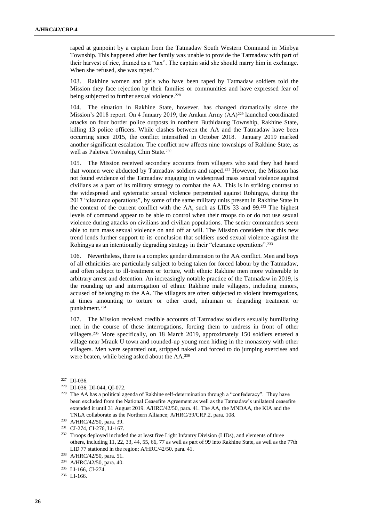raped at gunpoint by a captain from the Tatmadaw South Western Command in Minbya Township. This happened after her family was unable to provide the Tatmadaw with part of their harvest of rice, framed as a "tax". The captain said she should marry him in exchange. When she refused, she was raped.<sup>227</sup>

103. Rakhine women and girls who have been raped by Tatmadaw soldiers told the Mission they face rejection by their families or communities and have expressed fear of being subjected to further sexual violence.<sup>228</sup>

104. The situation in Rakhine State, however, has changed dramatically since the Mission's 2018 report. On 4 January 2019, the Arakan Army  $(AA)^{229}$  launched coordinated attacks on four border police outposts in northern Buthidaung Township, Rakhine State, killing 13 police officers. While clashes between the AA and the Tatmadaw have been occurring since 2015, the conflict intensified in October 2018. January 2019 marked another significant escalation. The conflict now affects nine townships of Rakhine State, as well as Paletwa Township, Chin State.<sup>230</sup>

105. The Mission received secondary accounts from villagers who said they had heard that women were abducted by Tatmadaw soldiers and raped. <sup>231</sup> However, the Mission has not found evidence of the Tatmadaw engaging in widespread mass sexual violence against civilians as a part of its military strategy to combat the AA. This is in striking contrast to the widespread and systematic sexual violence perpetrated against Rohingya, during the 2017 "clearance operations", by some of the same military units present in Rakhine State in the context of the current conflict with the AA, such as LIDs 33 and 99.<sup>232</sup> The highest levels of command appear to be able to control when their troops do or do not use sexual violence during attacks on civilians and civilian populations. The senior commanders seem able to turn mass sexual violence on and off at will. The Mission considers that this new trend lends further support to its conclusion that soldiers used sexual violence against the Rohingya as an intentionally degrading strategy in their "clearance operations".<sup>233</sup>

106. Nevertheless, there is a complex gender dimension to the AA conflict. Men and boys of all ethnicities are particularly subject to being taken for forced labour by the Tatmadaw, and often subject to ill-treatment or torture, with ethnic Rakhine men more vulnerable to arbitrary arrest and detention. An increasingly notable practice of the Tatmadaw in 2019, is the rounding up and interrogation of ethnic Rakhine male villagers, including minors, accused of belonging to the AA. The villagers are often subjected to violent interrogations, at times amounting to torture or other cruel, inhuman or degrading treatment or punishment.<sup>234</sup>

107. The Mission received credible accounts of Tatmadaw soldiers sexually humiliating men in the course of these interrogations, forcing them to undress in front of other villagers.<sup>235</sup> More specifically, on 18 March 2019, approximately 150 soldiers entered a village near Mrauk U town and rounded-up young men hiding in the monastery with other villagers. Men were separated out, stripped naked and forced to do jumping exercises and were beaten, while being asked about the AA.<sup>236</sup>

<sup>227</sup> DI-036.

<sup>228</sup> DI-036, DI-044, QI-072.

<sup>&</sup>lt;sup>229</sup> The AA has a political agenda of Rakhine self-determination through a "confederacy". They have been excluded from the National Ceasefire Agreement as well as the Tatmadaw's unilateral ceasefire extended it until 31 August 2019. A/HRC/42/50, para. 41. The AA, the MNDAA, the KIA and the TNLA collaborate as the Northern Alliance; A/HRC/39/CRP.2, para. 108.

<sup>230</sup> A/HRC/42/50, para. 39.

<sup>231</sup> CI-274, CI-276, LI-167.

<sup>&</sup>lt;sup>232</sup> Troops deployed included the at least five Light Infantry Division (LIDs), and elements of three others, including 11, 22, 33, 44, 55, 66, 77 as well as part of 99 into Rakhine State, as well as the 77th LID 77 stationed in the region; A/HRC/42/50. para. 41.

<sup>233</sup> A/HRC/42/50, para. 51.

<sup>234</sup> A/HRC/42/50, para. 40.

<sup>235</sup> LI-166, CI-274.

<sup>236</sup> LI-166.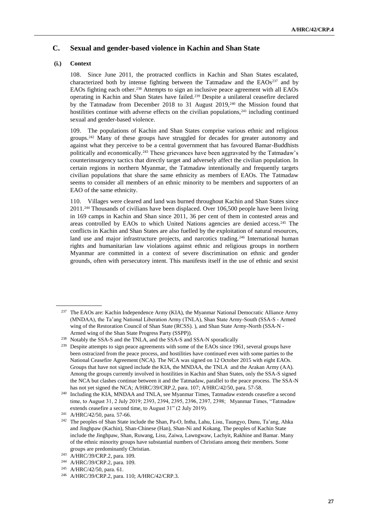## **C. Sexual and gender-based violence in Kachin and Shan State**

### **(i.) Context**

108. Since June 2011, the protracted conflicts in Kachin and Shan States escalated, characterized both by intense fighting between the Tatmadaw and the  $EAOs<sup>237</sup>$  and by EAOs fighting each other.<sup>238</sup> Attempts to sign an inclusive peace agreement with all EAOs operating in Kachin and Shan States have failed.<sup>239</sup> Despite a unilateral ceasefire declared by the Tatmadaw from December 2018 to 31 August 2019,<sup>240</sup> the Mission found that hostilities continue with adverse effects on the civilian populations, $241$  including continued sexual and gender-based violence.

109. The populations of Kachin and Shan States comprise various ethnic and religious groups.<sup>242</sup> Many of these groups have struggled for decades for greater autonomy and against what they perceive to be a central government that has favoured Bamar-Buddhists politically and economically.<sup>243</sup> These grievances have been aggravated by the Tatmadaw's counterinsurgency tactics that directly target and adversely affect the civilian population. In certain regions in northern Myanmar, the Tatmadaw intentionally and frequently targets civilian populations that share the same ethnicity as members of EAOs. The Tatmadaw seems to consider all members of an ethnic minority to be members and supporters of an EAO of the same ethnicity.

110. Villages were cleared and land was burned throughout Kachin and Shan States since 2011.<sup>244</sup> Thousands of civilians have been displaced. Over 106,500 people have been living in 169 camps in Kachin and Shan since 2011, 36 per cent of them in contested areas and areas controlled by EAOs to which United Nations agencies are denied access.<sup>245</sup> The conflicts in Kachin and Shan States are also fuelled by the exploitation of natural resources, land use and major infrastructure projects, and narcotics trading.<sup>246</sup> International human rights and humanitarian law violations against ethnic and religious groups in northern Myanmar are committed in a context of severe discrimination on ethnic and gender grounds, often with persecutory intent. This manifests itself in the use of ethnic and sexist

<sup>&</sup>lt;sup>237</sup> The EAOs are: Kachin Independence Army (KIA), the Myanmar National Democratic Alliance Army (MNDAA), the Ta'ang National Liberation Army (TNLA), Shan State Army-South (SSA-S - Armed wing of the Restoration Council of Shan State (RCSS). ), and Shan State Army-North (SSA-N - Armed wing of the Shan State Progress Party (SSPP)).

<sup>&</sup>lt;sup>238</sup> Notably the SSA-S and the TNLA, and the SSA-S and SSA-N sporadically

<sup>&</sup>lt;sup>239</sup> Despite attempts to sign peace agreements with some of the EAOs since 1961, several groups have been ostracized from the peace process, and hostilities have continued even with some parties to the National Ceasefire Agreement (NCA). The NCA was signed on 12 October 2015 with eight EAOs. Groups that have not signed include the KIA, the MNDAA, the TNLA and the Arakan Army (AA). Among the groups currently involved in hostilities in Kachin and Shan States, only the SSA-S signed the NCA but clashes continue between it and the Tatmadaw, parallel to the peace process. The SSA-N has not yet signed the NCA; A/HRC/39/CRP.2, para. 107; A/HRC/42/50, para. 57-58.

<sup>240</sup> Including the KIA, MNDAA and TNLA, see Myanmar Times, Tatmadaw extends ceasefire a second time, to August 31, 2 July 2019; 2393, 2394, 2395, 2396, 2397, 2398; Myanmar Times, "Tatmadaw extends ceasefire a second time, to August 31" (2 July 2019).

<sup>241</sup> A/HRC/42/50, para. 57-66.

<sup>242</sup> The peoples of Shan State include the Shan, Pa-O, Intha, Lahu, Lisu, Taungyo, Danu, Ta'ang, Ahka and Jinghpaw (Kachin), Shan-Chinese (Han), Shan-Ni and Kokang. The peoples of Kachin State include the Jinghpaw, Shan, Ruwang, Lisu, Zaiwa, Lawngwaw, Lachyit, Rakhine and Bamar. Many of the ethnic minority groups have substantial numbers of Christians among their members. Some groups are predominantly Christian.

<sup>&</sup>lt;sup>243</sup> A/HRC/39/CRP.2, para. 109.

<sup>244</sup> A/HRC/39/CRP.2, para. 109.

<sup>245</sup> A/HRC/42/50, para. 61.

<sup>246</sup> A/HRC/39/CRP.2, para. 110; A/HRC/42/CRP.3.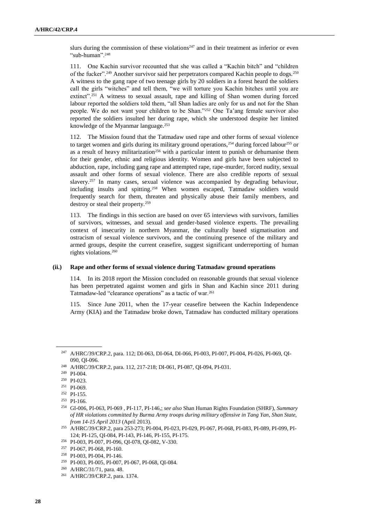slurs during the commission of these violations<sup>247</sup> and in their treatment as inferior or even "sub-human".<sup>248</sup>

111. One Kachin survivor recounted that she was called a "Kachin bitch" and "children of the fucker".<sup>249</sup> Another survivor said her perpetrators compared Kachin people to dogs.<sup>250</sup> A witness to the gang rape of two teenage girls by 20 soldiers in a forest heard the soldiers call the girls "witches" and tell them, "we will torture you Kachin bitches until you are extinct".<sup>251</sup> A witness to sexual assault, rape and killing of Shan women during forced labour reported the soldiers told them, "all Shan ladies are only for us and not for the Shan people. We do not want your children to be Shan."<sup>252</sup> One Ta'ang female survivor also reported the soldiers insulted her during rape, which she understood despite her limited knowledge of the Myanmar language.<sup>253</sup>

112. The Mission found that the Tatmadaw used rape and other forms of sexual violence to target women and girls during its military ground operations,  $254$  during forced labour  $255$  or as a result of heavy militarization<sup>256</sup> with a particular intent to punish or dehumanise them for their gender, ethnic and religious identity. Women and girls have been subjected to abduction, rape, including gang rape and attempted rape, rape-murder, forced nudity, sexual assault and other forms of sexual violence. There are also credible reports of sexual slavery.<sup>257</sup> In many cases, sexual violence was accompanied by degrading behaviour, including insults and spitting.<sup>258</sup> When women escaped, Tatmadaw soldiers would frequently search for them, threaten and physically abuse their family members, and destroy or steal their property.<sup>259</sup>

113. The findings in this section are based on over 65 interviews with survivors, families of survivors, witnesses, and sexual and gender-based violence experts. The prevailing context of insecurity in northern Myanmar, the culturally based stigmatisation and ostracism of sexual violence survivors, and the continuing presence of the military and armed groups, despite the current ceasefire, suggest significant underreporting of human rights violations. 260

#### **(ii.) Rape and other forms of sexual violence during Tatmadaw ground operations**

114. In its 2018 report the Mission concluded on reasonable grounds that sexual violence has been perpetrated against women and girls in Shan and Kachin since 2011 during Tatmadaw-led "clearance operations" as a tactic of war.<sup>261</sup>

115. Since June 2011, when the 17-year ceasefire between the Kachin Independence Army (KIA) and the Tatmadaw broke down, Tatmadaw has conducted military operations

<sup>247</sup> A/HRC/39/CRP.2, para. 112; DI-063, DI-064, DI-066, PI-003, PI-007, PI-004, PI-026, PI-069, QI-090, QI-096.

<sup>248</sup> A/HRC/39/CRP.2, para. 112, 217-218; DI-061, PI-087, QI-094, PI-031.

<sup>249</sup> PI-004.

<sup>250</sup> PI-023.

<sup>251</sup> PI-069.

<sup>252</sup> PI-155.

<sup>253</sup> PI-166.

<sup>254</sup> GI-006, PI-063, PI-069 , PI-117, PI-146,; *see also* Shan Human Rights Foundation (SHRF), *Summary of HR violations committed by Burma Army troops during military offensive in Tang Yan, Shan State, from 14-15 April 2013* (April 2013).

<sup>255</sup> A/HRC/39/CRP.2, para 253-273; PI-004, PI-023, PI-029, PI-067, PI-068, PI-083, PI-089, PI-099, PI-124; PI-125, QI-084, PI-143, PI-146, PI-155, PI-175.

<sup>256</sup> PI-003, PI-007, PI-096, QI-078, QI-082, V-330.

<sup>257</sup> PI-067, PI-068, PI-160.

<sup>258</sup> PI-003, PI-004, PI-146.

<sup>259</sup> PI-003, PI-005, PI-007, PI-067, PI-068, QI-084.

<sup>260</sup> A/HRC/31/71, para. 48.

<sup>261</sup> A/HRC/39/CRP.2, para. 1374.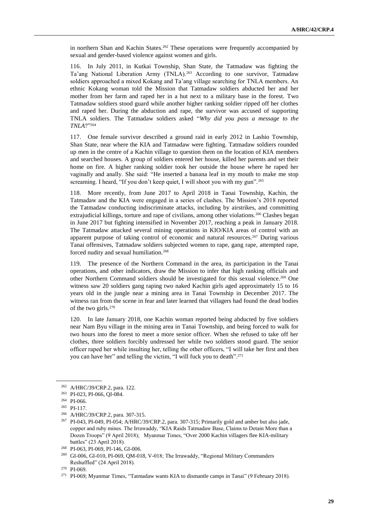in northern Shan and Kachin States.<sup>262</sup> These operations were frequently accompanied by sexual and gender-based violence against women and girls.

116. In July 2011, in Kutkai Township, Shan State, the Tatmadaw was fighting the Ta'ang National Liberation Army (TNLA).<sup>263</sup> According to one survivor, Tatmadaw soldiers approached a mixed Kokang and Ta'ang village searching for TNLA members. An ethnic Kokang woman told the Mission that Tatmadaw soldiers abducted her and her mother from her farm and raped her in a hut next to a military base in the forest. Two Tatmadaw soldiers stood guard while another higher ranking soldier ripped off her clothes and raped her. During the abduction and rape, the survivor was accused of supporting TNLA soldiers. The Tatmadaw soldiers asked "*Why did you pass a message to the TNLA*?"<sup>264</sup>

117. One female survivor described a ground raid in early 2012 in Lashio Township, Shan State, near where the KIA and Tatmadaw were fighting. Tatmadaw soldiers rounded up men in the centre of a Kachin village to question them on the location of KIA members and searched houses. A group of soldiers entered her house, killed her parents and set their home on fire. A higher ranking soldier took her outside the house where he raped her vaginally and anally. She said: "He inserted a banana leaf in my mouth to make me stop screaming. I heard, "If you don't keep quiet, I will shoot you with my gun".<sup>265</sup>

118. More recently, from June 2017 to April 2018 in Tanai Township, Kachin, the Tatmadaw and the KIA were engaged in a series of clashes. The Mission's 2018 reported the Tatmadaw conducting indiscriminate attacks, including by airstrikes, and committing extrajudicial killings, torture and rape of civilians, among other violations.<sup>266</sup> Clashes began in June 2017 but fighting intensified in November 2017, reaching a peak in January 2018. The Tatmadaw attacked several mining operations in KIO/KIA areas of control with an apparent purpose of taking control of economic and natural resources.<sup>267</sup> During various Tanai offensives, Tatmadaw soldiers subjected women to rape, gang rape, attempted rape, forced nudity and sexual humiliation. 268

119. The presence of the Northern Command in the area, its participation in the Tanai operations, and other indicators, draw the Mission to infer that high ranking officials and other Northern Command soldiers should be investigated for this sexual violence.<sup>269</sup> One witness saw 20 soldiers gang raping two naked Kachin girls aged approximately 15 to 16 years old in the jungle near a mining area in Tanai Township in December 2017. The witness ran from the scene in fear and later learned that villagers had found the dead bodies of the two girls.<sup>270</sup>

120. In late January 2018, one Kachin woman reported being abducted by five soldiers near Nam Byu village in the mining area in Tanai Township, and being forced to walk for two hours into the forest to meet a more senior officer. When she refused to take off her clothes, three soldiers forcibly undressed her while two soldiers stood guard. The senior officer raped her while insulting her, telling the other officers, "I will take her first and then you can have her" and telling the victim, "I will fuck you to death".<sup>271</sup>

<sup>262</sup> A/HRC/39/CRP.2, para. 122.

<sup>263</sup> PI-023, PI-066, QI-084.

<sup>264</sup> PI-066.

<sup>265</sup> PI-117.

<sup>266</sup> A/HRC/39/CRP.2, para. 307-315.

<sup>267</sup> PI-043, PI-049, PI-054; A/HRC/39/CRP.2, para. 307-315; Primarily gold and amber but also jade, copper and ruby mines. The Irrawaddy, "KIA Raids Tatmadaw Base, Claims to Detain More than a Dozen Troops" (9 April 2018); Myanmar Times, "Over 2000 Kachin villagers flee KIA-military battles" (23 April 2018).

<sup>268</sup> PI-063, PI-069, PI-146, GI-006.

<sup>&</sup>lt;sup>269</sup> GI-006, GI-010, PI-069, QM-018, V-018; The Irrawaddy, "Regional Military Commanders Reshuffled" (24 April 2018).

<sup>270</sup> PI-069.

<sup>271</sup> PI-069; Myanmar Times, "Tatmadaw wants KIA to dismantle camps in Tanai" (9 February 2018).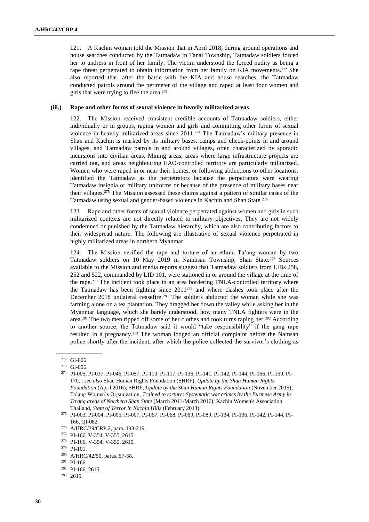121. A Kachin woman told the Mission that in April 2018, during ground operations and house searches conducted by the Tatmadaw in Tanai Township, Tatmadaw soldiers forced her to undress in front of her family. The victim understood the forced nudity as being a rape threat perpetrated to obtain information from her family on KIA movements.<sup>272</sup> She also reported that, after the battle with the KIA and house searches, the Tatmadaw conducted patrols around the perimeter of the village and raped at least four women and girls that were trying to flee the area. 273

#### **(iii.) Rape and other forms of sexual violence in heavily militarized areas**

122. The Mission received consistent credible accounts of Tatmadaw soldiers, either individually or in groups, raping women and girls and committing other forms of sexual violence in heavily militarized areas since 2011.<sup>274</sup> The Tatmadaw's military presence in Shan and Kachin is marked by its military bases, camps and check-points in and around villages, and Tatmadaw patrols in and around villages, often characterized by sporadic incursions into civilian areas. Mining areas, areas where large infrastructure projects are carried out, and areas neighbouring EAO-controlled territory are particularly militarized. Women who were raped in or near their homes, or following abductions to other locations, identified the Tatmadaw as the perpetrators because the perpetrators were wearing Tatmadaw insignia or military uniforms or because of the presence of military bases near their villages.<sup>275</sup> The Mission assessed these claims against a pattern of similar cases of the Tatmadaw using sexual and gender-based violence in Kachin and Shan State.<sup>276</sup>

123. Rape and other forms of sexual violence perpetrated against women and girls in such militarized contexts are not directly related to military objectives. They are not widely condemned or punished by the Tatmadaw hierarchy, which are also contributing factors to their widespread nature. The following are illustrative of sexual violence perpetrated in highly militarized areas in northern Myanmar.

124. The Mission verified the rape and torture of an ethnic Ta'ang woman by two Tatmadaw soldiers on 10 May 2019 in Namhsan Township, Shan State.<sup>277</sup> Sources available to the Mission and media reports suggest that Tatmadaw soldiers from LIBs 258, 252 and 522, commanded by LID 101, were stationed in or around the village at the time of the rape.<sup>278</sup> The incident took place in an area bordering TNLA-controlled territory where the Tatmadaw has been fighting since 2011<sup>279</sup> and where clashes took place after the December 2018 unilateral ceasefire.<sup>280</sup> The soldiers abducted the woman while she was farming alone on a tea plantation. They dragged her down the valley while asking her in the Myanmar language, which she barely understood, how many TNLA fighters were in the area.<sup>281</sup> The two men ripped off some of her clothes and took turns raping her.<sup>282</sup> According to another source, the Tatmadaw said it would "take responsibility" if the gang rape resulted in a pregnancy.<sup>283</sup> The woman lodged an official complaint before the Namsan police shortly after the incident, after which the police collected the survivor's clothing as

<sup>272</sup> GI-006.

<sup>273</sup> GI-006.

<sup>274</sup> PI-005, PI-037, PI-046, PI-057, PI-110, PI-117, PI-136, PI-141, PI-142, PI-144, PI-166, PI-169, PI-170, ; *see also* Shan Human Rights Foundation (SHRF), *Update by the Shan Human Rights Foundation* (April 2016); SHRF, *Update by the Shan Human Rights Foundation* (November 2015); Ta'ang Women's Organization, *Trained to torture: Systematic war crimes by the Burmese Army in Ta'ang areas of Northern Shan State* (March 2011-March 2016); Kachin Women's Association Thailand, *State of Terror in Kachin Hills* (February 2013).

<sup>275</sup> PI-003, PI-004, PI-005, PI-007, PI-067, PI-068, PI-069, PI-089, PI-134, PI-136, PI-142, PI-144, PI-166, QI-082.

<sup>276</sup> A/HRC/39/CRP.2, para. 188-219.

<sup>277</sup> PI-166, V-354, V-355, 2615.

<sup>278</sup> PI-166, V-354, V-355, 2615.

<sup>279</sup> PI-101.

<sup>280</sup> A/HRC/42/50, paras. 57-58.

<sup>281</sup> PI-166.

<sup>282</sup> PI-166, 2615.

<sup>283</sup> 2615.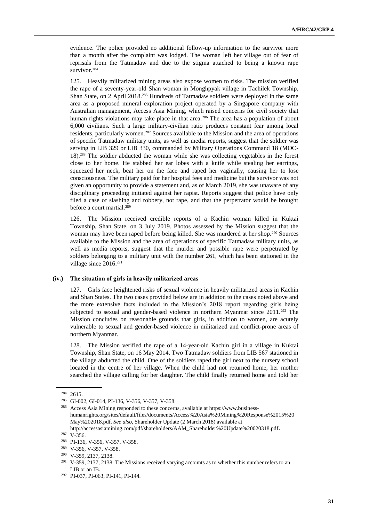evidence. The police provided no additional follow-up information to the survivor more than a month after the complaint was lodged. The woman left her village out of fear of reprisals from the Tatmadaw and due to the stigma attached to being a known rape survivor.<sup>284</sup>

125. Heavily militarized mining areas also expose women to risks. The mission verified the rape of a seventy-year-old Shan woman in Monghpyak village in Tachilek Township, Shan State, on 2 April 2018.<sup>285</sup> Hundreds of Tatmadaw soldiers were deployed in the same area as a proposed mineral exploration project operated by a Singapore company with Australian management, Access Asia Mining, which raised concerns for civil society that human rights violations may take place in that area.<sup>286</sup> The area has a population of about 6,000 civilians. Such a large military-civilian ratio produces constant fear among local residents, particularly women.<sup>287</sup> Sources available to the Mission and the area of operations of specific Tatmadaw military units, as well as media reports, suggest that the soldier was serving in LIB 329 or LIB 330, commanded by Military Operations Command 18 (MOC-18).<sup>288</sup> The soldier abducted the woman while she was collecting vegetables in the forest close to her home. He stabbed her ear lobes with a knife while stealing her earrings, squeezed her neck, beat her on the face and raped her vaginally, causing her to lose consciousness. The military paid for her hospital fees and medicine but the survivor was not given an opportunity to provide a statement and, as of March 2019, she was unaware of any disciplinary proceeding initiated against her rapist. Reports suggest that police have only filed a case of slashing and robbery, not rape, and that the perpetrator would be brought before a court martial.<sup>289</sup>

126. The Mission received credible reports of a Kachin woman killed in Kuktai Township, Shan State, on 3 July 2019. Photos assessed by the Mission suggest that the woman may have been raped before being killed. She was murdered at her shop.<sup>290</sup> Sources available to the Mission and the area of operations of specific Tatmadaw military units, as well as media reports, suggest that the murder and possible rape were perpetrated by soldiers belonging to a military unit with the number 261, which has been stationed in the village since 2016. 291

#### **(iv.) The situation of girls in heavily militarized areas**

127. Girls face heightened risks of sexual violence in heavily militarized areas in Kachin and Shan States. The two cases provided below are in addition to the cases noted above and the more extensive facts included in the Mission's 2018 report regarding girls being subjected to sexual and gender-based violence in northern Myanmar since 2011.<sup>292</sup> The Mission concludes on reasonable grounds that girls, in addition to women, are acutely vulnerable to sexual and gender-based violence in militarized and conflict-prone areas of northern Myanmar.

128. The Mission verified the rape of a 14-year-old Kachin girl in a village in Kuktai Township, Shan State, on 16 May 2014. Two Tatmadaw soldiers from LIB 567 stationed in the village abducted the child. One of the soldiers raped the girl next to the nursery school located in the centre of her village. When the child had not returned home, her mother searched the village calling for her daughter. The child finally returned home and told her

<sup>284</sup> 2615.

<sup>285</sup> GI-002, GI-014, PI-136, V-356, V-357, V-358.

<sup>286</sup> Access Asia Mining responded to these concerns, available at [https://www.business](https://www.business-humanrights.org/sites/default/files/documents/Access%20Asia%20Mining%20Response%2015%20May%202018.pdf)[humanrights.org/sites/default/files/documents/Access%20Asia%20Mining%20Response%2015%20](https://www.business-humanrights.org/sites/default/files/documents/Access%20Asia%20Mining%20Response%2015%20May%202018.pdf) [May%202018.pdf.](https://www.business-humanrights.org/sites/default/files/documents/Access%20Asia%20Mining%20Response%2015%20May%202018.pdf) *See also*, Shareholder Update (2 March 2018) available at [http://accessasiamining.com/pdf/shareholders/AAM\\_Shareholder%20Update%20020318.pdf](http://accessasiamining.com/pdf/shareholders/AAM_Shareholder%20Update%20020318.pdf).

<sup>287</sup> V-356.

<sup>288</sup> PI-136, V-356, V-357, V-358.

<sup>289</sup> V-356, V-357, V-358.

<sup>290</sup> V-359, 2137, 2138.

<sup>&</sup>lt;sup>291</sup> V-359, 2137, 2138. The Missions received varying accounts as to whether this number refers to an LIB or an IB.

<sup>292</sup> PI-037, PI-063, PI-141, PI-144.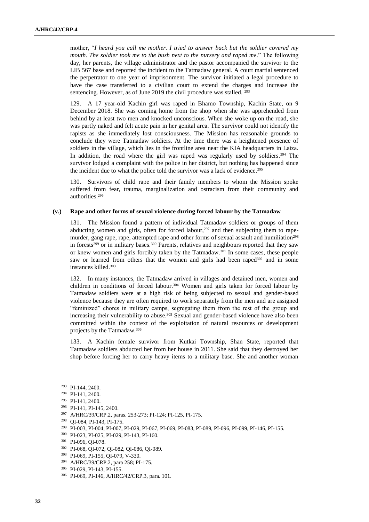mother, "*I heard you call me mother. I tried to answer back but the soldier covered my mouth. The soldier took me to the bush next to the nursery and raped me*." The following day, her parents, the village administrator and the pastor accompanied the survivor to the LIB 567 base and reported the incident to the Tatmadaw general. A court martial sentenced the perpetrator to one year of imprisonment. The survivor initiated a legal procedure to have the case transferred to a civilian court to extend the charges and increase the sentencing. However, as of June 2019 the civil procedure was stalled. <sup>293</sup>

129. A 17 year-old Kachin girl was raped in Bhamo Township, Kachin State, on 9 December 2018. She was coming home from the shop when she was apprehended from behind by at least two men and knocked unconscious. When she woke up on the road, she was partly naked and felt acute pain in her genital area. The survivor could not identify the rapists as she immediately lost consciousness. The Mission has reasonable grounds to conclude they were Tatmadaw soldiers. At the time there was a heightened presence of soldiers in the village, which lies in the frontline area near the KIA headquarters in Laiza. In addition, the road where the girl was raped was regularly used by soldiers.<sup>294</sup> The survivor lodged a complaint with the police in her district, but nothing has happened since the incident due to what the police told the survivor was a lack of evidence.<sup>295</sup>

130. Survivors of child rape and their family members to whom the Mission spoke suffered from fear, trauma, marginalization and ostracism from their community and authorities.<sup>296</sup>

#### **(v.) Rape and other forms of sexual violence during forced labour by the Tatmadaw**

131. The Mission found a pattern of individual Tatmadaw soldiers or groups of them abducting women and girls, often for forced labour, $297$  and then subjecting them to rapemurder, gang rape, rape, attempted rape and other forms of sexual assault and humiliation<sup>298</sup> in forests<sup>299</sup> or in military bases.<sup>300</sup> Parents, relatives and neighbours reported that they saw or knew women and girls forcibly taken by the Tatmadaw.<sup>301</sup> In some cases, these people saw or learned from others that the women and girls had been raped<sup>302</sup> and in some instances killed.<sup>303</sup>

132. In many instances, the Tatmadaw arrived in villages and detained men, women and children in conditions of forced labour.<sup>304</sup> Women and girls taken for forced labour by Tatmadaw soldiers were at a high risk of being subjected to sexual and gender-based violence because they are often required to work separately from the men and are assigned "feminized" chores in military camps, segregating them from the rest of the group and increasing their vulnerability to abuse.<sup>305</sup> Sexual and gender-based violence have also been committed within the context of the exploitation of natural resources or development projects by the Tatmadaw.<sup>306</sup>

133. A Kachin female survivor from Kutkai Township, Shan State, reported that Tatmadaw soldiers abducted her from her house in 2011. She said that they destroyed her shop before forcing her to carry heavy items to a military base. She and another woman

<sup>302</sup> PI-068, QI-072, QI-082, QI-086, QI-089.

<sup>293</sup> PI-144, 2400.

<sup>294</sup> PI-141, 2400.

<sup>295</sup> PI-141, 2400.

<sup>296</sup> PI-141, PI-145, 2400.

<sup>297</sup> A/HRC/39/CRP.2, paras. 253-273; PI-124; PI-125, PI-175.

<sup>298</sup> QI-084, PI-143, PI-175.

<sup>299</sup> PI-003, PI-004, PI-007, PI-029, PI-067, PI-069, PI-083, PI-089, PI-096, PI-099, PI-146, PI-155.

<sup>300</sup> PI-023, PI-025, PI-029, PI-143, PI-160.

<sup>301</sup> PI-096, QI-078.

<sup>303</sup> PI-069, PI-155, QI-079, V-330.

<sup>304</sup> A/HRC/39/CRP.2, para 258; PI-175.

<sup>305</sup> PI-029, PI-143, PI-155.

<sup>306</sup> PI-069, PI-146, A/HRC/42/CRP.3, para. 101.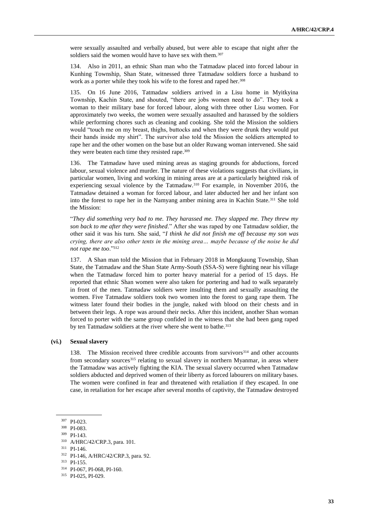were sexually assaulted and verbally abused, but were able to escape that night after the soldiers said the women would have to have sex with them.<sup>307</sup>

134. Also in 2011, an ethnic Shan man who the Tatmadaw placed into forced labour in Kunhing Township, Shan State, witnessed three Tatmadaw soldiers force a husband to work as a porter while they took his wife to the forest and raped her.<sup>308</sup>

135. On 16 June 2016, Tatmadaw soldiers arrived in a Lisu home in Myitkyina Township, Kachin State, and shouted, "there are jobs women need to do". They took a woman to their military base for forced labour, along with three other Lisu women. For approximately two weeks, the women were sexually assaulted and harassed by the soldiers while performing chores such as cleaning and cooking. She told the Mission the soldiers would "touch me on my breast, thighs, buttocks and when they were drunk they would put their hands inside my shirt". The survivor also told the Mission the soldiers attempted to rape her and the other women on the base but an older Ruwang woman intervened. She said they were beaten each time they resisted rape.<sup>309</sup>

136. The Tatmadaw have used mining areas as staging grounds for abductions, forced labour, sexual violence and murder. The nature of these violations suggests that civilians, in particular women, living and working in mining areas are at a particularly heighted risk of experiencing sexual violence by the Tatmadaw.<sup>310</sup> For example, in November 2016, the Tatmadaw detained a woman for forced labour, and later abducted her and her infant son into the forest to rape her in the Namyang amber mining area in Kachin State.<sup>311</sup> She told the Mission:

"*They did something very bad to me. They harassed me. They slapped me. They threw my son back to me after they were finished*." After she was raped by one Tatmadaw soldier, the other said it was his turn. She said, "*I think he did not finish me off because my son was crying, there are also other tents in the mining area… maybe because of the noise he did not rape me too*."<sup>312</sup>

137. A Shan man told the Mission that in February 2018 in Mongkaung Township, Shan State, the Tatmadaw and the Shan State Army-South (SSA-S) were fighting near his village when the Tatmadaw forced him to porter heavy material for a period of 15 days. He reported that ethnic Shan women were also taken for portering and had to walk separately in front of the men. Tatmadaw soldiers were insulting them and sexually assaulting the women. Five Tatmadaw soldiers took two women into the forest to gang rape them. The witness later found their bodies in the jungle, naked with blood on their chests and in between their legs. A rope was around their necks. After this incident, another Shan woman forced to porter with the same group confided in the witness that she had been gang raped by ten Tatmadaw soldiers at the river where she went to bathe.<sup>313</sup>

#### **(vi.) Sexual slavery**

138. The Mission received three credible accounts from survivors<sup>314</sup> and other accounts from secondary sources<sup>315</sup> relating to sexual slavery in northern Myanmar, in areas where the Tatmadaw was actively fighting the KIA. The sexual slavery occurred when Tatmadaw soldiers abducted and deprived women of their liberty as forced labourers on military bases. The women were confined in fear and threatened with retaliation if they escaped. In one case, in retaliation for her escape after several months of captivity, the Tatmadaw destroyed

<sup>307</sup> PI-023.

<sup>308</sup> PI-083.

<sup>309</sup> PI-143.

<sup>310</sup> A/HRC/42/CRP.3, para. 101.

<sup>311</sup> PI-146.

<sup>312</sup> PI-146, A/HRC/42/CRP.3, para. 92.

<sup>313</sup> PI-155.

<sup>314</sup> PI-067, PI-068, PI-160.

<sup>315</sup> PI-025, PI-029.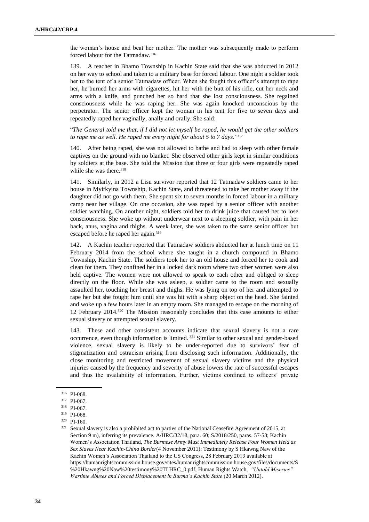the woman's house and beat her mother. The mother was subsequently made to perform forced labour for the Tatmadaw.<sup>316</sup>

139. A teacher in Bhamo Township in Kachin State said that she was abducted in 2012 on her way to school and taken to a military base for forced labour. One night a soldier took her to the tent of a senior Tatmadaw officer. When she fought this officer's attempt to rape her, he burned her arms with cigarettes, hit her with the butt of his rifle, cut her neck and arms with a knife, and punched her so hard that she lost consciousness. She regained consciousness while he was raping her. She was again knocked unconscious by the perpetrator. The senior officer kept the woman in his tent for five to seven days and repeatedly raped her vaginally, anally and orally. She said:

"*The General told me that, if I did not let myself be raped, he would get the other soldiers to rape me as well. He raped me every night for about 5 to 7 days.*" 317

140. After being raped, she was not allowed to bathe and had to sleep with other female captives on the ground with no blanket. She observed other girls kept in similar conditions by soldiers at the base. She told the Mission that three or four girls were repeatedly raped while she was there.<sup>318</sup>

141. Similarly, in 2012 a Lisu survivor reported that 12 Tatmadaw soldiers came to her house in Myitkyina Township, Kachin State, and threatened to take her mother away if the daughter did not go with them. She spent six to seven months in forced labour in a military camp near her village. On one occasion, she was raped by a senior officer with another soldier watching. On another night, soldiers told her to drink juice that caused her to lose consciousness. She woke up without underwear next to a sleeping soldier, with pain in her back, anus, vagina and thighs. A week later, she was taken to the same senior officer but escaped before he raped her again.<sup>319</sup>

142. A Kachin teacher reported that Tatmadaw soldiers abducted her at lunch time on 11 February 2014 from the school where she taught in a church compound in Bhamo Township, Kachin State. The soldiers took her to an old house and forced her to cook and clean for them. They confined her in a locked dark room where two other women were also held captive. The women were not allowed to speak to each other and obliged to sleep directly on the floor. While she was asleep, a soldier came to the room and sexually assaulted her, touching her breast and thighs. He was lying on top of her and attempted to rape her but she fought him until she was hit with a sharp object on the head. She fainted and woke up a few hours later in an empty room. She managed to escape on the morning of 12 February 2014.<sup>320</sup> The Mission reasonably concludes that this case amounts to either sexual slavery or attempted sexual slavery.

143. These and other consistent accounts indicate that sexual slavery is not a rare occurrence, even though information is limited. <sup>321</sup> Similar to other sexual and gender-based violence, sexual slavery is likely to be under-reported due to survivors' fear of stigmatization and ostracism arising from disclosing such information. Additionally, the close monitoring and restricted movement of sexual slavery victims and the physical injuries caused by the frequency and severity of abuse lowers the rate of successful escapes and thus the availability of information. Further, victims confined to officers' private

<sup>316</sup> PI-068.

<sup>317</sup> PI-067.

<sup>318</sup> PI-067.

<sup>319</sup> PI-068.

<sup>320</sup> PI-160.

<sup>321</sup> Sexual slavery is also a prohibited act to parties of the National Ceasefire Agreement of 2015, at Section 9 m), inferring its prevalence. A/HRC/32/18, para. 60; S/2018/250, paras. 57-58; Kachin Women's Association Thailand, *The Burmese Army Must Immediately Release Four Women Held as Sex Slaves Near Kachin-China Border*(4 November 2011); Testimony by S Hkawng Naw of the Kachin Women's Association Thailand to the US Congress, 28 February 2013 available at [https://humanrightscommission.house.gov/sites/humanrightscommission.house.gov/files/documents/S](https://humanrightscommission.house.gov/sites/humanrightscommission.house.gov/files/documents/S%20Hkawng%20Naw%20testimony%20TLHRC_0.pdf) [%20Hkawng%20Naw%20testimony%20TLHRC\\_0.pdf;](https://humanrightscommission.house.gov/sites/humanrightscommission.house.gov/files/documents/S%20Hkawng%20Naw%20testimony%20TLHRC_0.pdf) Human Rights Watch, *"Untold Miseries" Wartime Abuses and Forced Displacement in Burma's Kachin State* (20 March 2012).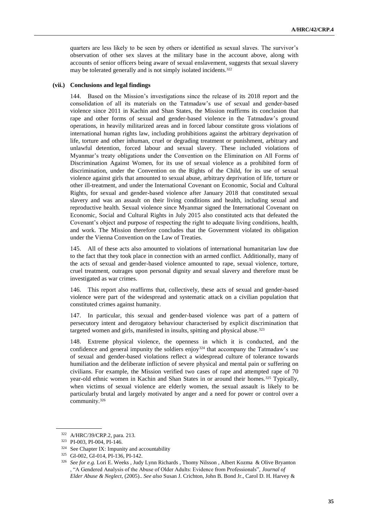quarters are less likely to be seen by others or identified as sexual slaves. The survivor's observation of other sex slaves at the military base in the account above, along with accounts of senior officers being aware of sexual enslavement, suggests that sexual slavery may be tolerated generally and is not simply isolated incidents.<sup>322</sup>

#### **(vii.) Conclusions and legal findings**

144. Based on the Mission's investigations since the release of its 2018 report and the consolidation of all its materials on the Tatmadaw's use of sexual and gender-based violence since 2011 in Kachin and Shan States, the Mission reaffirms its conclusion that rape and other forms of sexual and gender-based violence in the Tatmadaw's ground operations, in heavily militarized areas and in forced labour constitute gross violations of international human rights law, including prohibitions against the arbitrary deprivation of life, torture and other inhuman, cruel or degrading treatment or punishment, arbitrary and unlawful detention, forced labour and sexual slavery. These included violations of Myanmar's treaty obligations under the Convention on the Elimination on All Forms of Discrimination Against Women, for its use of sexual violence as a prohibited form of discrimination, under the Convention on the Rights of the Child, for its use of sexual violence against girls that amounted to sexual abuse, arbitrary deprivation of life, torture or other ill-treatment, and under the International Covenant on Economic, Social and Cultural Rights, for sexual and gender-based violence after January 2018 that constituted sexual slavery and was an assault on their living conditions and health, including sexual and reproductive health. Sexual violence since Myanmar signed the International Covenant on Economic, Social and Cultural Rights in July 2015 also constituted acts that defeated the Covenant's object and purpose of respecting the right to adequate living conditions, health, and work. The Mission therefore concludes that the Government violated its obligation under the Vienna Convention on the Law of Treaties.

145. All of these acts also amounted to violations of international humanitarian law due to the fact that they took place in connection with an armed conflict. Additionally, many of the acts of sexual and gender-based violence amounted to rape, sexual violence, torture, cruel treatment, outrages upon personal dignity and sexual slavery and therefore must be investigated as war crimes.

146. This report also reaffirms that, collectively, these acts of sexual and gender-based violence were part of the widespread and systematic attack on a civilian population that constituted crimes against humanity.

147. In particular, this sexual and gender-based violence was part of a pattern of persecutory intent and derogatory behaviour characterised by explicit discrimination that targeted women and girls, manifested in insults, spitting and physical abuse.<sup>323</sup>

148. Extreme physical violence, the openness in which it is conducted, and the confidence and general impunity the soldiers enjoy<sup>324</sup> that accompany the Tatmadaw's use of sexual and gender-based violations reflect a widespread culture of tolerance towards humiliation and the deliberate infliction of severe physical and mental pain or suffering on civilians. For example, the Mission verified two cases of rape and attempted rape of 70 year-old ethnic women in Kachin and Shan States in or around their homes.<sup>325</sup> Typically, when victims of sexual violence are elderly women, the sexual assault is likely to be particularly brutal and largely motivated by anger and a need for power or control over a community.<sup>326</sup>

<sup>322</sup> A/HRC/39/CRP.2, para. 213.

<sup>323</sup> PI-003, PI-004, PI-146.

<sup>&</sup>lt;sup>324</sup> See Chapter IX: Impunity and accountability

<sup>325</sup> GI-002, GI-014, PI-136, PI-142.

<sup>326</sup> *See for e.g.* Lori E. Weeks , Judy Lynn Richards , Thomy Nilsson , Albert Kozma & Olive Bryanton , "A Gendered Analysis of the Abuse of Older Adults: Evidence from Professionals", *Journal of Elder Abuse & Neglect*, (2005).. *See also* Susan J. Crichton, John B. Bond Jr., Carol D. H. Harvey &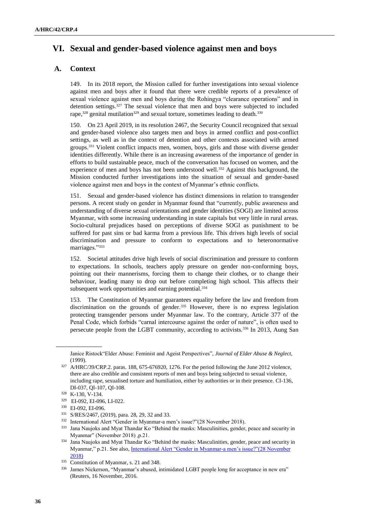# **VI. Sexual and gender-based violence against men and boys**

# **A. Context**

149. In its 2018 report, the Mission called for further investigations into sexual violence against men and boys after it found that there were credible reports of a prevalence of sexual violence against men and boys during the Rohingya "clearance operations" and in detention settings.<sup>327</sup> The sexual violence that men and boys were subjected to included rape, $328$  genital mutilation<sup>329</sup> and sexual torture, sometimes leading to death.<sup>330</sup>

150. On 23 April 2019, in its resolution 2467, the Security Council recognized that sexual and gender-based violence also targets men and boys in armed conflict and post-conflict settings, as well as in the context of detention and other contexts associated with armed groups.<sup>331</sup> Violent conflict impacts men, women, boys, girls and those with diverse gender identities differently. While there is an increasing awareness of the importance of gender in efforts to build sustainable peace, much of the conversation has focused on women, and the experience of men and boys has not been understood well.<sup>332</sup> Against this background, the Mission conducted further investigations into the situation of sexual and gender-based violence against men and boys in the context of Myanmar's ethnic conflicts.

151. Sexual and gender-based violence has distinct dimensions in relation to transgender persons. A recent study on gender in Myanmar found that "currently, public awareness and understanding of diverse sexual orientations and gender identities (SOGI) are limited across Myanmar, with some increasing understanding in state capitals but very little in rural areas. Socio-cultural prejudices based on perceptions of diverse SOGI as punishment to be suffered for past sins or bad karma from a previous life. This drives high levels of social discrimination and pressure to conform to expectations and to heteronormative marriages."333

152. Societal attitudes drive high levels of social discrimination and pressure to conform to expectations. In schools, teachers apply pressure on gender non-conforming boys, pointing out their mannerisms, forcing them to change their clothes, or to change their behaviour, leading many to drop out before completing high school. This affects their subsequent work opportunities and earning potential.<sup>334</sup>

153. The Constitution of Myanmar guarantees equality before the law and freedom from discrimination on the grounds of gender.<sup>335</sup> However, there is no express legislation protecting transgender persons under Myanmar law. To the contrary, Article 377 of the Penal Code, which forbids "carnal intercourse against the order of nature", is often used to persecute people from the LGBT community, according to activists.<sup>336</sup> In 2013, Aung San

Janice Ristock"Elder Abuse: Feminist and Ageist Perspectives", *Journal of Elder Abuse & Neglect*, (1999).

<sup>327</sup> A/HRC/39/CRP.2. paras. 188, 675-676920, 1276. For the period following the June 2012 violence, there are also credible and consistent reports of men and boys being subjected to sexual violence, including rape, sexualised torture and humiliation, either by authorities or in their presence. CI-136, DI-037, QI-107, QI-108.

<sup>328</sup> K-130, V-134.

<sup>329</sup> EI-092, EI-096, LI-022.

<sup>330</sup> EI-092, EI-096.

<sup>331</sup> S/RES/2467, (2019), para. 28, 29, 32 and 33.

<sup>332</sup> International Alert "Gender in Myanmar-a men's issue?"(28 November 2018[\).](https://www.international-alert.org/news/gender-myanmar-mens-issue)

<sup>333</sup> Jana Naujoks and Myat Thandar Ko "Behind the masks: Masculinities, gender, peace and security in Myanmar" (November 2018) ,p.21.

<sup>334</sup> Jana Naujoks and Myat Thandar Ko "Behind the masks: Masculinities, gender, peace and security in Myanmar," p.21. See also, International Alert "Gender in Myanmar-a men's issue?"(28 November 2018)

<sup>335</sup> Constitution of Myanmar, s. 21 and 348.

<sup>336</sup> James Nickerson, "Myanmar's abused, intimidated LGBT people long for acceptance in new era" (Reuters, 16 November, 2016.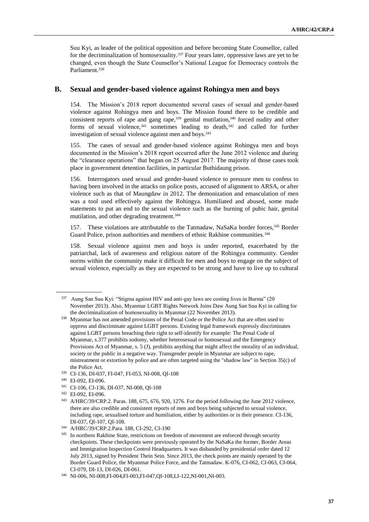Suu Kyi, as leader of the political opposition and before becoming State Counsellor, called for the decriminalization of homosexuality.<sup>337</sup> Four years later, oppressive laws are yet to be changed, even though the State Counsellor's National League for Democracy controls the Parliament.<sup>338</sup>

### **B. Sexual and gender-based violence against Rohingya men and boys**

154. The Mission's 2018 report documented several cases of sexual and gender-based violence against Rohingya men and boys. The Mission found there to be credible and consistent reports of rape and gang rape, $339$  genital mutilation, $340$  forced nudity and other forms of sexual violence,  $341$  sometimes leading to death,  $342$  and called for further investigation of sexual violence against men and boys.<sup>343</sup>

155. The cases of sexual and gender-based violence against Rohingya men and boys documented in the Mission's 2018 report occurred after the June 2012 violence and during the "clearance operations" that began on 25 August 2017. The majority of those cases took place in government detention facilities, in particular Buthidaung prison.

156. Interrogators used sexual and gender-based violence to pressure men to confess to having been involved in the attacks on police posts, accused of alignment to ARSA, or after violence such as that of Maungdaw in 2012. The demonization and emasculation of men was a tool used effectively against the Rohingya. Humiliated and abused, some made statements to put an end to the sexual violence such as the burning of pubic hair, genital mutilation, and other degrading treatment.<sup>344</sup>

157. These violations are attributable to the Tatmadaw, NaSaKa border forces, 345 Border Guard Police, prison authorities and members of ethnic Rakhine communities.<sup>346</sup>

158. Sexual violence against men and boys is under reported, exacerbated by the patriarchal, lack of awareness and religious nature of the Rohingya community. Gender norms within the community make it difficult for men and boys to engage on the subject of sexual violence, especially as they are expected to be strong and have to live up to cultural

<sup>337</sup> Aung San Suu Kyi: "Stigma against HIV and anti-gay laws are costing lives in Burma" (20 November 2013). Also, Myanmar LGBT Rights Network Joins Daw Aung San Suu Kyi in calling for the decriminalization of homosexuality in Myanmar (22 November 2013).

<sup>338</sup> Myanmar has not amended provisions of the Penal Code or the Police Act that are often used to oppress and discriminate against LGBT persons. Existing legal framework expressly discriminates against LGBT persons breaching their right to self-identify for example: The Penal Code of Myanmar, s.377 prohibits sodomy, whether heterosexual or homosexual and the Emergency Provisions Act of Myanmar, s. 5 (J), prohibits anything that might affect the morality of an individual, society or the public in a negative way. Transgender people in Myanmar are subject to rape, mistreatment or extortion by police and are often targeted using the "shadow law" in Section 35(c) of the Police Act.

<sup>339</sup> CI-136, DI-037, FI-047, FI-053, NI-008, QI-108

<sup>340</sup> EI-092, EI-096.

<sup>341</sup> CI-106, CI-136, DI-037, NI-008, QI-108

<sup>342</sup> EI-092, EI-096.

<sup>343</sup> A/HRC/39/CRP.2. Paras. 188, 675, 676, 920, 1276. For the period following the June 2012 violence, there are also credible and consistent reports of men and boys being subjected to sexual violence, including rape, sexualised torture and humiliation, either by authorities or in their presence. CI-136, DI-037, QI-107, QI-108.

<sup>344</sup> A/HRC/39/CRP.2.Para. 188, CI-292, CI-190

<sup>&</sup>lt;sup>345</sup> In northern Rakhine State, restrictions on freedom of movement are enforced through security checkpoints. These checkpoints were previously operated by the NaSaKa the former, Border Areas and Immigration Inspection Control Headquarters. It was disbanded by presidential order dated 12 July 2013, signed by President Thein Sein. Since 2013, the check points are mainly operated by the Border Guard Police, the Myanmar Police Force, and the Tatmadaw. K-076, CI-062, CI-063, CI-064, CI-079, DI-13, DI-026, DI-061.

<sup>346</sup> NI-006, NI-008,FI-004,FI-003,FI-047,QI-108,LI-122,NI-001,NI-003.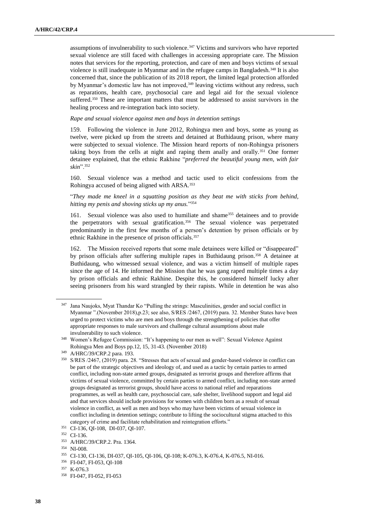assumptions of invulnerability to such violence.<sup>347</sup> Victims and survivors who have reported sexual violence are still faced with challenges in accessing appropriate care. The Mission notes that services for the reporting, protection, and care of men and boys victims of sexual violence is still inadequate in Myanmar and in the refugee camps in Bangladesh.<sup>348</sup> It is also concerned that, since the publication of its 2018 report, the limited legal protection afforded by Myanmar's domestic law has not improved,<sup>349</sup> leaving victims without any redress, such as reparations, health care, psychosocial care and legal aid for the sexual violence suffered.<sup>350</sup> These are important matters that must be addressed to assist survivors in the healing process and re-integration back into society.

*Rape and sexual violence against men and boys in detention settings*

159. Following the violence in June 2012, Rohingya men and boys, some as young as twelve, were picked up from the streets and detained at Buthidaung prison, where many were subjected to sexual violence. The Mission heard reports of non-Rohingya prisoners taking boys from the cells at night and raping them anally and orally.<sup>351</sup> One former detainee explained, that the ethnic Rakhine "*preferred the beautiful young men, with fair skin*".<sup>352</sup>

160. Sexual violence was a method and tactic used to elicit confessions from the Rohingya accused of being aligned with ARSA.<sup>353</sup>

"*They made me kneel in a squatting position as they beat me with sticks from behind, hitting my penis and shoving sticks up my anus.*" 354

161. Sexual violence was also used to humiliate and shame<sup>355</sup> detainees and to provide the perpetrators with sexual gratification.<sup>356</sup> The sexual violence was perpetrated predominantly in the first few months of a person's detention by prison officials or by ethnic Rakhine in the presence of prison officials.<sup>357</sup>

162. The Mission received reports that some male detainees were killed or "disappeared" by prison officials after suffering multiple rapes in Buthidaung prison. <sup>358</sup> A detainee at Buthidaung, who witnessed sexual violence, and was a victim himself of multiple rapes since the age of 14. He informed the Mission that he was gang raped multiple times a day by prison officials and ethnic Rakhine. Despite this, he considered himself lucky after seeing prisoners from his ward strangled by their rapists. While in detention he was also

<sup>347</sup> Jana Naujoks, Myat Thandar Ko "Pulling the strings: Masculinities, gender and social conflict in Myanmar ".(November 2018),p.23; see also, S/RES /2467, (2019) para. 32. Member States have been urged to protect victims who are men and boys through the strengthening of policies that offer appropriate responses to male survivors and challenge cultural assumptions about male invulnerability to such violence.

<sup>348</sup> Women's Refugee Commission: "It's happening to our men as well": Sexual Violence Against Rohingya Men and Boys pp.12, 15, 31-43. (November 2018)

<sup>349</sup> A/HRC/39/CRP.2 para. 193.

<sup>350</sup> S/RES /2467, (2019) para. 28. "Stresses that acts of sexual and gender-based violence in conflict can be part of the strategic objectives and ideology of, and used as a tactic by certain parties to armed conflict, including non-state armed groups, designated as terrorist groups and therefore affirms that victims of sexual violence, committed by certain parties to armed conflict, including non-state armed groups designated as terrorist groups, should have access to national relief and reparations programmes, as well as health care, psychosocial care, safe shelter, livelihood support and legal aid and that services should include provisions for women with children born as a result of sexual violence in conflict, as well as men and boys who may have been victims of sexual violence in conflict including in detention settings; contribute to lifting the sociocultural stigma attached to this category of crime and facilitate rehabilitation and reintegration efforts."

<sup>351</sup> CI-136, QI-108, DI-037, QI-107.

<sup>352</sup> CI-136.

<sup>353</sup> A/HRC/39/CRP.2. Pra. 1364.

<sup>354</sup> NI-008.

<sup>355</sup> CI-130, CI-136, DI-037, QI-105, QI-106, QI-108; K-076.3, K-076.4, K-076.5, NI-016.

<sup>356</sup> FI-047, FI-053, QI-108

<sup>357</sup> K-076.3

<sup>358</sup> FI-047, FI-052, FI-053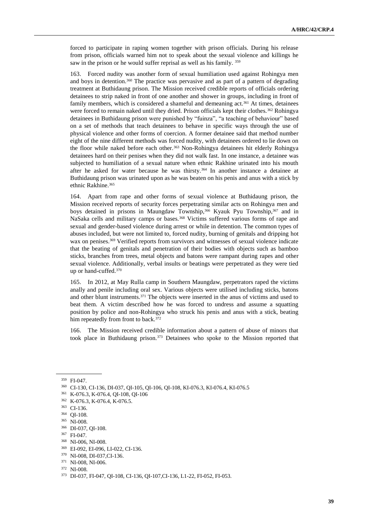forced to participate in raping women together with prison officials. During his release from prison, officials warned him not to speak about the sexual violence and killings he saw in the prison or he would suffer reprisal as well as his family. <sup>359</sup>

163. Forced nudity was another form of sexual humiliation used against Rohingya men and boys in detention. <sup>360</sup> The practice was pervasive and as part of a pattern of degrading treatment at Buthidaung prison. The Mission received credible reports of officials ordering detainees to strip naked in front of one another and shower in groups, including in front of family members, which is considered a shameful and demeaning act.<sup>361</sup> At times, detainees were forced to remain naked until they dried. Prison officials kept their clothes.<sup>362</sup> Rohingya detainees in Buthidaung prison were punished by "fuinza", "a teaching of behaviour" based on a set of methods that teach detainees to behave in specific ways through the use of physical violence and other forms of coercion. A former detainee said that method number eight of the nine different methods was forced nudity, with detainees ordered to lie down on the floor while naked before each other.<sup>363</sup> Non-Rohingya detainees hit elderly Rohingya detainees hard on their penises when they did not walk fast. In one instance, a detainee was subjected to humiliation of a sexual nature when ethnic Rakhine urinated into his mouth after he asked for water because he was thirsty.<sup>364</sup> In another instance a detainee at Buthidaung prison was urinated upon as he was beaten on his penis and anus with a stick by ethnic Rakhine. 365

164. Apart from rape and other forms of sexual violence at Buthidaung prison, the Mission received reports of security forces perpetrating similar acts on Rohingya men and boys detained in prisons in Maungdaw Township,<sup>366</sup> Kyauk Pyu Township, <sup>367</sup> and in NaSaka cells and military camps or bases.<sup>368</sup> Victims suffered various forms of rape and sexual and gender-based violence during arrest or while in detention. The common types of abuses included, but were not limited to, forced nudity, burning of genitals and dripping hot wax on penises.<sup>369</sup> Verified reports from survivors and witnesses of sexual violence indicate that the beating of genitals and penetration of their bodies with objects such as bamboo sticks, branches from trees, metal objects and batons were rampant during rapes and other sexual violence. Additionally, verbal insults or beatings were perpetrated as they were tied up or hand-cuffed.<sup>370</sup>

165. In 2012, at May Rulla camp in Southern Maungdaw, perpetrators raped the victims anally and penile including oral sex. Various objects were utilised including sticks, batons and other blunt instruments.<sup>371</sup> The objects were inserted in the anus of victims and used to beat them. A victim described how he was forced to undress and assume a squatting position by police and non-Rohingya who struck his penis and anus with a stick, beating him repeatedly from front to back.<sup>372</sup>

166. The Mission received credible information about a pattern of abuse of minors that took place in Buthidaung prison.<sup>373</sup> Detainees who spoke to the Mission reported that

<sup>359</sup> FI-047.

<sup>360</sup> CI-130, CI-136, DI-037, QI-105, QI-106, QI-108, KI-076.3, KI-076.4, KI-076.5

<sup>361</sup> K-076.3, K-076.4, QI-108, QI-106

<sup>362</sup> K-076.3, K-076.4, K-076.5.

<sup>363</sup> CI-136.

<sup>364</sup> QI-108.

<sup>365</sup> NI-008.

<sup>366</sup> DI-037, QI-108.

<sup>367</sup> FI-047.

<sup>368</sup> NI-006, NI-008.

<sup>369</sup> EI-092, EI-096, LI-022, CI-136.

<sup>370</sup> NI-008, DI-037,CI-136.

<sup>371</sup> NI-008, NI-006.

<sup>372</sup> NI-008.

<sup>373</sup> DI-037, FI-047, QI-108, CI-136, QI-107,CI-136, L1-22, FI-052, FI-053.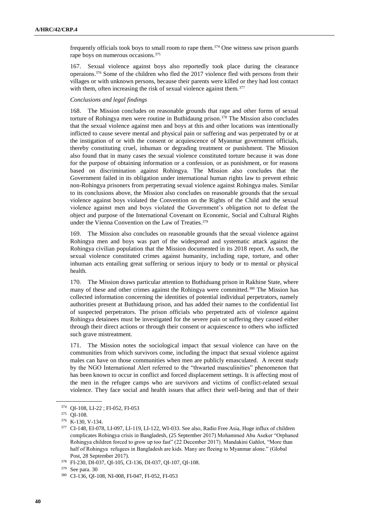frequently officials took boys to small room to rape them.<sup>374</sup> One witness saw prison guards rape boys on numerous occasions.<sup>375</sup>

167. Sexual violence against boys also reportedly took place during the clearance operaions.<sup>376</sup> Some of the children who fled the 2017 violence fled with persons from their villages or with unknown persons, because their parents were killed or they had lost contact with them, often increasing the risk of sexual violence against them.<sup>377</sup>

### *Conclusions and legal findings*

168. The Mission concludes on reasonable grounds that rape and other forms of sexual torture of Rohingya men were routine in Buthidaung prison.<sup>378</sup> The Mission also concludes that the sexual violence against men and boys at this and other locations was intentionally inflicted to cause severe mental and physical pain or suffering and was perpetrated by or at the instigation of or with the consent or acquiescence of Myanmar government officials, thereby constituting cruel, inhuman or degrading treatment or punishment. The Mission also found that in many cases the sexual violence constituted torture because it was done for the purpose of obtaining information or a confession, or as punishment, or for reasons based on discrimination against Rohingya. The Mission also concludes that the Government failed in its obligation under international human rights law to prevent ethnic non-Rohingya prisoners from perpetrating sexual violence against Rohingya males. Similar to its conclusions above, the Mission also concludes on reasonable grounds that the sexual violence against boys violated the Convention on the Rights of the Child and the sexual violence against men and boys violated the Government's obligation not to defeat the object and purpose of the International Covenant on Economic, Social and Cultural Rights under the Vienna Convention on the Law of Treaties.<sup>379</sup>

169. The Mission also concludes on reasonable grounds that the sexual violence against Rohingya men and boys was part of the widespread and systematic attack against the Rohingya civilian population that the Mission documented in its 2018 report. As such, the sexual violence constituted crimes against humanity, including rape, torture, and other inhuman acts entailing great suffering or serious injury to body or to mental or physical health.

170. The Mission draws particular attention to Buthiduang prison in Rakhine State, where many of these and other crimes against the Rohingya were committed.<sup>380</sup> The Mission has collected information concerning the identities of potential individual perpetrators, namely authorities present at Buthidaung prison, and has added their names to the confidential list of suspected perpetrators. The prison officials who perpetrated acts of violence against Rohingya detainees must be investigated for the severe pain or suffering they caused either through their direct actions or through their consent or acquiescence to others who inflicted such grave mistreatment.

171. The Mission notes the sociological impact that sexual violence can have on the communities from which survivors come, including the impact that sexual violence against males can have on those communities when men are publicly emasculated. A recent study by the NGO International Alert referred to the "thwarted masculinities" phenomenon that has been known to occur in conflict and forced displacement settings. It is affecting most of the men in the refugee camps who are survivors and victims of conflict-related sexual violence. They face social and health issues that affect their well-being and that of their

<sup>374</sup> QI-108, LI-22 ; FI-052, FI-053

<sup>375</sup> QI-108.

<sup>376</sup> K-130, V-134.

<sup>377</sup> CI-148, EI-078, LI-097, LI-119, LI-122, WI-033. See also, Radio Free Asia, Huge influx of children complicates Rohingya crisis in Bangladesh, (25 September 2017) Mohammed Abu Aseker "Orphaned Rohingya children forced to grow up too fast" (22 December 2017). Mandakini Gahlot, "More than half of Rohingya refugees in Bangladesh are kids. Many are fleeing to Myanmar alone." (Global Post, 28 September 2017).

<sup>378</sup> FI-230, DI-037, QI-105, CI-136, DI-037, QI-107, QI-108.

<sup>379</sup> See para. 30

<sup>380</sup> CI-136, QI-108, NI-008, FI-047, FI-052, FI-053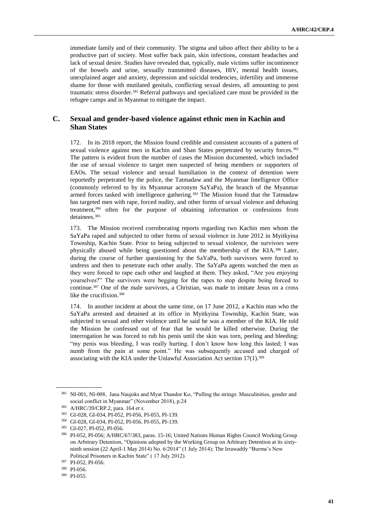immediate family and of their community. The stigma and taboo affect their ability to be a productive part of society. Most suffer back pain, skin infections, constant headaches and lack of sexual desire. Studies have revealed that, typically, male victims suffer incontinence of the bowels and urine, sexually transmitted diseases, HIV, mental health issues, unexplained anger and anxiety, depression and suicidal tendencies, infertility and immense shame for those with mutilated genitals, conflicting sexual desires, all amounting to post traumatic stress disorder.<sup>381</sup> Referral pathways and specialized care must be provided in the refugee camps and in Myanmar to mitigate the impact.

# **C. Sexual and gender-based violence against ethnic men in Kachin and Shan States**

172. In its 2018 report, the Mission found credible and consistent accounts of a pattern of sexual violence against men in Kachin and Shan States perpetrated by security forces.<sup>382</sup> The pattern is evident from the number of cases the Mission documented, which included the use of sexual violence to target men suspected of being members or supporters of EAOs. The sexual violence and sexual humiliation in the context of detention were reportedly perpetrated by the police, the Tatmadaw and the Myanmar Intelligence Office (commonly referred to by its Myanmar acronym SaYaPa), the branch of the Myanmar armed forces tasked with intelligence gathering.<sup>383</sup> The Mission found that the Tatmadaw has targeted men with rape, forced nudity, and other forms of sexual violence and debasing treatment, <sup>384</sup> often for the purpose of obtaining information or confessions from detainees.<sup>385</sup>

173. The Mission received corroborating reports regarding two Kachin men whom the SaYaPa raped and subjected to other forms of sexual violence in June 2012 in Myitkyina Township, Kachin State. Prior to being subjected to sexual violence, the survivors were physically abused while being questioned about the membership of the KIA.<sup>386</sup> Later, during the course of further questioning by the SaYaPa, both survivors were forced to undress and then to penetrate each other anally. The SaYaPa agents watched the men as they were forced to rape each other and laughed at them. They asked, "Are you enjoying yourselves?" The survivors were begging for the rapes to stop despite being forced to continue.<sup>387</sup> One of the male survivors, a Christian, was made to imitate Jesus on a cross like the crucifixion.<sup>388</sup>

174. In another incident at about the same time, on 17 June 2012, a Kachin man who the SaYaPa arrested and detained at its office in Myitkyina Township, Kachin State, was subjected to sexual and other violence until he said he was a member of the KIA. He told the Mission he confessed out of fear that he would be killed otherwise. During the interrogation he was forced to rub his penis until the skin was torn, peeling and bleeding: "my penis was bleeding, I was really hurting. I don't know how long this lasted; I was numb from the pain at some point." He was subsequently accused and charged of associating with the KIA under the Unlawful Association Act section  $17(1)$ .<sup>389</sup>

<sup>&</sup>lt;sup>381</sup> NI-001, NI-008, Jana Naujoks and Myat Thandor Ko, "Pulling the strings: Masculinities, gender and social conflict in Myanmar" (November 2018), p.24

<sup>382</sup> A/HRC/39/CRP.2, para. 164 *et s*.

<sup>383</sup> GI-028, GI-034, PI-052, PI-056, PI-055, PI-139.

<sup>384</sup> GI-028, GI-034, PI-052, PI-056, PI-055, PI-139.

<sup>385</sup> GI-027, PI-052, PI-056.

<sup>386</sup> PI-052, PI-056; A/HRC/67/383, paras. 15-16; United Nations Human Rights Council Working Group on Arbitrary Detention, "Opinions adopted by the Working Group on Arbitrary Detention at its sixtyninth session (22 April-1 May 2014) No. 6/2014" (1 July 2014); The Irrawaddy "Burma's New Political Prisoners in Kachin State" ( 17 July 2012).

<sup>387</sup> PI-052, PI-056.

<sup>388</sup> PI-056.

<sup>389</sup> PI-055.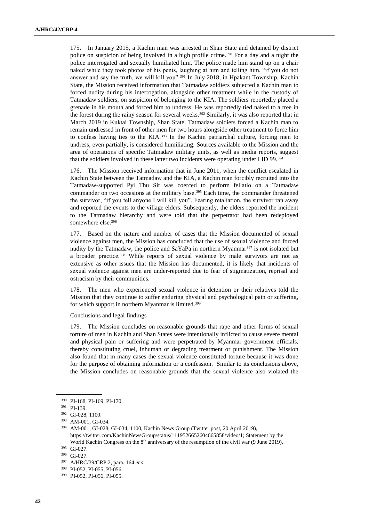175. In January 2015, a Kachin man was arrested in Shan State and detained by district police on suspicion of being involved in a high profile crime.<sup>390</sup> For a day and a night the police interrogated and sexually humiliated him. The police made him stand up on a chair naked while they took photos of his penis, laughing at him and telling him, "if you do not answer and say the truth, we will kill you".<sup>391</sup> In July 2018, in Hpakant Township, Kachin State, the Mission received information that Tatmadaw soldiers subjected a Kachin man to forced nudity during his interrogation, alongside other treatment while in the custody of Tatmadaw soldiers, on suspicion of belonging to the KIA. The soldiers reportedly placed a grenade in his mouth and forced him to undress. He was reportedly tied naked to a tree in the forest during the rainy season for several weeks.<sup>392</sup> Similarly, it was also reported that in March 2019 in Kuktai Township, Shan State, Tatmadaw soldiers forced a Kachin man to remain undressed in front of other men for two hours alongside other treatment to force him to confess having ties to the KIA.<sup>393</sup> In the Kachin patriarchal culture, forcing men to undress, even partially, is considered humiliating. Sources available to the Mission and the area of operations of specific Tatmadaw military units, as well as media reports, suggest that the soldiers involved in these latter two incidents were operating under LID 99.<sup>394</sup>

176. The Mission received information that in June 2011, when the conflict escalated in Kachin State between the Tatmadaw and the KIA, a Kachin man forcibly recruited into the Tatmadaw-supported Pyi Thu Sit was coerced to perform fellatio on a Tatmadaw commander on two occasions at the military base.<sup>395</sup> Each time, the commander threatened the survivor, "if you tell anyone I will kill you". Fearing retaliation, the survivor ran away and reported the events to the village elders. Subsequently, the elders reported the incident to the Tatmadaw hierarchy and were told that the perpetrator had been redeployed somewhere else.<sup>396</sup>

177. Based on the nature and number of cases that the Mission documented of sexual violence against men, the Mission has concluded that the use of sexual violence and forced nudity by the Tatmadaw, the police and  $SaYaPa$  in northern Myanmar<sup>397</sup> is not isolated but a broader practice.<sup>398</sup> While reports of sexual violence by male survivors are not as extensive as other issues that the Mission has documented, it is likely that incidents of sexual violence against men are under-reported due to fear of stigmatization, reprisal and ostracism by their communities.

178. The men who experienced sexual violence in detention or their relatives told the Mission that they continue to suffer enduring physical and psychological pain or suffering, for which support in northern Myanmar is limited.<sup>399</sup>

Conclusions and legal findings

179. The Mission concludes on reasonable grounds that rape and other forms of sexual torture of men in Kachin and Shan States were intentionally inflicted to cause severe mental and physical pain or suffering and were perpetrated by Myanmar government officials, thereby constituting cruel, inhuman or degrading treatment or punishment. The Mission also found that in many cases the sexual violence constituted torture because it was done for the purpose of obtaining information or a confession. Similar to its conclusions above, the Mission concludes on reasonable grounds that the sexual violence also violated the

<sup>390</sup> PI-168, PI-169, PI-170.

<sup>391</sup> PI-139.

<sup>392</sup> GI-028, 1100.

<sup>393</sup> AM-001, GI-034.

<sup>394</sup> AM-001, GI-028, GI-034, 1100, Kachin News Group (Twitter post, 20 April 2019), [https://twitter.com/KachinNewsGroup/status/1119526652604665858/video/1;](https://twitter.com/KachinNewsGroup/status/1119526652604665858/video/1) Statement by the World Kachin Congress on the 8<sup>th</sup> anniversary of the resumption of the civil war (9 June 2019).

<sup>395</sup> GI-027.

<sup>396</sup> GI-027.

<sup>397</sup> A/HRC/39/CRP.2, para. 164 *et s*.

<sup>398</sup> PI-052, PI-055, PI-056.

<sup>399</sup> PI-052, PI-056, PI-055.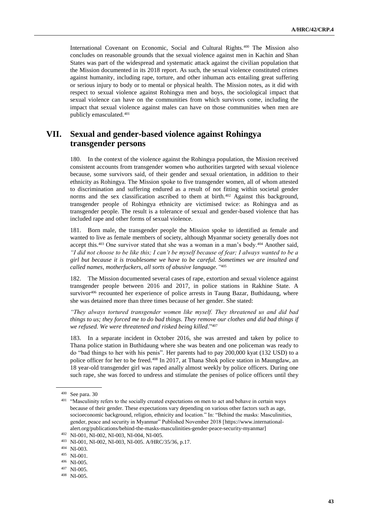International Covenant on Economic, Social and Cultural Rights.<sup>400</sup> The Mission also concludes on reasonable grounds that the sexual violence against men in Kachin and Shan States was part of the widespread and systematic attack against the civilian population that the Mission documented in its 2018 report. As such, the sexual violence constituted crimes against humanity, including rape, torture, and other inhuman acts entailing great suffering or serious injury to body or to mental or physical health. The Mission notes, as it did with respect to sexual violence against Rohingya men and boys, the sociological impact that sexual violence can have on the communities from which survivors come, including the impact that sexual violence against males can have on those communities when men are publicly emasculated.<sup>401</sup>

# **VII. Sexual and gender-based violence against Rohingya transgender persons**

180. In the context of the violence against the Rohingya population, the Mission received consistent accounts from transgender women who authorities targeted with sexual violence because, some survivors said, of their gender and sexual orientation, in addition to their ethnicity as Rohingya. The Mission spoke to five transgender women, all of whom attested to discrimination and suffering endured as a result of not fitting within societal gender norms and the sex classification ascribed to them at birth.<sup>402</sup> Against this background, transgender people of Rohingya ethnicity are victimised twice: as Rohingya and as transgender people. The result is a tolerance of sexual and gender-based violence that has included rape and other forms of sexual violence.

181. Born male, the transgender people the Mission spoke to identified as female and wanted to live as female members of society, although Myanmar society generally does not accept this.<sup>403</sup> One survivor stated that she was a woman in a man's body.<sup>404</sup> Another said, *"I did not choose to be like this; I can't be myself because of fear; I always wanted to be a girl but because it is troublesome we have to be careful. Sometimes we are insulted and called names, motherfuckers, all sorts of abusive language."* 405

The Mission documented several cases of rape, extortion and sexual violence against transgender people between 2016 and 2017, in police stations in Rakhine State. A survivor<sup>406</sup> recounted her experience of police arrests in Taung Bazar, Buthidaung, where she was detained more than three times because of her gender. She stated:

*"They always tortured transgender women like myself. They threatened us and did bad things to us; they forced me to do bad things. They remove our clothes and did bad things if we refused. We were threatened and risked being killed*."<sup>407</sup>

183. In a separate incident in October 2016, she was arrested and taken by police to Thana police station in Buthidaung where she was beaten and one policeman was ready to do "bad things to her with his penis". Her parents had to pay 200,000 kyat (132 USD) to a police officer for her to be freed.<sup>408</sup> In 2017, at Thana Shok police station in Maungdaw, an 18 year-old transgender girl was raped anally almost weekly by police officers. During one such rape, she was forced to undress and stimulate the penises of police officers until they

<sup>400</sup> See para. 30

<sup>&</sup>lt;sup>401</sup> "Masculinity refers to the socially created expectations on men to act and behave in certain ways because of their gender. These expectations vary depending on various other factors such as age, socioeconomic background, religion, ethnicity and location." In: "Behind the masks: Masculinities, gender, peace and security in Myanmar" Published November 2018 [\[https://www.international](https://www.international-alert.org/publications/behind-the-masks-masculinities-gender-peace-security-myanmar)[alert.org/publications/behind-the-masks-masculinities-gender-peace-security-myanmar\]](https://www.international-alert.org/publications/behind-the-masks-masculinities-gender-peace-security-myanmar)

<sup>402</sup> NI-001, NI-002, NI-003, NI-004, NI-005.

<sup>403</sup> NI-001, NI-002, NI-003, NI-005. A/HRC/35/36, p.17.

<sup>404</sup> NI-003.

<sup>405</sup> NI-001.

<sup>406</sup> NI-005.

<sup>407</sup> NI-005.

<sup>408</sup> NI-005.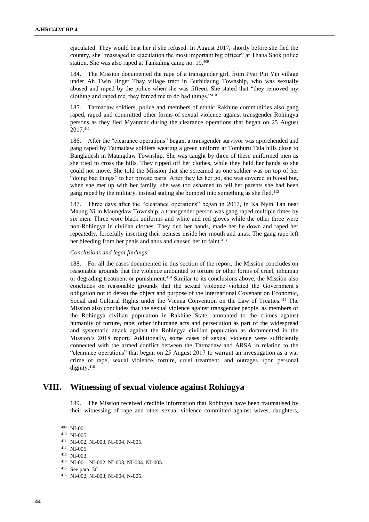ejaculated. They would beat her if she refused. In August 2017, shortly before she fled the country, she "massaged to ejaculation the most important big officer" at Thana Shok police station. She was also raped at Tankaling camp no. 19.<sup>409</sup>

184. The Mission documented the rape of a transgender girl, from Pyar Pin Yin village under Ah Twin Hnget Thay village tract in Buthidaung Township, who was sexually abused and raped by the police when she was fifteen. She stated that "they removed my clothing and raped me, they forced me to do bad things."<sup>410</sup>

185. Tatmadaw soldiers, police and members of ethnic Rakhine communities also gang raped, raped and committed other forms of sexual violence against transgender Rohingya persons as they fled Myanmar during the clearance operations that began on 25 August 2017.411

186. After the "clearance operations" began, a transgender survivor was apprehended and gang raped by Tatmadaw soldiers wearing a green uniform at Tomburu Tala hills close to Bangladesh in Maungdaw Township. She was caught by three of these uniformed men as she tried to cross the hills. They ripped off her clothes, while they held her hands so she could not move. She told the Mission that she screamed as one soldier was on top of her "doing bad things" to her private parts. After they let her go, she was covered in blood but, when she met up with her family, she was too ashamed to tell her parents she had been gang raped by the military, instead stating she bumped into something as she fled.<sup>412</sup>

187. Three days after the "clearance operations" began in 2017, in Ka Nyin Tan near Maung Ni in Maungdaw Township, a transgender person was gang raped multiple times by six men. Three wore black uniforms and white and red gloves while the other three were non-Rohingya in civilian clothes. They tied her hands, made her lie down and raped her repeatedly, forcefully inserting their penises inside her mouth and anus. The gang rape left her bleeding from her penis and anus and caused her to faint.<sup>413</sup>

#### *Conclusions and legal findings*

188. For all the cases documented in this section of the report, the Mission concludes on reasonable grounds that the violence amounted to torture or other forms of cruel, inhuman or degrading treatment or punishment.<sup>414</sup> Similar to its conclusions above, the Mission also concludes on reasonable grounds that the sexual violence violated the Government's obligation not to defeat the object and purpose of the International Covenant on Economic, Social and Cultural Rights under the Vienna Convention on the Law of Treaties.<sup>415</sup> The Mission also concludes that the sexual violence against transgender people, as members of the Rohingya civilian population in Rakhine State, amounted to the crimes against humanity of torture, rape, other inhumane acts and persecution as part of the widespread and systematic attack against the Rohingya civilian population as documented in the Mission's 2018 report. Additionally, some cases of sexual violence were sufficiently connected with the armed conflict between the Tatmadaw and ARSA in relation to the "clearance operations" that began on 25 August 2017 to warrant an investigation as a war crime of rape, sexual violence, torture, cruel treatment, and outrages upon personal dignity.<sup>416</sup>

# **VIII. Witnessing of sexual violence against Rohingya**

189. The Mission received credible information that Rohingya have been traumatised by their witnessing of rape and other sexual violence committed against wives, daughters,

<sup>409</sup> NI-001.

<sup>410</sup> NI-005.

<sup>411</sup> NI-002, NI-003, NI-004, N-005.

<sup>412</sup> NI-005.

<sup>413</sup> NI-003.

<sup>414</sup> NI-001, NI-002, NI-003, NI-004, NI-005.

<sup>415</sup> See para. 30

<sup>416</sup> NI-002, NI-003, NI-004, N-005.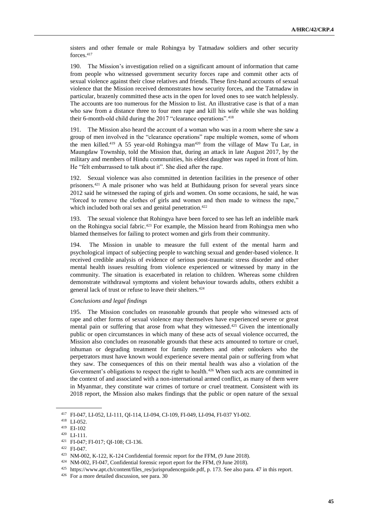sisters and other female or male Rohingya by Tatmadaw soldiers and other security forces.<sup>417</sup>

190. The Mission's investigation relied on a significant amount of information that came from people who witnessed government security forces rape and commit other acts of sexual violence against their close relatives and friends. These first-hand accounts of sexual violence that the Mission received demonstrates how security forces, and the Tatmadaw in particular, brazenly committed these acts in the open for loved ones to see watch helplessly. The accounts are too numerous for the Mission to list. An illustrative case is that of a man who saw from a distance three to four men rape and kill his wife while she was holding their 6-month-old child during the 2017 "clearance operations".<sup>418</sup>

191. The Mission also heard the account of a woman who was in a room where she saw a group of men involved in the "clearance operations" rape multiple women, some of whom the men killed.<sup>419</sup> A 55 year-old Rohingya man<sup>420</sup> from the village of Maw Tu Lar, in Maungdaw Township, told the Mission that, during an attack in late August 2017, by the military and members of Hindu communities, his eldest daughter was raped in front of him. He "felt embarrassed to talk about it". She died after the rape.

192. Sexual violence was also committed in detention facilities in the presence of other prisoners.<sup>421</sup> A male prisoner who was held at Buthidaung prison for several years since 2012 said he witnessed the raping of girls and women. On some occasions, he said, he was "forced to remove the clothes of girls and women and then made to witness the rape," which included both oral sex and genital penetration.<sup>422</sup>

The sexual violence that Rohingya have been forced to see has left an indelible mark on the Rohingya social fabric.<sup>423</sup> For example, the Mission heard from Rohingya men who blamed themselves for failing to protect women and girls from their community.

194. The Mission in unable to measure the full extent of the mental harm and psychological impact of subjecting people to watching sexual and gender-based violence. It received credible analysis of evidence of serious post-traumatic stress disorder and other mental health issues resulting from violence experienced or witnessed by many in the community. The situation is exacerbated in relation to children. Whereas some children demonstrate withdrawal symptoms and violent behaviour towards adults, others exhibit a general lack of trust or refuse to leave their shelters.<sup>424</sup>

#### *Conclusions and legal findings*

195. The Mission concludes on reasonable grounds that people who witnessed acts of rape and other forms of sexual violence may themselves have experienced severe or great mental pain or suffering that arose from what they witnessed.<sup>425</sup> Given the intentionally public or open circumstances in which many of these acts of sexual violence occurred, the Mission also concludes on reasonable grounds that these acts amounted to torture or cruel, inhuman or degrading treatment for family members and other onlookers who the perpetrators must have known would experience severe mental pain or suffering from what they saw. The consequences of this on their mental health was also a violation of the Government's obligations to respect the right to health.<sup>426</sup> When such acts are committed in the context of and associated with a non-international armed conflict, as many of them were in Myanmar, they constitute war crimes of torture or cruel treatment. Consistent with its 2018 report, the Mission also makes findings that the public or open nature of the sexual

<sup>417</sup> FI-047, LI-052, LI-111, QI-114, LI-094, CI-109, FI-049, LI-094, FI-037 YI-002.

<sup>418</sup> LI-052.

<sup>419</sup> EI-102

<sup>420</sup> LI-111.

<sup>421</sup> FI-047; FI-017; QI-108; CI-136.

<sup>422</sup> FI-047.

<sup>423</sup> NM-002, K-122, K-124 Confidential forensic report for the FFM, (9 June 2018).

<sup>424</sup> NM-002, FI-047, Confidential forensic report eport for the FFM, (9 June 2018).

<sup>425</sup> [https://www.apt.ch/content/files\\_res/jurisprudenceguide.pdf,](https://www.apt.ch/content/files_res/jurisprudenceguide.pdf) p. 173. See also para. 47 in this report.

<sup>426</sup> For a more detailed discussion, see para. 30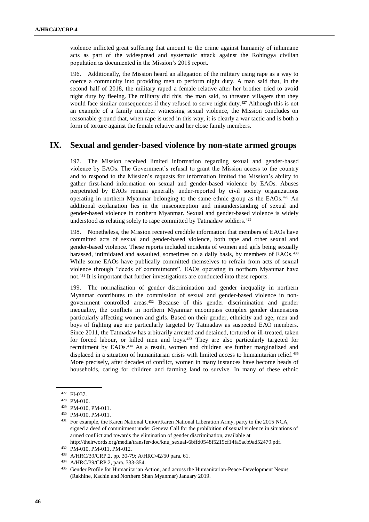violence inflicted great suffering that amount to the crime against humanity of inhumane acts as part of the widespread and systematic attack against the Rohingya civilian population as documented in the Mission's 2018 report.

196. Additionally, the Mission heard an allegation of the military using rape as a way to coerce a community into providing men to perform night duty. A man said that, in the second half of 2018, the military raped a female relative after her brother tried to avoid night duty by fleeing. The military did this, the man said, to threaten villagers that they would face similar consequences if they refused to serve night duty.<sup>427</sup> Although this is not an example of a family member witnessing sexual violence, the Mission concludes on reasonable ground that, when rape is used in this way, it is clearly a war tactic and is both a form of torture against the female relative and her close family members.

# **IX. Sexual and gender-based violence by non-state armed groups**

197. The Mission received limited information regarding sexual and gender-based violence by EAOs. The Government's refusal to grant the Mission access to the country and to respond to the Mission's requests for information limited the Mission's ability to gather first-hand information on sexual and gender-based violence by EAOs. Abuses perpetrated by EAOs remain generally under-reported by civil society organizations operating in northern Myanmar belonging to the same ethnic group as the EAOs.<sup>428</sup> An additional explanation lies in the misconception and misunderstanding of sexual and gender-based violence in northern Myanmar. Sexual and gender-based violence is widely understood as relating solely to rape committed by Tatmadaw soldiers.<sup>429</sup>

198. Nonetheless, the Mission received credible information that members of EAOs have committed acts of sexual and gender-based violence, both rape and other sexual and gender-based violence. These reports included incidents of women and girls being sexually harassed, intimidated and assaulted, sometimes on a daily basis, by members of EAOs.<sup>430</sup> While some EAOs have publically committed themselves to refrain from acts of sexual violence through "deeds of commitments", EAOs operating in northern Myanmar have not.<sup>431</sup> It is important that further investigations are conducted into these reports.

199. The normalization of gender discrimination and gender inequality in northern Myanmar contributes to the commission of sexual and gender-based violence in nongovernment controlled areas.<sup>432</sup> Because of this gender discrimination and gender inequality, the conflicts in northern Myanmar encompass complex gender dimensions particularly affecting women and girls. Based on their gender, ethnicity and age, men and boys of fighting age are particularly targeted by Tatmadaw as suspected EAO members. Since 2011, the Tatmadaw has arbitrarily arrested and detained, tortured or ill-treated, taken for forced labour, or killed men and boys.<sup>433</sup> They are also particularly targeted for recruitment by EAOs.<sup>434</sup> As a result, women and children are further marginalized and displaced in a situation of humanitarian crisis with limited access to humanitarian relief.<sup>435</sup> More precisely, after decades of conflict, women in many instances have become heads of households, caring for children and farming land to survive. In many of these ethnic

<sup>427</sup> FI-037.

<sup>428</sup> PM-010.

<sup>429</sup> PM-010, PM-011.

<sup>430</sup> PM-010, PM-011.

<sup>431</sup> For example, the Karen National Union/Karen National Liberation Army, party to the 2015 NCA, signed a deed of commitment under Geneva Call for the prohibition of sexual violence in situations of armed conflict and towards the elimination of gender discrimination, available at [http://theirwords.org/media/transfer/doc/knu\\_sexual-6bffd0548f5219cf14fa5acb9ad52479.pdf.](http://theirwords.org/media/transfer/doc/knu_sexual-6bffd0548f5219cf14fa5acb9ad52479.pdf) 

<sup>432</sup> PM-010, PM-011, PM-012.

<sup>433</sup> A/HRC/39/CRP.2, pp. 30-79; A/HRC/42/50 para. 61.

<sup>434</sup> A/HRC/39/CRP.2, para. 333-354.

<sup>435</sup> Gender Profile for Humanitarian Action, and across the Humanitarian-Peace-Development Nexus (Rakhine, Kachin and Northern Shan Myanmar) January 2019.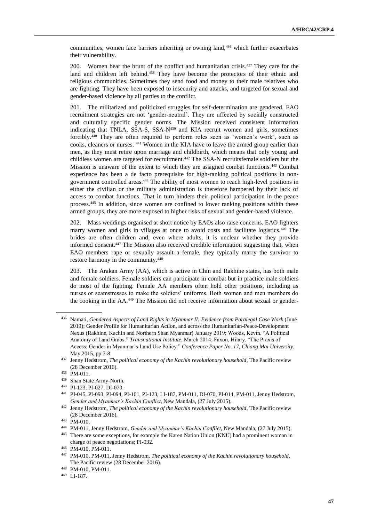communities, women face barriers inheriting or owning land,<sup>436</sup> which further exacerbates their vulnerability.

200. Women bear the brunt of the conflict and humanitarian crisis.<sup>437</sup> They care for the land and children left behind.<sup>438</sup> They have become the protectors of their ethnic and religious communities. Sometimes they send food and money to their male relatives who are fighting. They have been exposed to insecurity and attacks, and targeted for sexual and gender-based violence by all parties to the conflict.

201. The militarized and politicized struggles for self-determination are gendered. EAO recruitment strategies are not 'gender-neutral'. They are affected by socially constructed and culturally specific gender norms. The Mission received consistent information indicating that TNLA, SSA-S, SSA-N<sup>439</sup> and KIA recruit women and girls, sometimes forcibly.<sup>440</sup> They are often required to perform roles seen as 'women's work', such as cooks, cleaners or nurses. <sup>441</sup> Women in the KIA have to leave the armed group earlier than men, as they must retire upon marriage and childbirth, which means that only young and childless women are targeted for recruitment.<sup>442</sup> The SSA-N recruitsfemale soldiers but the Mission is unaware of the extent to which they are assigned combat functions.<sup>443</sup> Combat experience has been a de facto prerequisite for high-ranking political positions in nongovernment controlled areas.<sup>444</sup> The ability of most women to reach high-level positions in either the civilian or the military administration is therefore hampered by their lack of access to combat functions. That in turn hinders their political participation in the peace process.<sup>445</sup> In addition, since women are confined to lower ranking positions within these armed groups, they are more exposed to higher risks of sexual and gender-based violence.

202. Mass weddings organised at short notice by EAOs also raise concerns. EAO fighters marry women and girls in villages at once to avoid costs and facilitate logistics.<sup>446</sup> The brides are often children and, even where adults, it is unclear whether they provide informed consent.<sup>447</sup> The Mission also received credible information suggesting that, when EAO members rape or sexually assault a female, they typically marry the survivor to restore harmony in the community.<sup>448</sup>

203. The Arakan Army (AA), which is active in Chin and Rakhine states, has both male and female soldiers. Female soldiers can participate in combat but in practice male soldiers do most of the fighting. Female AA members often hold other positions, including as nurses or seamstresses to make the soldiers' uniforms. Both women and men members do the cooking in the AA.<sup>449</sup> The Mission did not receive information about sexual or gender-

<sup>436</sup> Namati, *Gendered Aspects of Land Rights in Myanmar II: Evidence from Paralegal Case Work* (June 2019); Gender Profile for Humanitarian Action, and across the Humanitarian-Peace-Development Nexus (Rakhine, Kachin and Northern Shan Myanmar) January 2019; Woods, Kevin. "A Political Anatomy of Land Grabs." *Transnational Institute*, March 2014; Faxon, Hilary. "The Praxis of Access: Gender in Myanmar's Land Use Policy." *Conference Paper No. 17, Chiang Mai University*, May 2015, pp.7-8.

<sup>437</sup> Jenny Hedstrom, *The political economy of the Kachin revolutionary household*, The Pacific review (28 December 2016).

<sup>438</sup> PM-011.

<sup>439</sup> Shan State Army-North.

<sup>440</sup> PI-123, PI-027, DI-070.

<sup>441</sup> PI-045, PI-093, PI-094, PI-101, PI-123, LI-187, PM-011, DI-070, PI-014, PM-011, Jenny Hedstrom, *Gender and Myanmar's Kachin Conflict*, New Mandala, (27 July 2015).

<sup>442</sup> Jenny Hedstrom, *The political economy of the Kachin revolutionary household*, The Pacific review (28 December 2016).

<sup>443</sup> PM-010.

<sup>444</sup> PM-011, Jenny Hedstrom, *Gender and Myanmar's Kachin Conflict*, New Mandala, (27 July 2015).

<sup>&</sup>lt;sup>445</sup> There are some exceptions, for example the Karen Nation Union (KNU) had a prominent woman in charge of peace negotiations; PI-032.

<sup>446</sup> PM-010, PM-011.

<sup>447</sup> PM-010, PM-011, Jenny Hedstrom, *The political economy of the Kachin revolutionary household*, The Pacific review (28 December 2016).

<sup>448</sup> PM-010, PM-011.

<sup>449</sup> LI-187.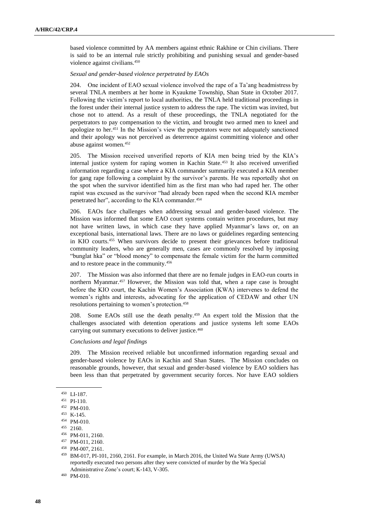based violence committed by AA members against ethnic Rakhine or Chin civilians. There is said to be an internal rule strictly prohibiting and punishing sexual and gender-based violence against civilians.<sup>450</sup>

#### *Sexual and gender-based violence perpetrated by EAOs*

204. One incident of EAO sexual violence involved the rape of a Ta'ang headmistress by several TNLA members at her home in Kyaukme Township, Shan State in October 2017. Following the victim's report to local authorities, the TNLA held traditional proceedings in the forest under their internal justice system to address the rape. The victim was invited, but chose not to attend. As a result of these proceedings, the TNLA negotiated for the perpetrators to pay compensation to the victim, and brought two armed men to kneel and apologize to her.<sup>451</sup> In the Mission's view the perpetrators were not adequately sanctioned and their apology was not perceived as deterrence against committing violence and other abuse against women.<sup>452</sup>

205. The Mission received unverified reports of KIA men being tried by the KIA's internal justice system for raping women in Kachin State.<sup>453</sup> It also received unverified information regarding a case where a KIA commander summarily executed a KIA member for gang rape following a complaint by the survivor's parents. He was reportedly shot on the spot when the survivor identified him as the first man who had raped her. The other rapist was excused as the survivor "had already been raped when the second KIA member penetrated her", according to the KIA commander.<sup>454</sup>

206. EAOs face challenges when addressing sexual and gender-based violence. The Mission was informed that some EAO court systems contain written procedures, but may not have written laws, in which case they have applied Myanmar's laws or, on an exceptional basis, international laws. There are no laws or guidelines regarding sentencing in KIO courts.<sup>455</sup> When survivors decide to present their grievances before traditional community leaders, who are generally men, cases are commonly resolved by imposing "bunglat hka" or "blood money" to compensate the female victim for the harm committed and to restore peace in the community.<sup>456</sup>

207. The Mission was also informed that there are no female judges in EAO-run courts in northern Myanmar.<sup>457</sup> However, the Mission was told that, when a rape case is brought before the KIO court, the Kachin Women's Association (KWA) intervenes to defend the women's rights and interests, advocating for the application of CEDAW and other UN resolutions pertaining to women's protection.<sup>458</sup>

208. Some EAOs still use the death penalty.<sup>459</sup> An expert told the Mission that the challenges associated with detention operations and justice systems left some EAOs carrying out summary executions to deliver justice. 460

### *Conclusions and legal findings*

209. The Mission received reliable but unconfirmed information regarding sexual and gender-based violence by EAOs in Kachin and Shan States. The Mission concludes on reasonable grounds, however, that sexual and gender-based violence by EAO soldiers has been less than that perpetrated by government security forces. Nor have EAO soldiers

 $^{450}\,$  LI-187.

<sup>451</sup> PI-110.

<sup>452</sup> PM-010.

<sup>453</sup> K-145.

<sup>454</sup> PM-010.

 $455$  2160.

<sup>456</sup> PM-011, 2160.

<sup>457</sup> PM-011, 2160.

<sup>458</sup> PM-007, 2161.

<sup>459</sup> BM-017, PI-101, 2160, 2161. For example, in March 2016, the United Wa State Army (UWSA) reportedly executed two persons after they were convicted of murder by the Wa Special Administrative Zone's court; K-143, V-305.

<sup>460</sup> PM-010.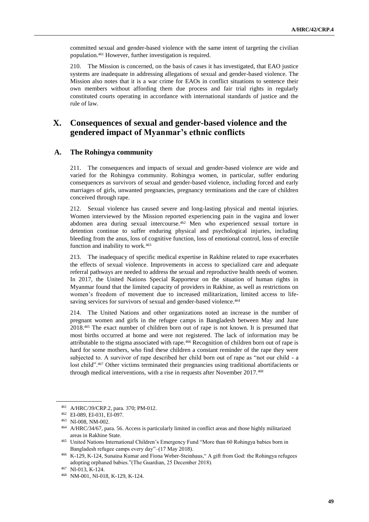committed sexual and gender-based violence with the same intent of targeting the civilian population.<sup>461</sup> However, further investigation is required.

210. The Mission is concerned, on the basis of cases it has investigated, that EAO justice systems are inadequate in addressing allegations of sexual and gender-based violence. The Mission also notes that it is a war crime for EAOs in conflict situations to sentence their own members without affording them due process and fair trial rights in regularly constituted courts operating in accordance with international standards of justice and the rule of law.

# **X. Consequences of sexual and gender-based violence and the gendered impact of Myanmar's ethnic conflicts**

### **A. The Rohingya community**

211. The consequences and impacts of sexual and gender-based violence are wide and varied for the Rohingya community. Rohingya women, in particular, suffer enduring consequences as survivors of sexual and gender-based violence, including forced and early marriages of girls, unwanted pregnancies, pregnancy terminations and the care of children conceived through rape.

212. Sexual violence has caused severe and long-lasting physical and mental injuries. Women interviewed by the Mission reported experiencing pain in the vagina and lower abdomen area during sexual intercourse.<sup>462</sup> Men who experienced sexual torture in detention continue to suffer enduring physical and psychological injuries, including bleeding from the anus, loss of cognitive function, loss of emotional control, loss of erectile function and inability to work.<sup>463</sup>

213. The inadequacy of specific medical expertise in Rakhine related to rape exacerbates the effects of sexual violence. Improvements in access to specialized care and adequate referral pathways are needed to address the sexual and reproductive health needs of women. In 2017, the United Nations Special Rapporteur on the situation of human rights in Myanmar found that the limited capacity of providers in Rakhine, as well as restrictions on women's freedom of movement due to increased militarization, limited access to lifesaving services for survivors of sexual and gender-based violence.<sup>464</sup>

The United Nations and other organizations noted an increase in the number of pregnant women and girls in the refugee camps in Bangladesh between May and June 2018.<sup>465</sup> The exact number of children born out of rape is not known. It is presumed that most births occurred at home and were not registered. The lack of information may be attributable to the stigma associated with rape.<sup>466</sup> Recognition of children born out of rape is hard for some mothers, who find these children a constant reminder of the rape they were subjected to. A survivor of rape described her child born out of rape as "not our child - a lost child".<sup>467</sup> Other victims terminated their pregnancies using traditional abortifacients or through medical interventions, with a rise in requests after November 2017.<sup>468</sup>

<sup>461</sup> A/HRC/39/CRP.2, para. 370; PM-012.

<sup>462</sup> EI-089, EI-031, EI-097.

<sup>463</sup> NI-008, NM-002.

<sup>464</sup> A/HRC/34/67, para. 56. Access is particularly limited in conflict areas and those highly militarized areas in Rakhine State.

<sup>465</sup> United Nations International Children's Emergency Fund "More than 60 Rohingya babies born in Bangladesh refugee camps every day"–(17 May 2018).

<sup>466</sup> K-129, K-124, Sunaina Kumar and Fiona Weber-Steinhaus," A gift from God: the Rohingya refugees adopting orphaned babies."(The Guardian, 25 December 2018).

<sup>467</sup> NI-013, K-124.

<sup>468</sup> NM-001, NI-018, K-129, K-124.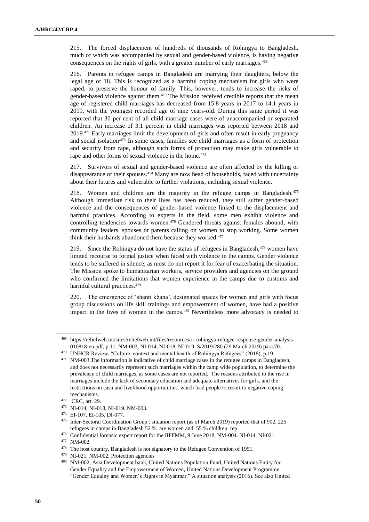215. The forced displacement of hundreds of thousands of Rohingya to Bangladesh, much of which was accompanied by sexual and gender-based violence, is having negative consequences on the rights of girls, with a greater number of early marriages.<sup>469</sup>

216. Parents in refugee camps in Bangladesh are marrying their daughters, below the legal age of 18. This is recognized as a harmful coping mechanism for girls who were raped, to preserve the honour of family. This, however, tends to increase the risks of gender-based violence against them.<sup>470</sup> The Mission received credible reports that the mean age of registered child marriages has decreased from 15.8 years in 2017 to 14.1 years in 2019, with the youngest recorded age of nine years-old. During this same period it was reported that 30 per cent of all child marriage cases were of unaccompanied or separated children. An increase of 3.1 percent in child marriages was reported between 2018 and 2019.<sup>471</sup> Early marriages limit the development of girls and often result in early pregnancy and social isolation.<sup>472</sup> In some cases, families see child marriages as a form of protection and security from rape, although such forms of protection may make girls vulnerable to rape and other forms of sexual violence in the home.<sup>473</sup>

217. Survivors of sexual and gender-based violence are often affected by the killing or disappearance of their spouses.<sup>474</sup> Many are now head of households, faced with uncertainty about their futures and vulnerable to further violations, including sexual violence.

218. Women and children are the majority in the refugee camps in Bangladesh.<sup>475</sup> Although immediate risk to their lives has been reduced, they still suffer gender-based violence and the consequences of gender-based violence linked to the displacement and harmful practices. According to experts in the field, some men exhibit violence and controlling tendencies towards women.<sup>476</sup> Gendered threats against females abound, with community leaders, spouses or parents calling on women to stop working. Some women think their husbands abandoned them because they worked.<sup>477</sup>

219. Since the Rohingya do not have the status of refugees in Bangladesh, $478$  women have limited recourse to formal justice when faced with violence in the camps. Gender violence tends to be suffered in silence, as most do not report it for fear of exacerbating the situation. The Mission spoke to humanitarian workers, service providers and agencies on the ground who confirmed the limitations that women experience in the camps due to customs and harmful cultural practices.<sup>479</sup>

220. The emergence of 'shanti khana', designated spaces for women and girls with focus group discussions on life skill trainings and empowerment of women, have had a positive impact in the lives of women in the camps.<sup>480</sup> Nevertheless more advocacy is needed to

<sup>469</sup> [https://reliefweb.int/sites/reliefweb.int/files/resources/rr-rohingya-refugee-response-gender-analysis-](https://reliefweb.int/sites/reliefweb.int/files/resources/rr-rohingya-refugee-response-gender-analysis-010818-en.pdf,%20p.11)[010818-en.pdf, p.11.](https://reliefweb.int/sites/reliefweb.int/files/resources/rr-rohingya-refugee-response-gender-analysis-010818-en.pdf,%20p.11) NM-003, NI-014, NI-018, NI-019, S/2019/280 (29 March 2019) para.70.

<sup>470</sup> UNHCR Review, "Culture, context and mental health of Rohingya Refugees" (2018), p.19.

<sup>471</sup> NM-003.The information is indicative of child marriage cases in the refugee camps in Bangladesh, and does not necessarily represent such marriages within the camp wide population, to determine the prevalence of child marriages, as some cases are not reported. The reasons attributed to the rise in marriages include the lack of secondary education and adequate alternatives for girls, and the restrictions on cash and livelihood opportunities, which lead people to resort to negative coping mechanisms.

<sup>472</sup> CRC, art. 29.

<sup>473</sup> NI-014, NI-018, NI-019. NM-003.

<sup>474</sup> EI-107, EI-105, DI-077.

<sup>475</sup> Inter-Sectoral Coordination Group : situation report (as of March 2019) reported that of 902, 225 refugees in camps in Bangladesh 52 % are women and 55 % children. rep

<sup>476</sup> Confidential forensic expert report for the IIFFMM, 9 June 2018, NM-004. NI-014, NI-021.

<sup>477</sup> NM-002

<sup>478</sup> The host country, Bangladesh is not signatory to the Refugee Convention of 1951.

<sup>479</sup> NI-021, NM-002, Protection agencies

<sup>480</sup> NM-002, Asia Development bank, United Nations Population Fund, United Nations Entity for Gender Equality and the Empowerment of Women, United Nations Development Programme "Gender Equality and Women's Rights in Myanmar." A situation analysis (2016). See also United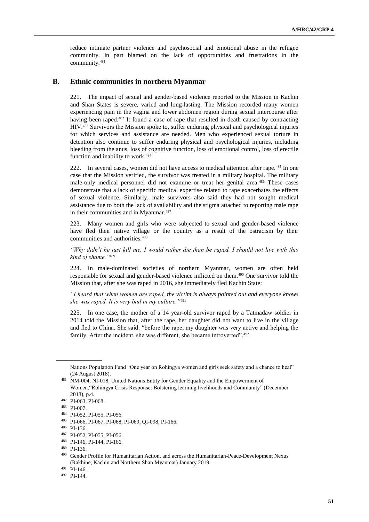reduce intimate partner violence and psychosocial and emotional abuse in the refugee community, in part blamed on the lack of opportunities and frustrations in the community.<sup>481</sup>

### **B. Ethnic communities in northern Myanmar**

221. The impact of sexual and gender-based violence reported to the Mission in Kachin and Shan States is severe, varied and long-lasting. The Mission recorded many women experiencing pain in the vagina and lower abdomen region during sexual intercourse after having been raped.<sup>482</sup> It found a case of rape that resulted in death caused by contracting HIV.<sup>483</sup> Survivors the Mission spoke to, suffer enduring physical and psychological injuries for which services and assistance are needed. Men who experienced sexual torture in detention also continue to suffer enduring physical and psychological injuries, including bleeding from the anus, loss of cognitive function, loss of emotional control, loss of erectile function and inability to work.<sup>484</sup>

222. In several cases, women did not have access to medical attention after rape.<sup>485</sup> In one case that the Mission verified, the survivor was treated in a military hospital. The military male-only medical personnel did not examine or treat her genital area.<sup>486</sup> These cases demonstrate that a lack of specific medical expertise related to rape exacerbates the effects of sexual violence. Similarly, male survivors also said they had not sought medical assistance due to both the lack of availability and the stigma attached to reporting male rape in their communities and in Myanmar.<sup>487</sup>

223. Many women and girls who were subjected to sexual and gender-based violence have fled their native village or the country as a result of the ostracism by their communities and authorities.<sup>488</sup>

*"Why didn't he just kill me, I would rather die than be raped. I should not live with this kind of shame."*<sup>489</sup>

224. In male-dominated societies of northern Myanmar, women are often held responsible for sexual and gender-based violence inflicted on them.<sup>490</sup> One survivor told the Mission that, after she was raped in 2016, she immediately fled Kachin State:

*"I heard that when women are raped, the victim is always pointed out and everyone knows she was raped. It is very bad in my culture."*<sup>491</sup>

225. In one case, the mother of a 14 year-old survivor raped by a Tatmadaw soldier in 2014 told the Mission that, after the rape, her daughter did not want to live in the village and fled to China. She said: "before the rape, my daughter was very active and helping the family. After the incident, she was different, she became introverted".<sup>492</sup>

Nations Population Fund "One year on Rohingya women and girls seek safety and a chance to heal" (24 August 2018).

<sup>481</sup> NM-004, NI-018, United Nations Entity for Gender Equality and the Empowerment of Women,"Rohingya Crisis Response: Bolstering learning livelihoods and Community" (December 2018), p.4.

<sup>482</sup> PI-063, PI-068.

<sup>483</sup> PI-007.

<sup>484</sup> PI-052, PI-055, PI-056.

<sup>485</sup> PI-066, PI-067, PI-068, PI-069, QI-098, PI-166.

<sup>486</sup> PI-136.

<sup>487</sup> PI-052, PI-055, PI-056.

<sup>488</sup> PI-146, PI-144, PI-166.

<sup>489</sup> PI-136.

<sup>490</sup> Gender Profile for Humanitarian Action, and across the Humanitarian-Peace-Development Nexus (Rakhine, Kachin and Northern Shan Myanmar) January 2019.

<sup>491</sup> PI-146.

<sup>492</sup> PI-144.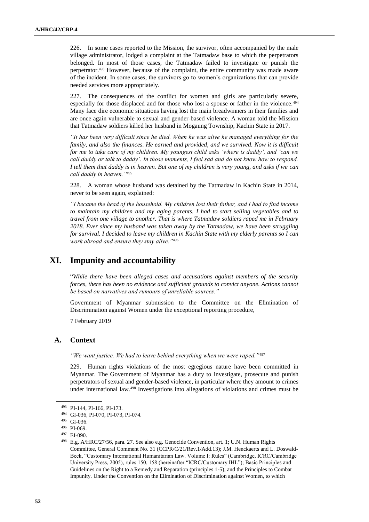226. In some cases reported to the Mission, the survivor, often accompanied by the male village administrator, lodged a complaint at the Tatmadaw base to which the perpetrators belonged. In most of those cases, the Tatmadaw failed to investigate or punish the perpetrator.<sup>493</sup> However, because of the complaint, the entire community was made aware of the incident. In some cases, the survivors go to women's organizations that can provide needed services more appropriately.

227. The consequences of the conflict for women and girls are particularly severe, especially for those displaced and for those who lost a spouse or father in the violence.<sup>494</sup> Many face dire economic situations having lost the main breadwinners in their families and are once again vulnerable to sexual and gender-based violence. A woman told the Mission that Tatmadaw soldiers killed her husband in Mogaung Township, Kachin State in 2017.

*"It has been very difficult since he died. When he was alive he managed everything for the family, and also the finances. He earned and provided, and we survived. Now it is difficult for me to take care of my children. My youngest child asks 'where is daddy', and 'can we call daddy or talk to daddy'. In those moments, I feel sad and do not know how to respond. I tell them that daddy is in heaven. But one of my children is very young, and asks if we can call daddy in heaven."*<sup>495</sup>

228. A woman whose husband was detained by the Tatmadaw in Kachin State in 2014, never to be seen again, explained:

*"I became the head of the household. My children lost their father, and I had to find income to maintain my children and my aging parents. I had to start selling vegetables and to travel from one village to another. That is where Tatmadaw soldiers raped me in February 2018. Ever since my husband was taken away by the Tatmadaw, we have been struggling for survival. I decided to leave my children in Kachin State with my elderly parents so I can work abroad and ensure they stay alive."*<sup>496</sup>

# **XI. Impunity and accountability**

"*While there have been alleged cases and accusations against members of the security forces, there has been no evidence and sufficient grounds to convict anyone. Actions cannot be based on narratives and rumours of unreliable sources."*

Government of Myanmar submission to the Committee on the Elimination of Discrimination against Women under the exceptional reporting procedure,

7 February 2019

### **A. Context**

*"We want justice. We had to leave behind everything when we were raped."*<sup>497</sup>

229. Human rights violations of the most egregious nature have been committed in Myanmar. The Government of Myanmar has a duty to investigate, prosecute and punish perpetrators of sexual and gender-based violence, in particular where they amount to crimes under international law.<sup>498</sup> Investigations into allegations of violations and crimes must be

<sup>493</sup> PI-144, PI-166, PI-173.

<sup>494</sup> GI-036, PI-070, PI-073, PI-074.

<sup>495</sup> GI-036.

<sup>496</sup> PI-069.

<sup>497</sup> EI-090.

<sup>498</sup> E.g. A/HRC/27/56, para. 27. See also e.g. Genocide Convention, art. 1; U.N. Human Rights Committee, General Comment No. 31 (CCPR/C/21/Rev.1/Add.13); J.M. Henckaerts and L. Doswald-Beck, "Customary International Humanitarian Law. Volume I: Rules" (Cambridge, ICRC/Cambridge University Press, 2005), rules 150, 158 (hereinafter "ICRC/Customary IHL"); Basic Principles and Guidelines on the Right to a Remedy and Reparation (principles 1-5); and the Principles to Combat Impunity. Under the Convention on the Elimination of Discrimination against Women, to which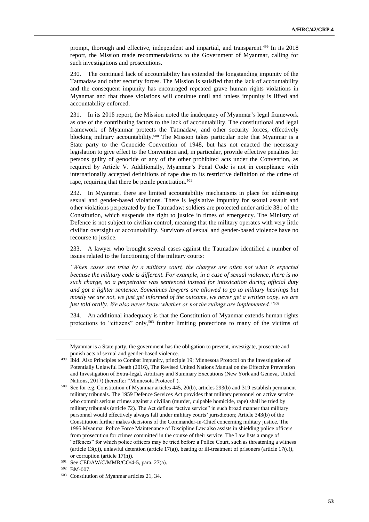prompt, thorough and effective, independent and impartial, and transparent.<sup>499</sup> In its 2018 report, the Mission made recommendations to the Government of Myanmar, calling for such investigations and prosecutions.

230. The continued lack of accountability has extended the longstanding impunity of the Tatmadaw and other security forces. The Mission is satisfied that the lack of accountability and the consequent impunity has encouraged repeated grave human rights violations in Myanmar and that those violations will continue until and unless impunity is lifted and accountability enforced.

231. In its 2018 report, the Mission noted the inadequacy of Myanmar's legal framework as one of the contributing factors to the lack of accountability. The constitutional and legal framework of Myanmar protects the Tatmadaw, and other security forces, effectively blocking military accountability.<sup>500</sup> The Mission takes particular note that Myanmar is a State party to the Genocide Convention of 1948, but has not enacted the necessary legislation to give effect to the Convention and, in particular, provide effective penalties for persons guilty of genocide or any of the other prohibited acts under the Convention, as required by Article V. Additionally, Myanmar's Penal Code is not in compliance with internationally accepted definitions of rape due to its restrictive definition of the crime of rape, requiring that there be penile penetration.<sup>501</sup>

232. In Myanmar, there are limited accountability mechanisms in place for addressing sexual and gender-based violations. There is legislative impunity for sexual assault and other violations perpetrated by the Tatmadaw: soldiers are protected under article 381 of the Constitution, which suspends the right to justice in times of emergency. The Ministry of Defence is not subject to civilian control, meaning that the military operates with very little civilian oversight or accountability. Survivors of sexual and gender-based violence have no recourse to justice.

233. A lawyer who brought several cases against the Tatmadaw identified a number of issues related to the functioning of the military courts:

*"When cases are tried by a military court, the charges are often not what is expected because the military code is different. For example, in a case of sexual violence, there is no such charge, so a perpetrator was sentenced instead for intoxication during official duty and got a lighter sentence. Sometimes lawyers are allowed to go to military hearings but mostly we are not, we just get informed of the outcome, we never get a written copy, we are just told orally. We also never know whether or not the rulings are implemented."*<sup>502</sup>

234. An additional inadequacy is that the Constitution of Myanmar extends human rights protections to "citizens" only,<sup>503</sup> further limiting protections to many of the victims of

Myanmar is a State party, the government has the obligation to prevent, investigate, prosecute and punish acts of sexual and gender-based violence.

<sup>&</sup>lt;sup>499</sup> Ibid. Also Principles to Combat Impunity, principle 19; Minnesota Protocol on the Investigation of Potentially Unlawful Death (2016), The Revised United Nations Manual on the Effective Prevention and Investigation of Extra-legal, Arbitrary and Summary Executions (New York and Geneva, United Nations, 2017) (hereafter "Minnesota Protocol").

<sup>500</sup> See for e.g. Constitution of Myanmar articles 445, 20(b), articles 293(b) and 319 establish permanent military tribunals. The 1959 Defence Services Act provides that military personnel on active service who commit serious crimes against a civilian (murder, culpable homicide, rape) shall be tried by military tribunals (article 72). The Act defines "active service" in such broad manner that military personnel would effectively always fall under military courts' jurisdiction; Article 343(b) of the Constitution further makes decisions of the Commander-in-Chief concerning military justice. The 1995 Myanmar Police Force Maintenance of Discipline Law also assists in shielding police officers from prosecution for crimes committed in the course of their service. The Law lists a range of "offences" for which police officers may be tried before a Police Court, such as threatening a witness (article 13(c)), unlawful detention (article 17(a)), beating or ill-treatment of prisoners (article 17(c)), or corruption (article 17(h)).

<sup>501</sup> See CEDAW/C/MMR/CO/4-5, para. 27(a).

<sup>502</sup> BM-007.

<sup>503</sup> Constitution of Myanmar articles 21, 34.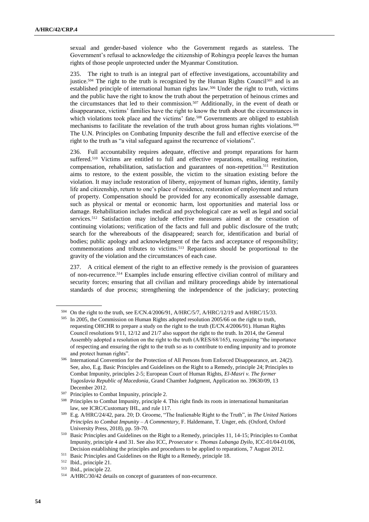sexual and gender-based violence who the Government regards as stateless. The Government's refusal to acknowledge the citizenship of Rohingya people leaves the human rights of those people unprotected under the Myanmar Constitution.

235. The right to truth is an integral part of effective investigations, accountability and justice.<sup>504</sup> The right to the truth is recognized by the Human Rights Council<sup>505</sup> and is an established principle of international human rights law.<sup>506</sup> Under the right to truth, victims and the public have the right to know the truth about the perpetration of heinous crimes and the circumstances that led to their commission.<sup>507</sup> Additionally, in the event of death or disappearance, victims' families have the right to know the truth about the circumstances in which violations took place and the victims' fate.<sup>508</sup> Governments are obliged to establish mechanisms to facilitate the revelation of the truth about gross human rights violations. <sup>509</sup> The U.N. Principles on Combating Impunity describe the full and effective exercise of the right to the truth as "a vital safeguard against the recurrence of violations".

236. Full accountability requires adequate, effective and prompt reparations for harm suffered.<sup>510</sup> Victims are entitled to full and effective reparations, entailing restitution, compensation, rehabilitation, satisfaction and guarantees of non-repetition.<sup>511</sup> Restitution aims to restore, to the extent possible, the victim to the situation existing before the violation. It may include restoration of liberty, enjoyment of human rights, identity, family life and citizenship, return to one's place of residence, restoration of employment and return of property. Compensation should be provided for any economically assessable damage, such as physical or mental or economic harm, lost opportunities and material loss or damage. Rehabilitation includes medical and psychological care as well as legal and social services.<sup>512</sup> Satisfaction may include effective measures aimed at the cessation of continuing violations; verification of the facts and full and public disclosure of the truth; search for the whereabouts of the disappeared; search for, identification and burial of bodies; public apology and acknowledgment of the facts and acceptance of responsibility; commemorations and tributes to victims.<sup>513</sup> Reparations should be proportional to the gravity of the violation and the circumstances of each case.

237. A critical element of the right to an effective remedy is the provision of guarantees of non-recurrence.<sup>514</sup> Examples include ensuring effective civilian control of military and security forces; ensuring that all civilian and military proceedings abide by international standards of due process; strengthening the independence of the judiciary; protecting

<sup>504</sup> On the right to the truth, see E/CN.4/2006/91, A/HRC/5/7, A/HRC/12/19 and A/HRC/15/33.

<sup>505</sup> In 2005, the Commission on Human Rights adopted resolution 2005/66 on the right to truth, requesting OHCHR to prepare a study on the right to the truth (E/CN.4/2006/91). Human Rights Council resolutions 9/11, 12/12 and 21/7 also support the right to the truth. In 2014, the General Assembly adopted a resolution on the right to the truth (A/RES/68/165), recognizing "the importance of respecting and ensuring the right to the truth so as to contribute to ending impunity and to promote and protect human rights".

<sup>506</sup> International Convention for the Protection of All Persons from Enforced Disappearance, art. 24(2). See, also, E.g. Basic Principles and Guidelines on the Right to a Remedy, principle 24; Principles to Combat Impunity, principles 2-5; European Court of Human Rights, *El-Masri v. The former Yugoslavia Republic of Macedonia*, Grand Chamber Judgment, Application no. 39630/09, 13 December 2012.

<sup>507</sup> Principles to Combat Impunity, principle 2.

<sup>508</sup> Principles to Combat Impunity, principle 4. This right finds its roots in international humanitarian law, see ICRC/Customary IHL, and rule 117.

<sup>509</sup> E.g. A/HRC/24/42, para. 20; D. Groome, "The Inalienable Right to the Truth", in *The United Nations Principles to Combat Impunity – A Commentary*, F. Haldemann, T. Unger, eds. (Oxford, Oxford University Press, 2018), pp. 59-70.

<sup>510</sup> Basic Principles and Guidelines on the Right to a Remedy, principles 11, 14-15; Principles to Combat Impunity, principle 4 and 31. See also ICC, *Prosecutor v. Thomas Lubanga Dyilo*, ICC-01/04-01/06, Decision establishing the principles and procedures to be applied to reparations, 7 August 2012.

<sup>511</sup> Basic Principles and Guidelines on the Right to a Remedy, principle 18.

<sup>512</sup> Ibid., principle 21.

<sup>513</sup> Ibid., principle 22.

<sup>514</sup> A/HRC/30/42 details on concept of guarantees of non-recurrence.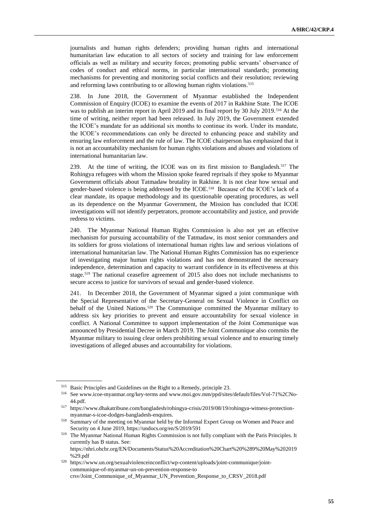journalists and human rights defenders; providing human rights and international humanitarian law education to all sectors of society and training for law enforcement officials as well as military and security forces; promoting public servants' observance of codes of conduct and ethical norms, in particular international standards; promoting mechanisms for preventing and monitoring social conflicts and their resolution; reviewing and reforming laws contributing to or allowing human rights violations.<sup>515</sup>

238. In June 2018, the Government of Myanmar established the Independent Commission of Enquiry (ICOE) to examine the events of 2017 in Rakhine State. The ICOE was to publish an interim report in April 2019 and its final report by 30 July 2019.<sup>516</sup> At the time of writing, neither report had been released. In July 2019, the Government extended the ICOE's mandate for an additional six months to continue its work. Under its mandate, the ICOE's recommendations can only be directed to enhancing peace and stability and ensuring law enforcement and the rule of law. The ICOE chairperson has emphasized that it is not an accountability mechanism for human rights violations and abuses and violations of international humanitarian law.

239. At the time of writing, the ICOE was on its first mission to Bangladesh.<sup>517</sup> The Rohingya refugees with whom the Mission spoke feared reprisals if they spoke to Myanmar Government officials about Tatmadaw brutality in Rakhine. It is not clear how sexual and gender-based violence is being addressed by the ICOE.<sup>518</sup> Because of the ICOE's lack of a clear mandate, its opaque methodology and its questionable operating procedures, as well as its dependence on the Myanmar Government, the Mission has concluded that ICOE investigations will not identify perpetrators, promote accountability and justice, and provide redress to victims.

240. The Myanmar National Human Rights Commission is also not yet an effective mechanism for pursuing accountability of the Tatmadaw, its most senior commanders and its soldiers for gross violations of international human rights law and serious violations of international humanitarian law. The National Human Rights Commission has no experience of investigating major human rights violations and has not demonstrated the necessary independence, determination and capacity to warrant confidence in its effectiveness at this stage.<sup>519</sup> The national ceasefire agreement of 2015 also does not include mechanisms to secure access to justice for survivors of sexual and gender-based violence.

241. In December 2018, the Government of Myanmar signed a joint communique with the Special Representative of the Secretary-General on Sexual Violence in Conflict on behalf of the United Nations.<sup>520</sup> The Communique committed the Myanmar military to address six key priorities to prevent and ensure accountability for sexual violence in conflict. A National Committee to support implementation of the Joint Communique was announced by Presidential Decree in March 2019. The Joint Communique also commits the Myanmar military to issuing clear orders prohibiting sexual violence and to ensuring timely investigations of alleged abuses and accountability for violations.

<sup>515</sup> Basic Principles and Guidelines on the Right to a Remedy, principle 23.

<sup>516</sup> See www.icoe-myanmar.org/key-terms and www.moi.gov.mm/ppd/sites/default/files/Vol-71%2CNo-44.pdf.

<sup>517</sup> https://www.dhakatribune.com/bangladesh/rohingya-crisis/2019/08/19/rohingya-witness-protectionmyanmar-s-icoe-dodges-bangladesh-enquires.

<sup>518</sup> Summary of the meeting on Myanmar held by the Informal Expert Group on Women and Peace and Security on 4 June 2019, https://undocs.org/en/S/2019/591

<sup>519</sup> The Myanmar National Human Rights Commission is not fully compliant with the Paris Principles. It currently has B status. See: https://nhri.ohchr.org/EN/Documents/Status%20Accreditation%20Chart%20%289%20May%202019

<sup>%29.</sup>pdf

<sup>520</sup> [https://www.un.org/sexualviolenceinconflict/wp-content/uploads/joint-communique/joint](https://www.un.org/sexualviolenceinconflict/wp-content/uploads/joint-communique/joint-communique-of-myanmar-un-on-prevention-response-to)[communique-of-myanmar-un-on-prevention-response-to](https://www.un.org/sexualviolenceinconflict/wp-content/uploads/joint-communique/joint-communique-of-myanmar-un-on-prevention-response-to) crsv/Joint\_Communique\_of\_Myanmar\_UN\_Prevention\_Response\_to\_CRSV\_2018.pdf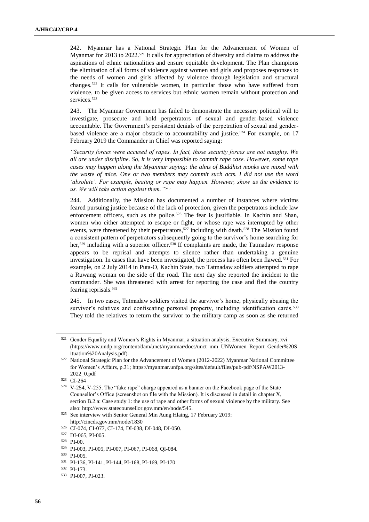242. Myanmar has a National Strategic Plan for the Advancement of Women of Myanmar for 2013 to 2022.<sup>521</sup> It calls for appreciation of diversity and claims to address the aspirations of ethnic nationalities and ensure equitable development. The Plan champions the elimination of all forms of violence against women and girls and proposes responses to the needs of women and girls affected by violence through legislation and structural changes.<sup>522</sup> It calls for vulnerable women, in particular those who have suffered from violence, to be given access to services but ethnic women remain without protection and services<sup>523</sup>

243. The Myanmar Government has failed to demonstrate the necessary political will to investigate, prosecute and hold perpetrators of sexual and gender-based violence accountable. The Government's persistent denials of the perpetration of sexual and genderbased violence are a major obstacle to accountability and justice.<sup>524</sup> For example, on 17 February 2019 the Commander in Chief was reported saying:

*"Security forces were accused of rapes. In fact, those security forces are not naughty. We all are under discipline. So, it is very impossible to commit rape case. However, some rape cases may happen along the Myanmar saying: the alms of Buddhist monks are mixed with the waste of mice. One or two members may commit such acts. I did not use the word 'absolute'. For example, beating or rape may happen. However, show us the evidence to us. We will take action against them."*<sup>525</sup>

244. Additionally, the Mission has documented a number of instances where victims feared pursuing justice because of the lack of protection, given the perpetrators include law enforcement officers, such as the police.<sup>526</sup> The fear is justifiable. In Kachin and Shan, women who either attempted to escape or fight, or whose rape was interrupted by other events, were threatened by their perpetrators,<sup>527</sup> including with death.<sup>528</sup> The Mission found a consistent pattern of perpetrators subsequently going to the survivor's home searching for her,<sup>529</sup> including with a superior officer.<sup>530</sup> If complaints are made, the Tatmadaw response appears to be reprisal and attempts to silence rather than undertaking a genuine investigation. In cases that have been investigated, the process has often been flawed.<sup>531</sup> For example, on 2 July 2014 in Puta-O, Kachin State, two Tatmadaw soldiers attempted to rape a Ruwang woman on the side of the road. The next day she reported the incident to the commander. She was threatened with arrest for reporting the case and fled the country fearing reprisals.<sup>532</sup>

245. In two cases, Tatmadaw soldiers visited the survivor's home, physically abusing the survivor's relatives and confiscating personal property, including identification cards.<sup>533</sup> They told the relatives to return the survivor to the military camp as soon as she returned

<sup>&</sup>lt;sup>521</sup> Gender Equality and Women's Rights in Myanmar, a situation analysis, Executive Summary, xvi (https://www.undp.org/content/dam/unct/myanmar/docs/unct\_mm\_UNWomen\_Report\_Gender%20S ituation%20Analysis.pdf).

<sup>522</sup> National Strategic Plan for the Advancement of Women (2012-2022) Myanmar National Committee for Women's Affairs, p.31; [https://myanmar.unfpa.org/sites/default/files/pub-pdf/NSPAW2013-](https://myanmar.unfpa.org/sites/default/files/pub-pdf/NSPAW2013-2022_0.pdf) [2022\\_0.pdf](https://myanmar.unfpa.org/sites/default/files/pub-pdf/NSPAW2013-2022_0.pdf)

<sup>523</sup> CI-264

<sup>524</sup> V-254, V-255. The "fake rape" charge appeared as a banner on the Facebook page of the State Counsellor's Office (screenshot on file with the Mission). It is discussed in detail in chapter X, section B.2.a: Case study 1: the use of rape and other forms of sexual violence by the military. See also: [http://www.statecounsellor.gov.mm/en/node/545.](http://www.statecounsellor.gov.mm/en/node/545)

<sup>525</sup> See interview with Senior General Min Aung Hlaing, 17 February 2019: http://cincds.gov.mm/node/1830

<sup>526</sup> CI-074, CI-077, CI-174, DI-038, DI-048, DI-050.

<sup>527</sup> DI-065, PI-005.

<sup>528</sup> PI-00.

<sup>529</sup> PI-003, PI-005, PI-007, PI-067, PI-068, QI-084.

<sup>530</sup> PI-005.

<sup>531</sup> PI-136, PI-141, PI-144, PI-168, PI-169, PI-170

<sup>532</sup> PI-173.

<sup>533</sup> PI-007, PI-023.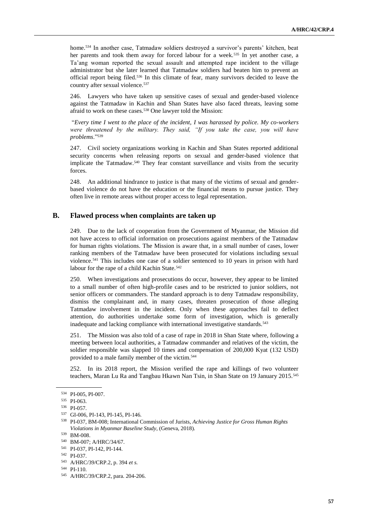home.<sup>534</sup> In another case, Tatmadaw soldiers destroyed a survivor's parents' kitchen, beat her parents and took them away for forced labour for a week.<sup>535</sup> In yet another case, a Ta'ang woman reported the sexual assault and attempted rape incident to the village administrator but she later learned that Tatmadaw soldiers had beaten him to prevent an official report being filed.<sup>536</sup> In this climate of fear, many survivors decided to leave the country after sexual violence.<sup>537</sup>

246. Lawyers who have taken up sensitive cases of sexual and gender-based violence against the Tatmadaw in Kachin and Shan States have also faced threats, leaving some afraid to work on these cases.<sup>538</sup> One lawyer told the Mission:

"*Every time I went to the place of the incident, I was harassed by police. My co-workers*  were threatened by the military. They said, "If you take the case, you will have *problems*."<sup>539</sup>

247. Civil society organizations working in Kachin and Shan States reported additional security concerns when releasing reports on sexual and gender-based violence that implicate the Tatmadaw.<sup>540</sup> They fear constant surveillance and visits from the security forces.

248. An additional hindrance to justice is that many of the victims of sexual and genderbased violence do not have the education or the financial means to pursue justice. They often live in remote areas without proper access to legal representation.

## **B. Flawed process when complaints are taken up**

249. Due to the lack of cooperation from the Government of Myanmar, the Mission did not have access to official information on prosecutions against members of the Tatmadaw for human rights violations. The Mission is aware that, in a small number of cases, lower ranking members of the Tatmadaw have been prosecuted for violations including sexual violence.<sup>541</sup> This includes one case of a soldier sentenced to 10 years in prison with hard labour for the rape of a child Kachin State.<sup>542</sup>

250. When investigations and prosecutions do occur, however, they appear to be limited to a small number of often high-profile cases and to be restricted to junior soldiers, not senior officers or commanders. The standard approach is to deny Tatmadaw responsibility, dismiss the complainant and, in many cases, threaten prosecution of those alleging Tatmadaw involvement in the incident. Only when these approaches fail to deflect attention, do authorities undertake some form of investigation, which is generally inadequate and lacking compliance with international investigative standards.<sup>543</sup>

251. The Mission was also told of a case of rape in 2018 in Shan State where, following a meeting between local authorities, a Tatmadaw commander and relatives of the victim, the soldier responsible was slapped 10 times and compensation of 200,000 Kyat (132 USD) provided to a male family member of the victim.<sup>544</sup>

252. In its 2018 report, the Mission verified the rape and killings of two volunteer teachers, Maran Lu Ra and Tangbau Hkawn Nan Tsin, in Shan State on 19 January 2015.<sup>545</sup>

<sup>534</sup> PI-005, PI-007.

<sup>535</sup> PI-063.

<sup>536</sup> PI-057.

<sup>537</sup> GI-006, PI-143, PI-145, PI-146.

<sup>538</sup> PI-037, BM-008; International Commission of Jurists, *Achieving Justice for Gross Human Rights Violations in Myanmar Baseline Study*, (Geneva, 2018).

<sup>539</sup> BM-008.

<sup>540</sup> BM-007; A/HRC/34/67.

<sup>541</sup> PI-037, PI-142, PI-144.

<sup>542</sup> PI-037.

<sup>543</sup> A/HRC/39/CRP.2, p. 394 *et s.*

<sup>544</sup> PI-110.

<sup>545</sup> A/HRC/39/CRP.2, para. 204-206.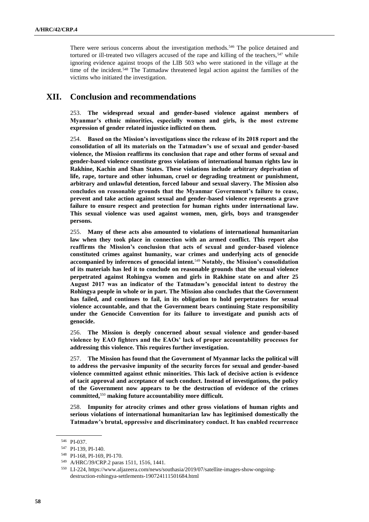There were serious concerns about the investigation methods.<sup>546</sup> The police detained and tortured or ill-treated two villagers accused of the rape and killing of the teachers, $547$  while ignoring evidence against troops of the LIB 503 who were stationed in the village at the time of the incident.<sup>548</sup> The Tatmadaw threatened legal action against the families of the victims who initiated the investigation.

# **XII. Conclusion and recommendations**

253. **The widespread sexual and gender-based violence against members of Myanmar's ethnic minorities, especially women and girls, is the most extreme expression of gender related injustice inflicted on them.**

254. **Based on the Mission's investigations since the release of its 2018 report and the consolidation of all its materials on the Tatmadaw's use of sexual and gender-based violence, the Mission reaffirms its conclusion that rape and other forms of sexual and gender-based violence constitute gross violations of international human rights law in Rakhine, Kachin and Shan States. These violations include arbitrary deprivation of life, rape, torture and other inhuman, cruel or degrading treatment or punishment, arbitrary and unlawful detention, forced labour and sexual slavery. The Mission also concludes on reasonable grounds that the Myanmar Government's failure to cease, prevent and take action against sexual and gender-based violence represents a grave failure to ensure respect and protection for human rights under international law. This sexual violence was used against women, men, girls, boys and transgender persons.** 

255. **Many of these acts also amounted to violations of international humanitarian law when they took place in connection with an armed conflict. This report also reaffirms the Mission's conclusion that acts of sexual and gender-based violence constituted crimes against humanity, war crimes and underlying acts of genocide accompanied by inferences of genocidal intent.**<sup>549</sup> **Notably, the Mission's consolidation of its materials has led it to conclude on reasonable grounds that the sexual violence perpetrated against Rohingya women and girls in Rakhine state on and after 25 August 2017 was an indicator of the Tatmadaw's genocidal intent to destroy the Rohingya people in whole or in part. The Mission also concludes that the Government has failed, and continues to fail, in its obligation to hold perpetrators for sexual violence accountable, and that the Government bears continuing State responsibility under the Genocide Convention for its failure to investigate and punish acts of genocide.**

256. **The Mission is deeply concerned about sexual violence and gender-based violence by EAO fighters and the EAOs' lack of proper accountability processes for addressing this violence. This requires further investigation.** 

257. **The Mission has found that the Government of Myanmar lacks the political will to address the pervasive impunity of the security forces for sexual and gender-based violence committed against ethnic minorities. This lack of decisive action is evidence of tacit approval and acceptance of such conduct. Instead of investigations, the policy of the Government now appears to be the destruction of evidence of the crimes committed,**<sup>550</sup> **making future accountability more difficult.** 

258. **Impunity for atrocity crimes and other gross violations of human rights and serious violations of international humanitarian law has legitimised domestically the Tatmadaw's brutal, oppressive and discriminatory conduct. It has enabled recurrence** 

<sup>546</sup> PI-037.

<sup>547</sup> PI-139, PI-140.

<sup>548</sup> PI-168, PI-169, PI-170.

<sup>549</sup> A/HRC/39/CRP.2 paras 1511, 1516, 1441.

<sup>550</sup> LI-224, https://www.aljazeera.com/news/southasia/2019/07/satellite-images-show-ongoingdestruction-rohingya-settlements-190724111501684.html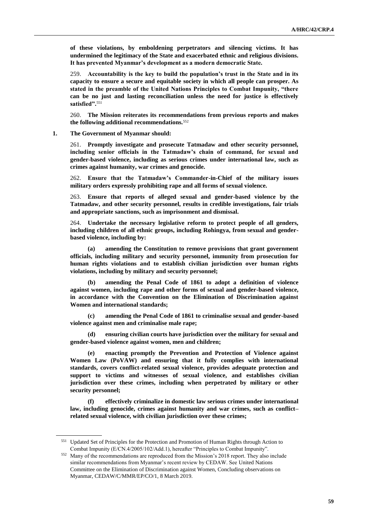**of these violations, by emboldening perpetrators and silencing victims. It has undermined the legitimacy of the State and exacerbated ethnic and religious divisions. It has prevented Myanmar's development as a modern democratic State.** 

259. **Accountability is the key to build the population's trust in the State and in its capacity to ensure a secure and equitable society in which all people can prosper. As stated in the preamble of the United Nations Principles to Combat Impunity, "there can be no just and lasting reconciliation unless the need for justice is effectively satisfied".**<sup>551</sup>

260. **The Mission reiterates its recommendations from previous reports and makes the following additional recommendations.**<sup>552</sup>

**1. The Government of Myanmar should:**

261. **Promptly investigate and prosecute Tatmadaw and other security personnel, including senior officials in the Tatmadaw's chain of command, for sexual and gender-based violence, including as serious crimes under international law, such as crimes against humanity, war crimes and genocide.**

262. **Ensure that the Tatmadaw's Commander-in-Chief of the military issues military orders expressly prohibiting rape and all forms of sexual violence.** 

263. **Ensure that reports of alleged sexual and gender-based violence by the Tatmadaw, and other security personnel, results in credible investigations, fair trials and appropriate sanctions, such as imprisonment and dismissal.** 

264. **Undertake the necessary legislative reform to protect people of all genders, including children of all ethnic groups, including Rohingya, from sexual and genderbased violence, including by:**

**(a) amending the Constitution to remove provisions that grant government officials, including military and security personnel, immunity from prosecution for human rights violations and to establish civilian jurisdiction over human rights violations, including by military and security personnel;**

**(b) amending the Penal Code of 1861 to adopt a definition of violence against women, including rape and other forms of sexual and gender-based violence, in accordance with the Convention on the Elimination of Discrimination against Women and international standards;**

**(c) amending the Penal Code of 1861 to criminalise sexual and gender-based violence against men and criminalise male rape;**

**(d) ensuring civilian courts have jurisdiction over the military for sexual and gender-based violence against women, men and children;** 

**(e) enacting promptly the Prevention and Protection of Violence against Women Law (PoVAW) and ensuring that it fully complies with international standards, covers conflict-related sexual violence, provides adequate protection and support to victims and witnesses of sexual violence, and establishes civilian jurisdiction over these crimes, including when perpetrated by military or other security personnel;**

**(f) effectively criminalize in domestic law serious crimes under international law, including genocide, crimes against humanity and war crimes, such as conflict– related sexual violence, with civilian jurisdiction over these crimes;** 

<sup>551</sup> Updated Set of Principles for the Protection and Promotion of Human Rights through Action to Combat Impunity (E/CN.4/2005/102/Add.1), hereafter "Principles to Combat Impunity".

<sup>552</sup> Many of the recommendations are reproduced from the Mission's 2018 report. They also include similar recommendations from Myanmar's recent review by CEDAW. See United Nations Committee on the Elimination of Discrimination against Women, Concluding observations on Myanmar, CEDAW/C/MMR/EP/CO/1, 8 March 2019.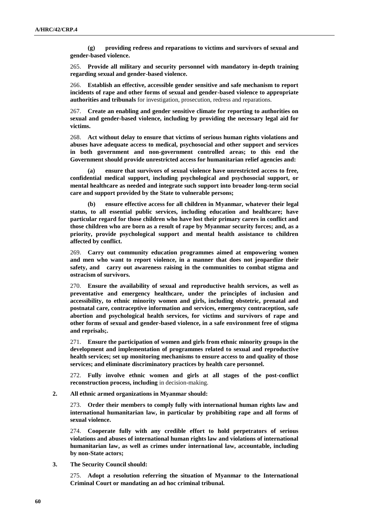**(g) providing redress and reparations to victims and survivors of sexual and gender-based violence.**

265. **Provide all military and security personnel with mandatory in-depth training regarding sexual and gender-based violence.**

266. **Establish an effective, accessible gender sensitive and safe mechanism to report incidents of rape and other forms of sexual and gender-based violence to appropriate authorities and tribunals** for investigation, prosecution, redress and reparations.

267. **Create an enabling and gender sensitive climate for reporting to authorities on sexual and gender-based violence, including by providing the necessary legal aid for victims.**

268. **Act without delay to ensure that victims of serious human rights violations and abuses have adequate access to medical, psychosocial and other support and services in both government and non-government controlled areas; to this end the Government should provide unrestricted access for humanitarian relief agencies and:**

**(a) ensure that survivors of sexual violence have unrestricted access to free, confidential medical support, including psychological and psychosocial support, or mental healthcare as needed and integrate such support into broader long-term social care and support provided by the State to vulnerable persons;**

**(b) ensure effective access for all children in Myanmar, whatever their legal status, to all essential public services, including education and healthcare; have particular regard for those children who have lost their primary carers in conflict and those children who are born as a result of rape by Myanmar security forces; and, as a priority, provide psychological support and mental health assistance to children affected by conflict.**

269. **Carry out community education programmes aimed at empowering women and men who want to report violence, in a manner that does not jeopardize their safety, and carry out awareness raising in the communities to combat stigma and ostracism of survivors.**

270. **Ensure the availability of sexual and reproductive health services, as well as preventative and emergency healthcare, under the principles of inclusion and accessibility, to ethnic minority women and girls, including obstetric, prenatal and postnatal care, contraceptive information and services, emergency contraception, safe abortion and psychological health services, for victims and survivors of rape and other forms of sexual and gender-based violence, in a safe environment free of stigma and reprisals;.** 

271. **Ensure the participation of women and girls from ethnic minority groups in the development and implementation of programmes related to sexual and reproductive health services; set up monitoring mechanisms to ensure access to and quality of those services; and eliminate discriminatory practices by health care personnel.**

272. **Fully involve ethnic women and girls at all stages of the post-conflict reconstruction process, including** in decision-making.

**2. All ethnic armed organizations in Myanmar should:**

273. **Order their members to comply fully with international human rights law and international humanitarian law, in particular by prohibiting rape and all forms of sexual violence.** 

274. **Cooperate fully with any credible effort to hold perpetrators of serious violations and abuses of international human rights law and violations of international humanitarian law, as well as crimes under international law, accountable, including by non-State actors;**

**3. The Security Council should:**

275. **Adopt a resolution referring the situation of Myanmar to the International Criminal Court or mandating an ad hoc criminal tribunal.**